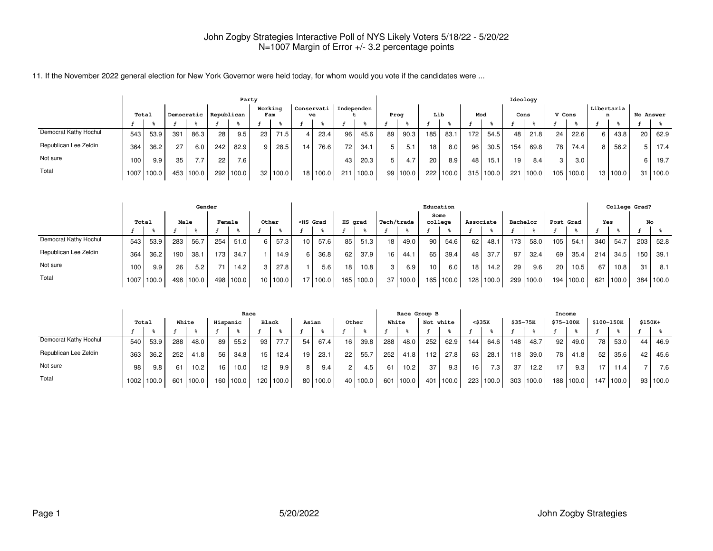|                       |                     |            |     |       |     | Party      |                |            |    |                  |                 |       |    |            |                 |           |     |       |     | Ideology |        |       |    |                 |    |                  |
|-----------------------|---------------------|------------|-----|-------|-----|------------|----------------|------------|----|------------------|-----------------|-------|----|------------|-----------------|-----------|-----|-------|-----|----------|--------|-------|----|-----------------|----|------------------|
|                       | Democratic<br>Total |            |     |       |     | Republican | Working<br>Fam |            |    | Conservati<br>ve | Independen      |       |    | Prog       | Lib             |           | Mod |       |     | Cons     | V Cons |       |    | Libertaria<br>n |    | <b>No Answer</b> |
|                       |                     |            |     |       |     |            |                |            |    |                  |                 |       |    |            |                 |           |     |       |     |          |        |       |    |                 |    |                  |
| Democrat Kathy Hochul | 543                 | 53.9       | 391 | 86.3  | 28  | 9.5        | 23             | 71.5       |    | 23.4             | 96              | 45.6  | 89 | 90.3       | 185             | 83.1      | 172 | 54.5  | 48  | 21.8     | 24     | 22.6  | 6. | 43.8            | 20 | 62.9             |
| Republican Lee Zeldin | 364                 | 36.2       | 27  | 6.0   | 242 | 82.9       | 9 <sub>1</sub> | 28.5       | 14 | 76.6             | 72 <sub>1</sub> | 34.1  |    | 5.1        | 18              | 8.0       | 96  | 30.5  | 154 | 69.8     | 78     | 74.4  | 8  | 56.2            |    | $5$   17.4       |
| Not sure              | 100.                | 9.9        | 35  | 7.7   | 22  | 7.6        |                |            |    |                  | 43              | 20.3  |    | 4.7        | 20 <sub>1</sub> | 8.9       | 48  | 15.1  | 19  | 8.4      |        | 3.0   |    |                 |    | 19.7             |
| Total                 |                     | 1007 100.0 | 453 | 100.0 | 292 | 100.0      |                | 32   100.0 |    | 18 100.0         | 211             | 100.0 |    | 99   100.0 |                 | 222 100.0 | 315 | 100.0 | 221 | 100.0    | 105    | 100.0 |    | 13 100.0        | 31 | 100.0            |

|                       |       |       |     | Gender    |     |        |       |          |    |                                                                                                                                                                                                                                          |                 |           |                 |       |                 | Education       |           |       |          |       |           |       |     | College Grad? |     |       |
|-----------------------|-------|-------|-----|-----------|-----|--------|-------|----------|----|------------------------------------------------------------------------------------------------------------------------------------------------------------------------------------------------------------------------------------------|-----------------|-----------|-----------------|-------|-----------------|-----------------|-----------|-------|----------|-------|-----------|-------|-----|---------------|-----|-------|
|                       | Total |       |     | Male      |     | Female | Other |          |    | <hs grad<="" th=""><th>HS grad</th><th></th><th>Tech/trade</th><th></th><th></th><th>Some<br/>college</th><th>Associate</th><th></th><th>Bachelor</th><th></th><th>Post Grad</th><th></th><th>Yes</th><th></th><th>No</th><th></th></hs> | HS grad         |           | Tech/trade      |       |                 | Some<br>college | Associate |       | Bachelor |       | Post Grad |       | Yes |               | No  |       |
|                       |       |       |     |           |     |        |       |          |    |                                                                                                                                                                                                                                          |                 |           |                 |       |                 |                 |           |       |          |       |           |       |     |               |     |       |
| Democrat Kathy Hochul | 543   | 53.9  | 283 | 56.7      | 254 | 51.0   | 6     | 57.3     | 10 | 57.6                                                                                                                                                                                                                                     | 85              | 51.3      | 18 <sub>1</sub> | 49.0  | 90              | 54.6            | 62        | 48.1  | 173      | 58.0  | 105       | 54.1  | 340 | 54.7          | 203 | 52.8  |
| Republican Lee Zeldin | 364   | 36.2  | 190 | 38.1      | 173 | 34.7   |       | 14.9     | 6  | 36.8                                                                                                                                                                                                                                     | 62              | 37.9      | 16              | 44.1  | 65              | 39.4            | 48        | 37.7  | 97       | 32.4  | 69        | 35.4  | 214 | 34.5          | 150 | 39.1  |
| Not sure              | 100   | 9.9   | 26  | 5.2       | 71  | 14.2   | 3     | 27.8     |    | 5.6                                                                                                                                                                                                                                      | 18 <sub>1</sub> | 10.8      | 3 I             | 6.9   | 10 <sub>1</sub> | 6.0             | 18        | 14.2  | 29       | 9.6   | 20        | 10.5  | 67  | 10.8          | 31  | 8.1   |
| Total                 | 1007  | 100.0 |     | 498 100.0 | 498 | 100.0  |       | 10 100.0 |    | 17 100.0                                                                                                                                                                                                                                 |                 | 165 100.0 | 37 <sub>1</sub> | 100.0 |                 | 165   100.0     | 128       | 100.0 | 299      | 100.0 | 194       | 100.0 | 621 | 100.0         | 384 | 100.0 |

|                       | Race  |                  |     |       |          |           |       |           |      |       |    |          |       | Race Group B |     |           |     |        |          |       | Income         |       |      |                   |          |            |
|-----------------------|-------|------------------|-----|-------|----------|-----------|-------|-----------|------|-------|----|----------|-------|--------------|-----|-----------|-----|--------|----------|-------|----------------|-------|------|-------------------|----------|------------|
|                       | Total |                  |     | White | Hispanic |           | Black |           |      | Asian |    | Other    | White |              |     | Not white |     | <\$35K | \$35-75K |       | \$75-100K      |       |      | \$100-150K        | $$150K+$ |            |
|                       |       |                  |     |       |          |           |       |           |      |       |    |          |       |              |     |           |     |        |          |       |                |       |      |                   |          |            |
| Democrat Kathy Hochul | 540   | 53.9             | 288 | 48.0  | 89       | 55.2      | 93    | 77.7      | 54   | 67.4  | 16 | 39.8     | 288   | 48.0         | 252 | 62.9      | 144 | 64.6   | 148      | 48.7  | 92             | 49.0  | 78   | 53.0              | 44       | 46.9       |
| Republican Lee Zeldin | 363   | 36.2             | 252 | 41.8  | 56       | 34.8      | 15    | 12.4      | 19   | 23.1  | 22 | 55.7     | 252   | 41.8         | 112 | 27.8      | 63  | 28.1   | 118      | 39.0  | 78,            | 41.8  | 52   | 35.6              | 42       | 45.6       |
| Not sure              | 98    | 9.8 <sub>1</sub> | 61  | 10.2  | 16       | 10.0      | 12    | 9.9       | 8    | 9.4   |    | 4.5      | 61    | 10.2         | 37  | 9.3       | 16  | 7.3    | 37       | 12.2  | $\overline{ }$ | 9.3   | 17   | 11.4 <sub>1</sub> |          | 7.6        |
| Total                 |       | 1002 100.0       | 601 | 100.0 |          | 160 100.0 |       | 120 100.0 | 80 I | 100.0 |    | 40 100.0 | 601   | 100.0        | 401 | 1100.0    | 223 | 100.0  | 303      | 100.0 | 188            | 100.0 | 147. | 100.0             |          | 93   100.0 |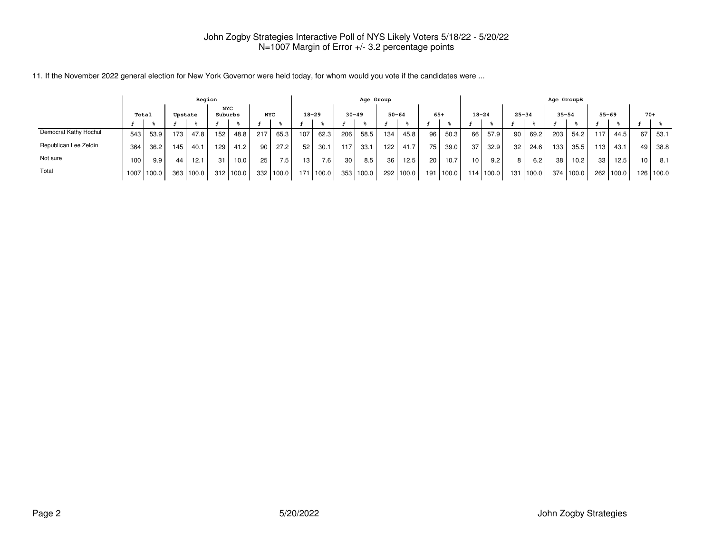|                       | Region |            |     |           |                       |           |                 |       |                 |                  |           | Age Group |     |           |                 |           |                 |           |                 |       | Age GroupB |           |     |           |                 |             |
|-----------------------|--------|------------|-----|-----------|-----------------------|-----------|-----------------|-------|-----------------|------------------|-----------|-----------|-----|-----------|-----------------|-----------|-----------------|-----------|-----------------|-------|------------|-----------|-----|-----------|-----------------|-------------|
|                       | Total  |            |     | Upstate   | <b>NYC</b><br>Suburbs |           | <b>NYC</b>      |       | $18 - 29$       |                  | $30 - 49$ |           |     | $50 - 64$ | $65+$           |           | $18 - 24$       |           | $25 - 34$       |       | $35 - 54$  |           |     | $55 - 69$ | $70+$           |             |
|                       |        |            |     |           |                       |           |                 |       |                 |                  |           |           |     |           |                 |           |                 |           |                 |       |            |           |     |           |                 |             |
| Democrat Kathy Hochul | 543    | 53.9       | 173 | 47.8      | 152                   | 48.8      | 2171            | 65.3  | 107             | 62.3             | 206       | 58.5      | 134 | 45.8      | 96 I            | 50.3      | 66 I            | 57.9      | 90              | 69.2  | 203        | 54.2      | 117 | 44.5      | 67              | 53.1        |
| Republican Lee Zeldin | 364    | 36.2       | 145 | 40.1      | 129                   | 41.2      | 90 <sub>1</sub> | 27.2  | 52 <sub>1</sub> | 30.1             | 117.      | 33.1      | 122 | 41.7      | 75              | 39.0      | 371             | 32.9      | 32 <sub>1</sub> | 24.6  | 133        | 35.5      | 113 | 43.1      | 49              | 38.8        |
| Not sure              | 100    | 9.9        | 44  | 12.1      | 31                    | 10.0      | 25              | 7.51  | 13              | 7.6 <sub>1</sub> | 30        | 8.5       | 36  | 12.5      | 20 <sup>1</sup> | 10.7      | 10 <sup>1</sup> | 9.2       | 8               | 6.2   | 38         | 10.2      | 33  | 12.5      | 10 <sup>°</sup> | 8.1         |
| Total                 |        | 1007 100.0 |     | 363 100.0 |                       | 312 100.0 | 332 l           | 100.0 | 171             | 100.0            |           | 353 100.0 |     | 292 100.0 |                 | 191 100.0 |                 | 114 100.0 | 131             | 100.0 |            | 374 100.0 | 262 | 100.0     |                 | 126   100.0 |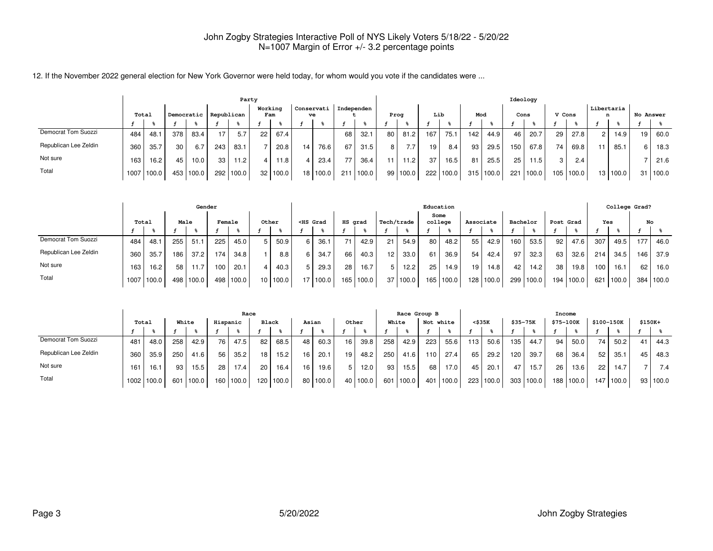|                       |       |            |     |            |            | Party |                |            |    |                  |            |       |    |                   |     |           |     |           | Ideology |       |        |           |            |          |    |           |
|-----------------------|-------|------------|-----|------------|------------|-------|----------------|------------|----|------------------|------------|-------|----|-------------------|-----|-----------|-----|-----------|----------|-------|--------|-----------|------------|----------|----|-----------|
|                       | Total |            |     | Democratic | Republican |       | Working<br>Fam |            |    | Conservati<br>ve | Independen |       |    | Prog              | Lib |           | Mod |           | Cons     |       | V Cons |           | Libertaria | n        |    | No Answer |
|                       |       |            |     |            |            |       |                |            |    |                  |            |       |    |                   |     |           |     |           |          |       |        |           |            |          |    |           |
| Democrat Tom Suozzi   | 484   | 48.7       | 378 | 83.4       | 17         | 5.7   | 22             | 67.4       |    |                  | 68         | 32.1  | 80 | 81.2              | 167 | 75.1      | 142 | 44.9      | 46       | 20.7  | 29     | 27.8      |            | 14.9     | 19 | 60.0      |
| Republican Lee Zeldin | 360   | 35.7       | 30  | 6.7        | 243        | 83.1  |                | 20.8       | 14 | 76.6             | 67         | 31.5  | 8  | 7.7               | 19  | 8.4       | 93  | 29.5      | 150      | 67.8  | 74     | 69.8      |            | 85.1     | 6. | 18.3      |
| Not sure              | 163   | 16.2       | 45  | 10.0       | 33         | 11.2  |                | 11.8       |    | 23.4             |            | 36.4  |    | 11.2 <sub>1</sub> | 37  | 16.5      | 81  | 25.5      | 25       | 1.5   | 3      | 2.4       |            |          |    | 21.6      |
| Total                 |       | 1007 100.0 | 453 | 100.0      | 292        | 100.0 |                | 32   100.0 |    | 18   100.0       | 211        | 100.0 |    | 99 100.0          |     | 222 100.0 |     | 315 100.0 | 221      | 100.0 |        | 105 100.0 |            | 13 100.0 | 31 | 100.0     |

|                       |       |       |     | Gender    |     |        |       |          |                                                                                                                                                                                                                                                   |            |         |             |                 |            |    | Education       |           |       |          |       |           |       |     | College Grad? |     |           |
|-----------------------|-------|-------|-----|-----------|-----|--------|-------|----------|---------------------------------------------------------------------------------------------------------------------------------------------------------------------------------------------------------------------------------------------------|------------|---------|-------------|-----------------|------------|----|-----------------|-----------|-------|----------|-------|-----------|-------|-----|---------------|-----|-----------|
|                       | Total |       |     | Male      |     | Female | Other |          | <hs grad<="" th=""><th></th><th>HS grad</th><th></th><th>Tech/trade</th><th></th><th></th><th>Some<br/>college</th><th>Associate</th><th></th><th>Bachelor</th><th></th><th>Post Grad</th><th></th><th>Yes</th><th></th><th>No</th><th></th></hs> |            | HS grad |             | Tech/trade      |            |    | Some<br>college | Associate |       | Bachelor |       | Post Grad |       | Yes |               | No  |           |
|                       |       |       |     |           |     |        |       |          |                                                                                                                                                                                                                                                   |            |         |             |                 |            |    |                 |           |       |          |       |           |       |     |               |     |           |
| Democrat Tom Suozzi   | 484   | 48.1  | 255 | 51.1      | 225 | 45.0   | 5     | 50.9     | 6.                                                                                                                                                                                                                                                | 36.1       | 71.     | 42.9        | 21              | 54.9       | 80 | 48.2            | 55        | 42.9  | 160      | 53.5  | 92        | 47.6  | 307 | 49.5          | 177 | 46.0      |
| Republican Lee Zeldin | 360   | 35.7  | 186 | 37.2      | 174 | 34.8   |       | 8.8      | 6.                                                                                                                                                                                                                                                | 34.7       | 66      | 40.3        | 12 <sub>1</sub> | 33.0       | 61 | 36.9            | 54        | 42.4  | 97       | 32.3  | 63        | 32.6  | 214 | 34.5 l        | 146 | 37.9      |
| Not sure              | 163   | 16.2  | 58  | 11.7      | 100 | 20.1   |       | 40.3     |                                                                                                                                                                                                                                                   | 29.3       | 28      | 16.7        | 5               | 12.2       | 25 | 14.9            | 19        | 14.8  | 42.      | 14.2  | 38        | 19.8  | 100 | 16.1          | 62  | 16.0      |
| Total                 | 1007  | 100.0 |     | 498 100.0 | 498 | 100.0  |       | 10 100.0 |                                                                                                                                                                                                                                                   | 17   100.0 |         | 165   100.0 |                 | 37   100.0 |    | 165 100.0       | 128       | 100.0 | 299      | 100.0 | 194       | 100.0 | 621 | 100.0         |     | 384 100.0 |

|                       | Race  |            |     |       |                 |           |                 |           |      |       |    |          |       | Race Group B |     |           |     |        |          |       | Income    |       |            |       |          |            |
|-----------------------|-------|------------|-----|-------|-----------------|-----------|-----------------|-----------|------|-------|----|----------|-------|--------------|-----|-----------|-----|--------|----------|-------|-----------|-------|------------|-------|----------|------------|
|                       | Total |            |     | White | Hispanic        |           | Black           |           |      | Asian |    | Other    | White |              |     | Not white |     | <\$35K | \$35-75K |       | \$75-100K |       | \$100-150K |       | $$150K+$ |            |
|                       |       |            |     |       |                 |           |                 |           |      |       |    |          |       |              |     |           |     |        |          |       |           |       |            |       |          |            |
| Democrat Tom Suozzi   | 481   | 48.0       | 258 | 42.9  | 76              | 47.5      | 82              | 68.5      | 48   | 60.3  | 16 | 39.8     | 258   | 42.9         | 223 | 55.6      | 113 | 50.6   | 135      | 44.7  | 94        | 50.0  | 74         | 50.21 | 41       | 44.3       |
| Republican Lee Zeldin | 360   | 35.9       | 250 | 41.6  | 56 <sub>1</sub> | 35.2      | 18 <sub>1</sub> | 15.2      | 16   | 20.1  | 19 | 48.2     | 250   | 41.6         | 110 | 27.4      | 65  | 29.2   | 120      | 39.7  | 68        | 36.4  | 52         | 35.1  | 45       | 48.3       |
| Not sure              | 161   | 16.1       | 93  | 15.5  | 28              | 17.4      | 20              | 16.4      | 16   | 19.6  | 5. | 12.0     | 93    | 15.5         | 68  | 17.0      | 45  | 20.1   | 47       | 15.7  | 26        | 13.6  | 22         | 14.7  |          | 7.4        |
| Total                 |       | 1002 100.0 | 601 | 100.0 |                 | 160 100.0 |                 | 120 100.0 | 80 I | 100.0 |    | 40 100.0 | 601   | 100.0        | 401 | 1100.0    | 223 | 100.0  | 303      | 100.0 | 188       | 100.0 | 147.       | 100.0 |          | 93   100.0 |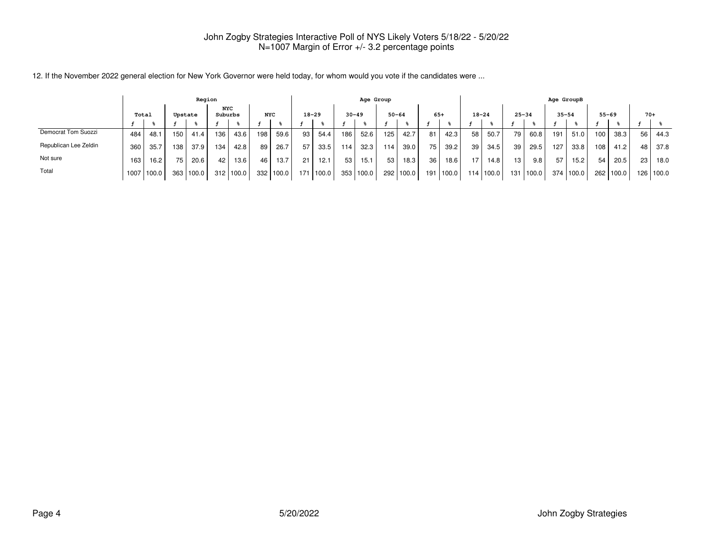|                       | Region           |            |                  |       |         |            |                  |       |                 |           |                  |           | Age Group       |           |                 |       |           |           |                 |           | Age GroupB |           |     |           |       |       |
|-----------------------|------------------|------------|------------------|-------|---------|------------|------------------|-------|-----------------|-----------|------------------|-----------|-----------------|-----------|-----------------|-------|-----------|-----------|-----------------|-----------|------------|-----------|-----|-----------|-------|-------|
|                       | Total<br>Upstate |            |                  |       | Suburbs | <b>NYC</b> | <b>NYC</b>       |       |                 | $18 - 29$ | $30 - 49$        |           |                 | $50 - 64$ | $65+$           |       | $18 - 24$ |           |                 | $25 - 34$ |            | $35 - 54$ |     | $55 - 69$ | $70+$ |       |
|                       |                  |            |                  |       |         |            |                  |       |                 |           |                  |           |                 |           |                 |       |           |           |                 |           |            |           |     |           |       |       |
| Democrat Tom Suozzi   | 484              | 48.1       | 150 <sub>1</sub> | 41.4  | 136     | 43.6       | 198              | 59.6  | 93              | 54.4      | 186 <sub>1</sub> | 52.6      | 125.            | 42.7      | 81              | 42.3  | 58        | 50.7      | 79,             | 60.8      | 191        | 51.0      | 100 | 38.3      | 56    | 44.3  |
| Republican Lee Zeldin | 360              | 35.7       | 138              | 37.9  | 134     | 42.8       | 89               | 26.7  | 57 <sub>1</sub> | 33.5      | 114              | 32.3      | 114             | 39.0      | 75              | 39.2  | 39        | 34.5      | 39              | 29.5      | 127        | 33.8      | 108 | 41.2      | 48    | 37.8  |
| Not sure              | 163              | 16.2       | 75 I             | 20.6  | 42      | 13.6       | 46               | 13.7  | 21              | 12.1      | 53 <sub>1</sub>  | 15.1      | 53 <sub>1</sub> | 18.3      | 36 <sub>1</sub> | 18.6  |           | 14.8      | 13 <sub>1</sub> | 9.8       | 57         | 15.2      | 54  | 20.5      | 23    | 18.0  |
| Total                 |                  | 1007 100.0 | 363              | 100.0 |         | 312 100.0  | 332 <sub>1</sub> | 100.0 | 171             | 1100.0    |                  | 353 100.0 |                 | 292 100.0 | 191             | 100.0 |           | 114 100.0 | 131             | 100.0     | 374        | 100.0     |     | 262 100.0 | 126   | 100.0 |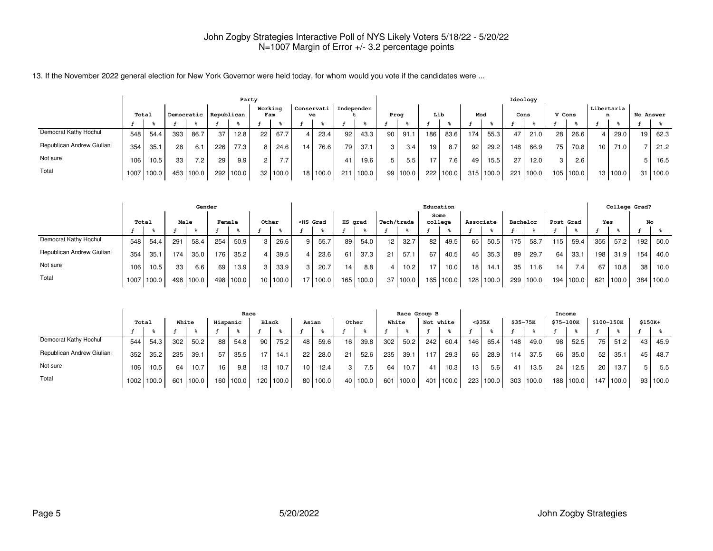|                            |       |       |     |            |            | Party |                |          |                 |                  |     |            |                |            |     |           |     |       |     | Ideology |        |                  |                 |                   |    |                  |
|----------------------------|-------|-------|-----|------------|------------|-------|----------------|----------|-----------------|------------------|-----|------------|----------------|------------|-----|-----------|-----|-------|-----|----------|--------|------------------|-----------------|-------------------|----|------------------|
|                            | Total |       |     | Democratic | Republican |       | Working<br>Fam |          |                 | Conservati<br>ve |     | Independen |                | Proa       | Lib |           | Mod |       |     | Cons     | V Cons |                  |                 | Libertaria<br>n   |    | <b>No Answer</b> |
|                            |       |       |     |            |            |       |                |          |                 |                  |     |            |                |            |     |           |     |       |     |          |        |                  |                 |                   |    |                  |
| Democrat Kathy Hochul      | 548   | 54.4  | 393 | 86.7       | 37         | 12.8  | 22             | 67.7     |                 | 23.4             | 92  | 43.3       | 90             | 91.1       | 186 | 83.6      | 174 | 55.3  | 47  | 21.0     | 28     | 26.6             |                 | 29.0              | 19 | 62.3             |
| Republican Andrew Giuliani | 354   | 35.1  | 28  | 6.1        | 226        | 77.3  | 8 <sup>1</sup> | 24.6     | 14              | 76.6             | 79  | 37.1       | 3 <sup>1</sup> | 3.4        | 19  | 8.7       | 92  | 29.2  | 148 | 66.9     | 75.    | 70.8             | 10 <sub>1</sub> | 71.0 <sub>1</sub> |    | 21.2             |
| Not sure                   | 106   | 10.5  | 33  | 7.2        | 29         | 9.9   | $\mathcal{D}$  | 7.7      |                 |                  | -41 | 19.6       | 5 I            | 5.5        | 17  | 7.6       | 49  | 15.5  | 27  | 12.0     | 3      | 2.6 <sub>1</sub> |                 |                   |    | 16.5             |
| Total                      | 1007  | 100.0 | 453 | 100.0      | 292        | 100.0 |                | 32 100.0 | 18 <sup>1</sup> | 100.0            | 211 | 100.0      |                | 99   100.0 |     | 222 100.0 | 315 | 100.0 | 221 | 100.0    | 105    | 100.0            |                 | 13 100.0          | 31 | 100.0            |

|                            |       |            |     | Gender    |        |       |       |          |                                                                                                                                                                                                                                              |       |                 |             |            |               |         | Education |           |       |          |       |                 |       |     | College Grad? |     |       |
|----------------------------|-------|------------|-----|-----------|--------|-------|-------|----------|----------------------------------------------------------------------------------------------------------------------------------------------------------------------------------------------------------------------------------------------|-------|-----------------|-------------|------------|---------------|---------|-----------|-----------|-------|----------|-------|-----------------|-------|-----|---------------|-----|-------|
|                            | Total |            |     | Male      | Female |       | Other |          | <hs grad<="" th=""><th></th><th>HS grad</th><th></th><th>Tech/trade</th><th></th><th>college</th><th>Some</th><th>Associate</th><th></th><th>Bachelor</th><th></th><th>Post Grad</th><th></th><th>Yes</th><th></th><th>No</th><th></th></hs> |       | HS grad         |             | Tech/trade |               | college | Some      | Associate |       | Bachelor |       | Post Grad       |       | Yes |               | No  |       |
|                            |       |            |     |           |        |       |       |          |                                                                                                                                                                                                                                              |       |                 |             |            |               |         |           |           |       |          |       |                 |       |     |               |     |       |
| Democrat Kathy Hochul      | 548   | 54.4       | 291 | 58.4      | 254    | 50.9  |       | 26.6     | 9                                                                                                                                                                                                                                            | 55.7  | 89              | 54.0        | 12 I       | 32.7          | 82      | 49.5      | 65        | 50.5  | 175      | 58.7  | 115             | 59.4  | 355 | 57.2          | 192 | 50.0  |
| Republican Andrew Giuliani | 354   | 35.1       | 174 | 35.0      | 176    | 35.2  |       | 39.5     |                                                                                                                                                                                                                                              | 23.6  | 61              | 37.3        | 21         | 57.1          | 67      | 40.5      | 45        | 35.3  | 89       | 29.7  | 64              | 33.1  | 198 | 31.9          | 154 | 40.0  |
| Not sure                   | 106   | 10.5       | 33  | 6.6       | 69     | 13.9  |       | 33.9     |                                                                                                                                                                                                                                              | 20.7  | 14 <sub>1</sub> | 8.8         | 4 I        | 10.2          | 17      | 10.0      | 18        | 14.1  | 35       | 11.6  | 14 <sub>1</sub> | 7.41  | 67  | 10.8          | 38  | 10.0  |
| Total                      |       | 1007 100.0 |     | 498 100.0 | 498    | 100.0 |       | 10 100.0 | 17                                                                                                                                                                                                                                           | 100.0 |                 | 165   100.0 | 37         | $\vert$ 100.0 | 165     | 100.0     | 128       | 100.0 | 299      | 100.0 | 194             | 100.0 | 621 | $'100.0$ ,    | 384 | 100.0 |

|                            | Race  |            |     |       |          |           |       |           |                 |       |     |          |       | Race Group B |     |           |     |        |          |       | Income    |       |      |            |          |            |
|----------------------------|-------|------------|-----|-------|----------|-----------|-------|-----------|-----------------|-------|-----|----------|-------|--------------|-----|-----------|-----|--------|----------|-------|-----------|-------|------|------------|----------|------------|
|                            | Total |            |     | White | Hispanic |           | Black |           |                 | Asian |     | Other    | White |              |     | Not white |     | <\$35K | \$35-75K |       | \$75-100K |       |      | \$100-150K | $$150K+$ |            |
|                            |       |            |     |       |          |           |       |           |                 |       |     |          |       |              |     |           |     |        |          |       |           |       |      |            |          |            |
| Democrat Kathy Hochul      | 544   | 54.3       | 302 | 50.2  | 88       | 54.8      | 90    | 75.2      | 48              | 59.6  | 16  | 39.8     | 302   | 50.2         | 242 | 60.4      | 146 | 65.4   | 148      | 49.0  | 98        | 52.5  | 75   | 51.2       | 43       | 45.9       |
| Republican Andrew Giuliani | 352   | 35.2       | 235 | 39.1  | 57       | 35.5      | 17.   | 14.1      | 22              | 28.0  | 21  | 52.6     | 235   | 39.1         | 117 | 29.3      | 65  | 28.9   | 114      | 37.5  | 66        | 35.0  | 52   | 35.1       | 45       | 48.7       |
| Not sure                   | 106   | 10.5       | 64  | 10.7  | 16       | 9.8       | 13    | 10.7      | 10 <sub>1</sub> | 12.4  | 3 I | 7.5      | 64    | 10.7         | 41  | 10.3      | 13  | 5.6    |          | 13.5  | 24        | 12.5  | 20   | 13.7       |          | 5.5        |
| Total                      |       | 1002 100.0 | 601 | 100.0 |          | 160 100.0 |       | 120 100.0 | 80 I            | 100.0 |     | 40 100.0 | 601   | 100.0        | 401 | 1100.0    | 223 | 100.0  | 303      | 100.0 | 188       | 100.0 | 147. | 100.0      |          | 93   100.0 |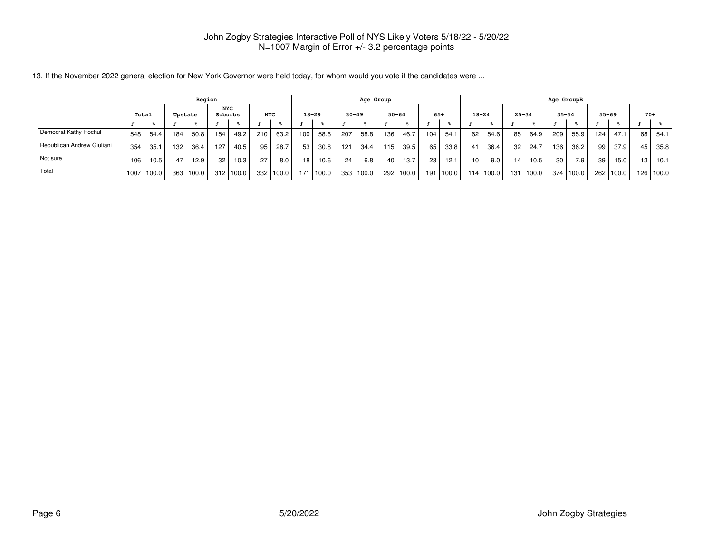|                            | Region           |       |      |           |         |       |            |             |     |           |     | Age Group |     |           |                 |        |           |       |           |       | Age GroupB      |           |     |           |       |             |
|----------------------------|------------------|-------|------|-----------|---------|-------|------------|-------------|-----|-----------|-----|-----------|-----|-----------|-----------------|--------|-----------|-------|-----------|-------|-----------------|-----------|-----|-----------|-------|-------------|
|                            | Total<br>Upstate |       |      |           | Suburbs | NYC   | <b>NYC</b> |             |     | $18 - 29$ |     | $30 - 49$ |     | $50 - 64$ | $65+$           |        | $18 - 24$ |       | $25 - 34$ |       | $35 - 54$       |           |     | $55 - 69$ | $70+$ |             |
|                            |                  |       |      |           |         |       |            |             |     |           |     |           |     |           |                 |        |           |       |           |       |                 |           |     |           |       |             |
| Democrat Kathy Hochul      | 548              | 54.4  | 184  | 50.8      | 154     | 49.2  | 210        | 63.2        | 100 | 58.6      | 207 | 58.8      | 136 | 46.7      | 104             | 54.    | 62        | 54.6  | 85 l      | 64.9  | 209             | 55.9      | 124 | 47.1      | 68    | -54.1       |
| Republican Andrew Giuliani | 354              | 35.1  | 132. | 36.4      | 127     | 40.5  | 95         | 28.7        | 53  | 30.8      | 121 | 34.4      | 115 | 39.5      | 65 l            | 33.8   | 41        | 36.4  | 32        | 24.7  | 136             | 36.2      | 99  | 37.9      | 45    | 35.8        |
| Not sure                   | 106              | 10.5  | 47   | 12.9      | 32      | 10.3  | 27         | 8.0         | 18  | 10.6      | 24  | 6.8       | 40  | 13.7      | 23 <sub>1</sub> | 12.1   | 10.       | 9.0   | 14        | 10.5  | 30 <sub>1</sub> | 7.9       | 39  | 15.0      |       | $13$   10.1 |
| Total                      | 1007             | 100.0 |      | 363 100.0 | 312     | 100.0 |            | 332   100.0 | 171 | 100.0     |     | 353 100.0 |     | 292 100.0 | 191             | 1100.0 | 114       | 100.0 | 131       | 100.0 |                 | 374 100.0 | 262 | 100.0     |       | 126   100.0 |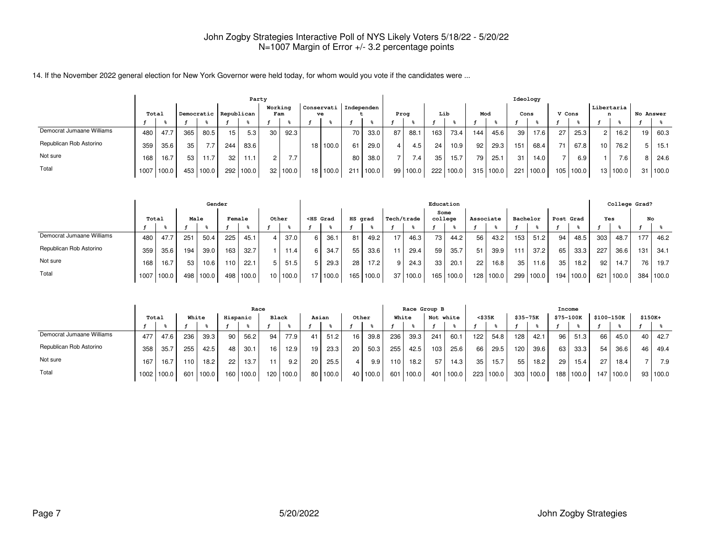|                           |       |       |     |            |                 |       | Party  |                |                               |      |       |      |       |     |       |     |       |                 | Ideology |        |       |                 |          |    |                  |
|---------------------------|-------|-------|-----|------------|-----------------|-------|--------|----------------|-------------------------------|------|-------|------|-------|-----|-------|-----|-------|-----------------|----------|--------|-------|-----------------|----------|----|------------------|
|                           | Total |       |     | Democratic | Republican      |       |        | Working<br>Fam | Conservati   Independen<br>ve |      |       | Prog |       | Lib |       | Mod |       | Cons            |          | V Cons |       | Libertaria<br>n |          |    | <b>No Answer</b> |
|                           |       |       |     |            |                 |       |        |                |                               |      |       |      |       |     |       |     |       |                 |          |        |       |                 |          |    |                  |
| Democrat Jumaane Williams | 480   | 47.7  | 365 | 80.5       | 15              | 5.3   | 30 I   | 92.3           |                               | 70 I | 33.0  | 87   | 88.1  | 163 | 73.4  | 144 | 45.6  | 39 <sup>°</sup> | 17.6     | 27     | 25.3  | $\sim$          | 16.2     | 19 | 60.3             |
| Republican Rob Astorino   | 359   | 35.6  | 35  | 7.7        | 244             | 83.6  |        |                | 18 100.0                      | 6    | 29.0  |      | 4.5   | 24  | 10.9  | 92  | 29.3  | 151             | 68.4     | 74     | 67.8  | 10 <sub>1</sub> | 76.2     | 5  | 15.1             |
| Not sure                  | 168   | 16.7  | 53  | 11.7       | 32 <sub>1</sub> | 11.1  | $\sim$ | 7.7            |                               | 80   | 38.0  |      | 7.4   | 35  | 15.7  | 79  | 25.1  | 31              | 14.0     |        | 6.9   |                 | 7.6      |    | 24.6             |
| Total                     | 1007  | 100.0 | 453 | 100.0      | 292             | 100.0 |        | 32 100.0       | 18 100.0                      | 211  | 100.0 | 99   | 100.0 | 222 | 100.0 | 315 | 100.0 | 221             | 100.0    | 105    | 100.0 |                 | 13 100.0 | 31 | 100.0            |

|                           | Gender |       |      |        |        |       |                 |       |    |                                                                                                                                                                                                                                     |         |       |            |       |         | Education |                 |           |                 |          |                  |           |     | College Grad? |     |       |
|---------------------------|--------|-------|------|--------|--------|-------|-----------------|-------|----|-------------------------------------------------------------------------------------------------------------------------------------------------------------------------------------------------------------------------------------|---------|-------|------------|-------|---------|-----------|-----------------|-----------|-----------------|----------|------------------|-----------|-----|---------------|-----|-------|
|                           | Total  |       | Male |        | Female |       |                 | Other |    | <hs grad<="" th=""><th>HS grad</th><th></th><th>Tech/trade</th><th></th><th>college</th><th>Some</th><th>Associate</th><th></th><th></th><th>Bachelor</th><th></th><th>Post Grad</th><th>Yes</th><th></th><th>No</th><th></th></hs> | HS grad |       | Tech/trade |       | college | Some      | Associate       |           |                 | Bachelor |                  | Post Grad | Yes |               | No  |       |
|                           |        |       |      |        |        |       |                 |       |    |                                                                                                                                                                                                                                     |         |       |            |       |         |           |                 |           |                 |          |                  |           |     |               |     |       |
| Democrat Jumaane Williams | 480    | 47.7  | 251  | 50.4   | 225    | 45.1  |                 | 37.0  | 6. | 36.1                                                                                                                                                                                                                                | 81      | 49.2  | 17         | 46.3  | 73      | 44.2      | 56 I            | 43.2      | 153             | 51.2     | 94               | 48.5      | 303 | 48.7          | 177 | 46.2  |
| Republican Rob Astorino   | 359    | 35.6  | 194  | 39.0   | 163    | 32.7  |                 | 11.4. | 6  | 34.7                                                                                                                                                                                                                                | 55      | 33.6  |            | 29.4  | 59      | 35.7      | 51              | 39.9      | 111             | 37.2     | 65               | 33.3      | 227 | 36.6          | 131 | 34.1  |
| Not sure                  | 168    | 16.7  | 53   | 10.6   | 110    | 22.1  | -5              | 51.5  |    | 29.3                                                                                                                                                                                                                                | 28      | 17.2  |            | 24.31 | 33      | 20.1      | 22 <sub>1</sub> | 16.8      | 35 <sup>1</sup> | 11.6     | 35               | 18.2      | 92  | 14.7          | 76  | 19.7  |
| Total                     | 1007   | 100.0 | 498  | '100.0 | 498    | 100.0 | 10 <sup>1</sup> | 100.0 |    | 17 100.0                                                                                                                                                                                                                            | 165     | 100.0 | 37         | 100.0 | 165 l   | 100.0     |                 | 128 100.0 | 299             | 100.0    | 194 <sub>1</sub> | 100.0     | 621 | 100.0         | 384 | 100.0 |

|                           |                   |       |      |       |          | Race  |                 |           |    |       |       |          |       | Race Group B |     |           |              |       |                  |                  | Income           |       |                 |            |          |          |
|---------------------------|-------------------|-------|------|-------|----------|-------|-----------------|-----------|----|-------|-------|----------|-------|--------------|-----|-----------|--------------|-------|------------------|------------------|------------------|-------|-----------------|------------|----------|----------|
|                           | Total             |       |      | White | Hispanic |       | <b>Black</b>    |           |    | Asian | Other |          | White |              |     | Not white | $<$ \$35 $K$ |       | $$35 - 75K$      |                  | <b>\$75-100K</b> |       |                 | \$100-150K | $$150K+$ |          |
|                           |                   |       |      |       |          |       |                 |           |    |       |       |          |       |              |     |           |              |       |                  |                  |                  |       |                 |            |          |          |
| Democrat Jumaane Williams | 477               | 47.6  | 236  | 39.3  | 90       | 56.2  | 94              | 77.9      | 41 | 51.2  | 16    | 39.8     | 236   | 39.3         | 241 | 60.1      | 122          | 54.8  | 128 <sub>1</sub> | 42.1             | 96               | 51.3  | 66              | 45.0       | 40       | 42.7     |
| Republican Rob Astorino   | 358               | 35.7  | 255  | 42.5  | 48       | 30.1  | 16 <sub>1</sub> | 12.9      | 19 | 23.3  | 20    | 50.3     | 255   | 42.5         | 103 | 25.6      | 66           | 29.5  | 120              | 39.6             | 63               | 33.3  | 54              | 36.6       | 46       | 49.4     |
| Not sure                  | 167               | 16.7  | 110. | 18.2  | 22       | 13.7  |                 | 9.2       | 20 | 25.5  |       | 9.9      | 110   | 18.2         | 57  | 14.3      | 35           | 15.7  | 55               | 18.2             | 29               | 15.4  | 27 <sub>1</sub> | 18.4       |          | 7.9      |
| Total                     | 1002 <sub>1</sub> | 100.0 | 601  | 100.0 | 160      | 100.0 |                 | 120 100.0 | 80 | 100.0 |       | 40 100.0 | 601   | 100.0        | 401 | 100.0     | 223          | 100.0 |                  | $303 \mid 100.0$ | 188 l            | 100.0 | 147             | 100.0      |          | 93 100.0 |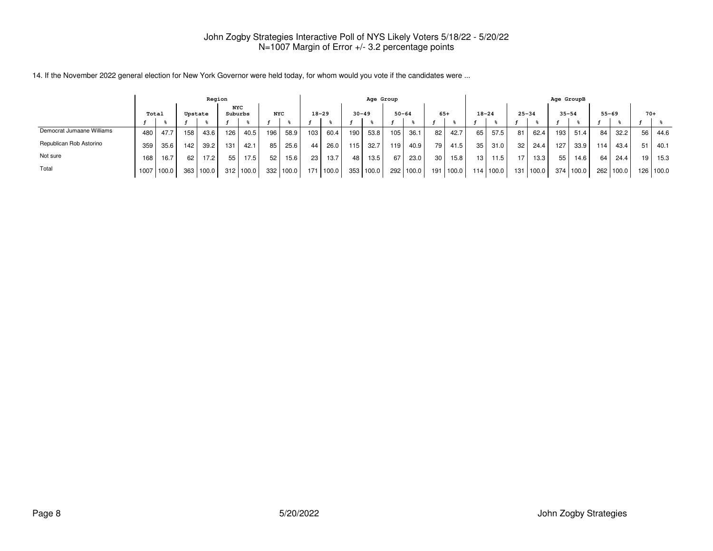|                           | Region           |       |     |       |     |                       |            |       |                  |           |     | Age Group |           |       |     |       |           |       |                 |       | Age GroupB |           |           |           |                 |        |
|---------------------------|------------------|-------|-----|-------|-----|-----------------------|------------|-------|------------------|-----------|-----|-----------|-----------|-------|-----|-------|-----------|-------|-----------------|-------|------------|-----------|-----------|-----------|-----------------|--------|
|                           | Total<br>Upstate |       |     |       |     | <b>NYC</b><br>Suburbs | <b>NYC</b> |       |                  | $18 - 29$ |     | $30 - 49$ | $50 - 64$ |       |     | $65+$ | $18 - 24$ |       | $25 - 34$       |       | $35 - 54$  |           | $55 - 69$ |           | $70+$           |        |
|                           |                  |       |     |       |     |                       |            |       |                  |           |     |           |           |       |     |       |           |       |                 |       |            |           |           |           |                 |        |
| Democrat Jumaane Williams | 480              | 47.7  | 158 | 43.6  | 126 | 40.5                  | 196        | 58.9  | 103 <sub>1</sub> | 60.4      | 190 | 53.8      | 105       | 36.1  | 82  | 42.7  | 65        | 57.5  | 81              | 62.4  | 193        | 51.4      | 84        | 32.2      | 56              | 44.6   |
| Republican Rob Astorino   | 359              | 35.6  | 142 | 39.2  | 131 | 42.1                  | 85         | 25.6  | 44               | 26.0      | 115 | 32.7      | 119       | 40.9  | 79  | 41.5  | 35        | 31.0  | 32 <sub>1</sub> | 24.4  | 127        | 33.9      | 114       | 43.4      | 51              | 40.1   |
| Not sure                  | 168              | 16.7  | 62  | 17.21 | 55  | 17.5                  | 52         | 15.6  | 23 L             | 13.7      | 48  | 13.5      | 67        | 23.0  | 30  | 15.8  | 13        | 11.5  | 17              | 13.3  | 55         | 14.6      | 64        | 24.4      | 19 <sub>1</sub> | 15.3   |
| Total                     | 1007             | 100.0 | 363 | 100.0 | 312 | 100.0                 | 3321       | 100.0 | 171              | 100.0     |     | 353 100.0 | 292       | 100.0 | 191 | 100.0 | 114       | 100.0 | 131 L           | 100.0 |            | 374 100.0 |           | 262 100.0 | 126             | 1100.0 |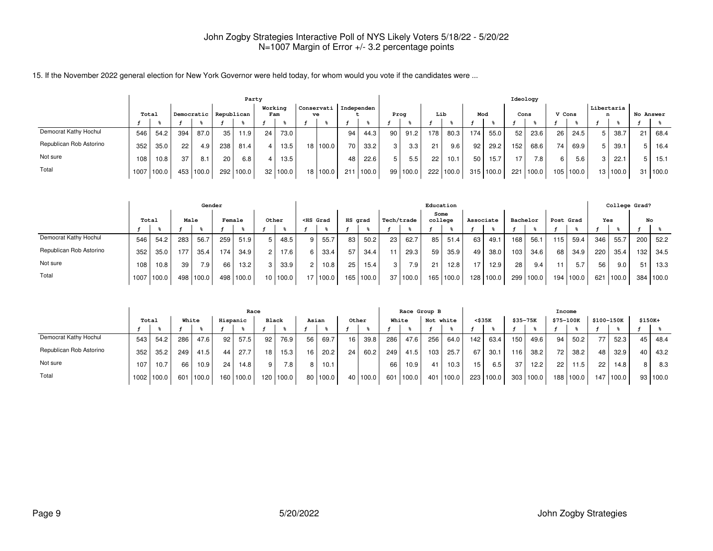|                         |       |            |     |                       |     |       |         |            |                    |    |            | Ideology |          |     |       |     |           |      |                  |                 |       |                 |          |    |           |
|-------------------------|-------|------------|-----|-----------------------|-----|-------|---------|------------|--------------------|----|------------|----------|----------|-----|-------|-----|-----------|------|------------------|-----------------|-------|-----------------|----------|----|-----------|
|                         | Total |            |     | Democratic Republican |     |       | Working | Fam        | Conservati  <br>ve |    | Independen | Prog     |          | Lib |       | Mod |           | Cons |                  | V Cons          |       | Libertaria<br>n |          |    | No Answer |
|                         |       |            |     |                       |     |       |         |            |                    |    |            |          |          |     |       |     |           |      |                  |                 |       |                 |          |    |           |
| Democrat Kathy Hochul   | 546   | 54.2       | 394 | 87.0                  | 35  | 11.9  | 24      | 73.0       |                    | 94 | 44.3       | 90       | 91.2     | 178 | 80.3  | 174 | 55.0      | 52   | 23.6             | 26 <sub>1</sub> | 24.5  |                 | 38.7     | 21 | 68.4      |
| Republican Rob Astorino | 352   | 35.0       | 22  | 4.9                   | 238 | 81.4  |         | 13.5       | 18 100.0           | 70 | 33.2       | 3        | 3.3      | 21  | 9.6   | 92  | 29.2      | 152  | 68.6             | 74 <sub>1</sub> | 69.9  |                 | 39.1     | 5  | 16.4      |
| Not sure                | 108   | 10.8       | 37  | 8.1                   | 20  | 6.8   |         | 13.5       |                    | 48 | 22.6       | 5        | 5.5      | 22  | 10.1  | 50  | 15.7      | 17   | 7.8 <sub>1</sub> | 6               | 5.6   | 3               | 22.1     | 5  | 15.1      |
| Total                   |       | 1007 100.0 |     | 453 100.0             | 292 | 100.0 |         | 32   100.0 | 18 100.0           |    | 211 100.0  |          | 99 100.0 | 222 | 100.0 |     | 315 100.0 |      | 221 100.0        | 105             | 100.0 |                 | 13 100.0 | 31 | 100.0     |

|                         |       |       |      | Gender |        |       |       |          |                |                                                                                                                                                                                                                                          |                 |             |              |          | Education       |           |                  |       |          |       |           |        |     | College Grad? |     |           |
|-------------------------|-------|-------|------|--------|--------|-------|-------|----------|----------------|------------------------------------------------------------------------------------------------------------------------------------------------------------------------------------------------------------------------------------------|-----------------|-------------|--------------|----------|-----------------|-----------|------------------|-------|----------|-------|-----------|--------|-----|---------------|-----|-----------|
|                         | Total |       | Male |        | Female |       | Other |          |                | <hs grad<="" th=""><th>HS grad</th><th></th><th>Tech/trade</th><th></th><th>Some<br/>college</th><th></th><th>Associate</th><th></th><th>Bachelor</th><th></th><th>Post Grad</th><th></th><th>Yes</th><th></th><th></th><th>No</th></hs> | HS grad         |             | Tech/trade   |          | Some<br>college |           | Associate        |       | Bachelor |       | Post Grad |        | Yes |               |     | No        |
|                         |       |       |      |        |        |       |       |          |                |                                                                                                                                                                                                                                          |                 |             |              |          |                 |           |                  |       |          |       |           |        |     |               |     |           |
| Democrat Kathy Hochul   | 546   | 54.2  | 283  | 56.7   | 259    | 51.9  | 5     | 48.5     | 9              | 55.7                                                                                                                                                                                                                                     | 83              | 50.2        | 23           | 62.7     | 85 I            | 51.4      | 63               | 49.1  | 168      | 56.1  | 115       | 59.4   | 346 | 55.7          | 200 | 52.2      |
| Republican Rob Astorino | 352   | 35.0  | 177  | 35.4   | 174    | 34.9  | 2     | 17.6     | 6              | 33.4                                                                                                                                                                                                                                     | 57              | 34.4        | 11           | 29.3     | 59 I            | 35.9      | 49               | 38.0  | 103      | 34.6  | 68        | 34.9   | 220 | 35.4          | 132 | 34.5      |
| Not sure                | 108   | 10.8  | 39   | 7.9    | 66     | 13.2  | 3     | 33.9     | $\overline{2}$ | 10.8                                                                                                                                                                                                                                     | 25 <sub>1</sub> | 15.4        | $\mathbf{3}$ | 7.9      | 21              | 12.8      | $-1$             | 12.9  | 28       | 9.4   |           | 5.7    | 56  | 9.0           | 51  | 13.3      |
| Total                   | 1007  | 100.0 | 498  | 100.0  | 498    | 100.0 |       | 10 100.0 |                | 17 100.0                                                                                                                                                                                                                                 |                 | 165   100.0 |              | 37 100.0 |                 | 165 100.0 | 128 <sub>1</sub> | 100.0 | 299      | 100.0 | 194       | 1100.0 | 621 | 100.0         |     | 384 100.0 |

|                         |       |       |     |       |                  | Race  |              |           |       |          |       |          |     | Race Group B |     |           |        |       |             |           | Income    |       |            |       |          |          |
|-------------------------|-------|-------|-----|-------|------------------|-------|--------------|-----------|-------|----------|-------|----------|-----|--------------|-----|-----------|--------|-------|-------------|-----------|-----------|-------|------------|-------|----------|----------|
|                         | Total |       |     | White | Hispanic         |       | <b>Black</b> |           | Asian |          | Other |          |     | White        |     | Not white | <\$35K |       | $$35 - 75K$ |           | \$75-100K |       | \$100-150K |       | $$150K+$ |          |
|                         |       |       |     |       |                  |       |              |           |       |          |       |          |     |              |     |           |        |       |             |           |           |       |            |       |          |          |
| Democrat Kathy Hochul   | 543   | 54.2  | 286 | 47.6  | 92               | 57.5  | 92           | 76.9      | 56    | 69.7     | 16    | 39.8     | 286 | 47.6         | 256 | 64.0      | 142    | 63.4  | 150         | 49.6      | 94        | 50.2  |            | 52.3  | 45       | 48.4     |
| Republican Rob Astorino | 352   | 35.2  | 249 | 41.5  | 44               | 27.7  | 18           | 15.3      | 16    | 20.2     | 24    | 60.2     | 249 | 41.5         | 103 | 25.7      | 67     | 30.1  | 116         | 38.2      | 72.       | 38.2  | 48         | 32.9  | 40       | 43.2     |
| Not sure                | 107   | 10.7  | 66  | 10.9  | 24               | 14.8  | 9            | 7.8       |       | 10.1     |       |          | 66  | 10.9         | 41  | 10.3      | 15     | 6.5   | 37          | 12.2      | 22        | 11.5  | 22         | 14.8  | 8 I      | 8.3      |
| Total                   | 1002  | 100.0 | 601 | 100.0 | 160 <sub>1</sub> | 100.0 |              | 120 100.0 |       | 80 100.0 |       | 40 100.0 |     | 601 100.0    |     | 401 100.0 | 223    | 100.0 |             | 303 100.0 | 188       | 100.0 | 147        | 100.0 |          | 93 100.0 |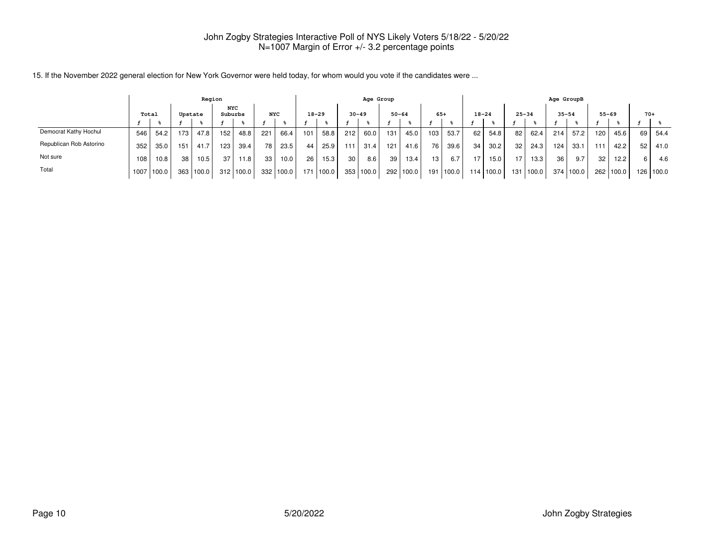|                         | Region |       |     |         |                       |                    |                  |       |     |           |           | Age Group |           |       |       |             |           |       |           |           | Age GroupB      |           |     |           |       |           |
|-------------------------|--------|-------|-----|---------|-----------------------|--------------------|------------------|-------|-----|-----------|-----------|-----------|-----------|-------|-------|-------------|-----------|-------|-----------|-----------|-----------------|-----------|-----|-----------|-------|-----------|
|                         |        | Total |     | Upstate | <b>NYC</b><br>Suburbs |                    | <b>NYC</b>       |       |     | $18 - 29$ | $30 - 49$ |           | $50 - 64$ |       | $65+$ |             | $18 - 24$ |       | $25 - 34$ |           | $35 - 54$       |           |     | $55 - 69$ | $70+$ |           |
|                         |        |       |     |         |                       |                    |                  |       |     |           |           |           |           |       |       |             |           |       |           |           |                 |           |     |           |       |           |
| Democrat Kathy Hochul   | 546    | 54.2  | 173 | 47.8    | 152                   | 48.8               | 221              | 66.4  | 101 | 58.8      | 212       | 60.0      | 131       | 45.0  | 103   | 53.7        | 62        | 54.8  | 82        | 62.4      | 214             | 57.2      | 120 | 45.6      | 69    | 54.4      |
| Republican Rob Astorino | 352    | 35.0  | 151 | 41.7    | 123                   | 39.4               | 78               | 23.5  | 44  | 25.9      | 111       | 31.4      | 121       | 41.6  | 76    | 39.6        | 34        | 30.2  | 32        | 24.3      | 124             | 33.1      | 111 | 42.2      | 52    | 41.0      |
| Not sure                | 108    | 10.8  | 38  | 10.5    | 37                    | 11.8               | 33               | 10.0  | 26  | 15.3      | 30        | 8.6       | 39        | 13.4  | 13    | 6.7         | 17        | 15.0  | 17        | 13.3      | 36 <sub>1</sub> | 9.7       | 32  | 12.2      | 6     | 4.6       |
| Total                   | 1007   | 100.0 | 363 | 100.0   | 312                   | 100.0 <sub>1</sub> | 332 <sub>1</sub> | 100.0 | 171 | 100.0     |           | 353 100.0 | 292       | 100.0 |       | 191   100.0 | 114       | 100.0 |           | 131 100.0 |                 | 374 100.0 |     | 262 100.0 |       | 126 100.0 |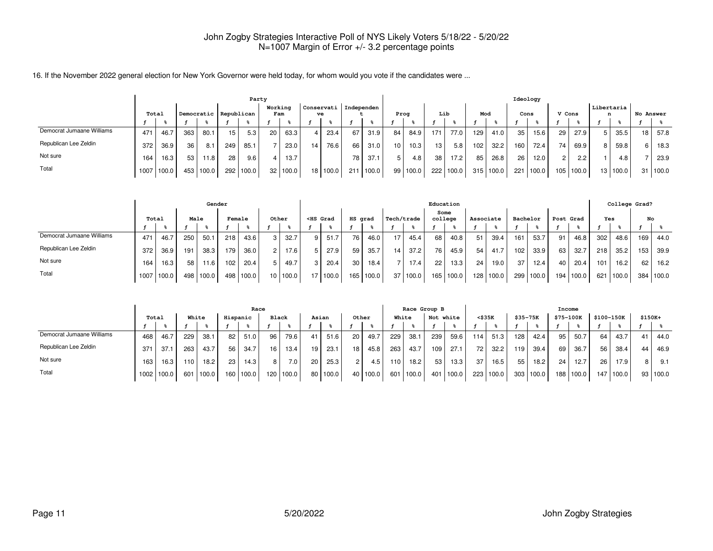|                           |                     |       |     |       |                 | Party     |                 |       |     |                         |                 |       |      |                   |                 |       |     |       |      | Ideology |        |       |                 |          |    |           |
|---------------------------|---------------------|-------|-----|-------|-----------------|-----------|-----------------|-------|-----|-------------------------|-----------------|-------|------|-------------------|-----------------|-------|-----|-------|------|----------|--------|-------|-----------------|----------|----|-----------|
|                           | Democratic<br>Total |       |     |       | Republican      |           | Working         | Fam   | ve  | Conservati   Independen |                 |       | Proa |                   |                 | Lib   | Mod |       | Cons |          | V Cons |       | Libertaria<br>n |          |    | No Answer |
|                           |                     |       |     |       |                 |           |                 |       |     |                         |                 |       |      |                   |                 |       |     |       |      |          |        |       |                 |          |    |           |
| Democrat Jumaane Williams | 471                 | 46.7  | 363 | 80.1  | 15 <sup>1</sup> | 5.3       | 20              | 63.3  | 4   | 23.4                    | 67              | 31.9  | 84   | 84.9 l            | 171             | 77.0  | 129 | 41.0  | 35   | 15.6     | 29     | 27.9  |                 | 35.5     | 18 | 57.8      |
| Republican Lee Zeldin     | 372                 | 36.9  | 36  | 8.1   | 249             | 85.1      |                 | 23.0  | 14. | 76.6                    | 66              | 31.0  | 10   | 10.3 <sub>1</sub> | 13 <sub>1</sub> | 5.8   | 102 | 32.2  | 160  | 72.4     | 74     | 69.9  | 8 I             | 59.8     | 6. | 18.3      |
| Not sure                  | 164                 | 16.3  | 53  | 11.8  | 28              | 9.6       |                 | 13.7  |     |                         | 78              | 37.1  |      | 4.8               | 38              | 17.2  | 85  | 26.8  | 26   | 12.0     | റ      | 2.2   |                 | 4.8      |    | 23.9      |
| Total                     | 1007                | 100.0 | 453 | 100.0 |                 | 292 100.0 | 32 <sub>1</sub> | 100.0 |     | 18 100.0                | 21 <sup>1</sup> | 100.0 | 99   | 100.0             | 222             | 100.0 | 315 | 100.0 | 221  | 100.0    | 105    | 100.0 |                 | 13 100.0 | 31 | 100.0     |

|                           |       |       |      | Gender |        |       |                 |       |                                                                                                                                                                                                                                     |         |       |            |       |         | Education |                 |           |                  |          |                  |           |     | College Grad? |     |       |
|---------------------------|-------|-------|------|--------|--------|-------|-----------------|-------|-------------------------------------------------------------------------------------------------------------------------------------------------------------------------------------------------------------------------------------|---------|-------|------------|-------|---------|-----------|-----------------|-----------|------------------|----------|------------------|-----------|-----|---------------|-----|-------|
|                           | Total |       | Male |        | Female |       |                 | Other | <hs grad<="" th=""><th>HS grad</th><th></th><th>Tech/trade</th><th></th><th>college</th><th>Some</th><th>Associate</th><th></th><th></th><th>Bachelor</th><th></th><th>Post Grad</th><th>Yes</th><th></th><th>No</th><th></th></hs> | HS grad |       | Tech/trade |       | college | Some      | Associate       |           |                  | Bachelor |                  | Post Grad | Yes |               | No  |       |
|                           |       |       |      |        |        |       |                 |       |                                                                                                                                                                                                                                     |         |       |            |       |         |           |                 |           |                  |          |                  |           |     |               |     |       |
| Democrat Jumaane Williams | 471   | 46.7  | 250  | 50.1   | 218    | 43.6  | 3               | 32.7  | 51.7                                                                                                                                                                                                                                | 76      | 46.0  | 17         | 45.4  | 68      | 40.8      | 51 <sub>1</sub> | 39.4      | 161 <sub>1</sub> | 53.7     | 91               | 46.8      | 302 | 48.6          | 169 | 44.0  |
| Republican Lee Zeldin     | 372   | 36.9  | 191  | 38.3   | 179    | 36.0  | $\overline{2}$  | 17.6  | 27.9                                                                                                                                                                                                                                | 59      | 35.7  | 14         | 37.2  | 76      | 45.9      | 54              | 41.7      | 102              | 33.9     | 63               | 32.7      | 218 | 35.2          | 153 | 39.9  |
| Not sure                  | 164   | 16.3  | 58   | 11.6   | 102.   | 20.4  |                 | 49.7  | 20.4                                                                                                                                                                                                                                | 30      | 18.4  |            | 17.4  | 22      | 13.3.     | 24 <sup>1</sup> | 19.0      | 371              | 12.4     | 40               | 20.4      | 101 | 16.2          | 62  | 16.2  |
| Total                     | 1007  | 100.0 | 498  | 100.0  | 498    | 100.0 | 10 <sup>1</sup> | 100.0 | 17 100.0                                                                                                                                                                                                                            | 165     | 100.0 | 37         | 100.0 | 165 l   | 100.0     |                 | 128 100.0 | 299 l            | 100.0    | 194 <sub>1</sub> | l 100.0   | 621 | 100.0         | 384 | 100.0 |

|                           |       |       |       |       |                 | Race      |              |       |    |       |       |       |       | Race Group B |           |       |                 |           |                  |           | Income          |           |            |       |         |          |
|---------------------------|-------|-------|-------|-------|-----------------|-----------|--------------|-------|----|-------|-------|-------|-------|--------------|-----------|-------|-----------------|-----------|------------------|-----------|-----------------|-----------|------------|-------|---------|----------|
|                           | Total |       | White |       | Hispanic        |           | <b>Black</b> |       |    | Asian | Other |       | White |              | Not white |       | <\$35K          |           | \$35-75K         |           | \$75-100K       |           | \$100-150K |       | \$150K+ |          |
|                           |       |       |       |       |                 |           |              |       |    |       |       |       |       |              |           |       |                 |           |                  |           |                 |           |            |       |         |          |
| Democrat Jumaane Williams | 468   | 46.7  | 229   | 38.1  | -82 l           | 51.0      | 96           | 79.6  | 41 | 51.6  | 20    | 49.7  | 229   | 38.1         | 239       | 59.6  | 114             | 51.3      | 128 <sub>1</sub> | 42.4      | 95              | 50.7      | 64         | 43.7  | 41      | 44.0     |
| Republican Lee Zeldin     | 371   | 37.1  | 263   | 43.7  | 56 I            | 34.7      | 16           | 13.4  | 19 | 23.1  | 18    | 45.8  | 263   | 43.7         | 109       | 27.1  | 72 l            | 32.2      | 119              | 39.4      | 69              | 36.7      | 56         | 38.4  | 44      | 46.9     |
| Not sure                  | 163   | 16.3  | 110   | 18.2  | 23 <sub>1</sub> | 14.3      | 8 I          | 7.0   | 20 | 25.3  | 2     | 4.5   | 110   | 18.2         | 53        | 13.3  | 37 <sub>1</sub> | 16.5      | 551              | 18.2      | 24 <sub>1</sub> | 12.7      | 26         | 17.9  |         | 9.1      |
| Total                     | 1002. | 100.0 | 601   | 100.0 |                 | 160 100.0 | 120          | 100.0 | 80 | 100.0 | 40    | 100.0 | 601 l | 100.0        | 401 L     | 100.0 |                 | 223 100.0 |                  | 303 100.0 |                 | 188 100.0 | 147        | 100.0 |         | 93 100.0 |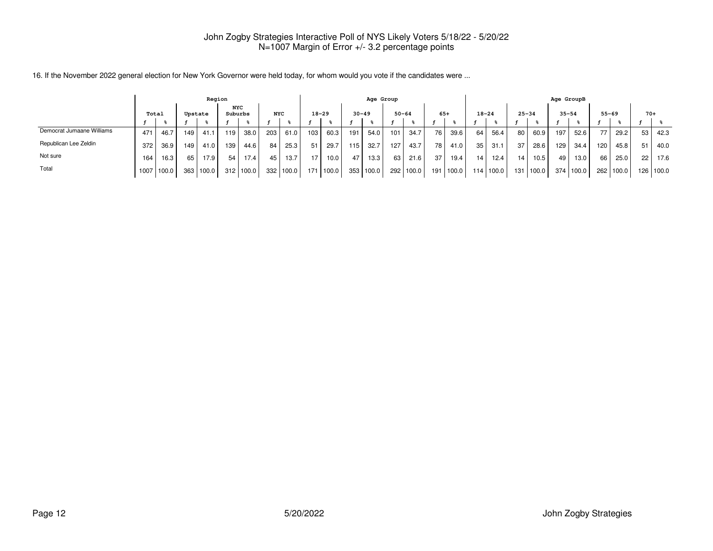|                           |       |       |         |       | Region  |             |                  |       |     |             |      | Age Group |           |       |       |       |           |           |           |                   | Age GroupB |       |           |           |       |           |
|---------------------------|-------|-------|---------|-------|---------|-------------|------------------|-------|-----|-------------|------|-----------|-----------|-------|-------|-------|-----------|-----------|-----------|-------------------|------------|-------|-----------|-----------|-------|-----------|
|                           | Total |       | Upstate |       | Suburbs | NYC         | <b>NYC</b>       |       |     | $18 - 29$   |      | $30 - 49$ | $50 - 64$ |       | $65+$ |       | $18 - 24$ |           | $25 - 34$ |                   | $35 - 54$  |       | $55 - 69$ |           | $70+$ |           |
|                           |       |       |         |       |         |             |                  |       |     |             |      |           |           |       |       |       |           |           |           |                   |            |       |           |           |       |           |
| Democrat Jumaane Williams | 471   | 46.   | 149     | 41.1  | 119.    | 38.0        | 203              | 61.0  | 103 | 60.3        | 191  | 54.0      | 101       | 34.7  | 76    | 39.6  | 64        | 56.4      | 80        | 60.9              | 197        | 52.6  |           | 29.2      | 53    | 42.3      |
| Republican Lee Zeldin     | 372   | 36.9  | 149     | 41.0  | 139     | 44.6        | 84               | 25.3  | 51  | 29.7        | 115. | 32.7      | 127       | 43.7  | 78    | 41.0  | 35        | 31.1      | 37        | 28.6              | 129        | 34.4  | 1201      | 45.8      | 51    | 40.0      |
| Not sure                  | 164   | 16.3  | 65      | 17.9  | 54      | 17.4        | 45               | 13.7  | 17  | 10.0        | 47   | 13.3      | 63        | 21.6  | 37    | 19.4  | 14        | 12.4      | 14        | 10.5 <sub>1</sub> | 49         | 13.0  | 66 l      | 25.0      | 22    | 17.6      |
| Total                     | 1007  | 100.0 | 363     | 100.0 |         | $312$ 100.0 | 332 <sub>1</sub> | 100.0 |     | 171   100.0 | 353  | 100.0     | 292       | 100.0 | 191   | 100.0 |           | 114 100.0 |           | 131   100.0       | 374 l      | 100.0 |           | 262 100.0 |       | 126 100.0 |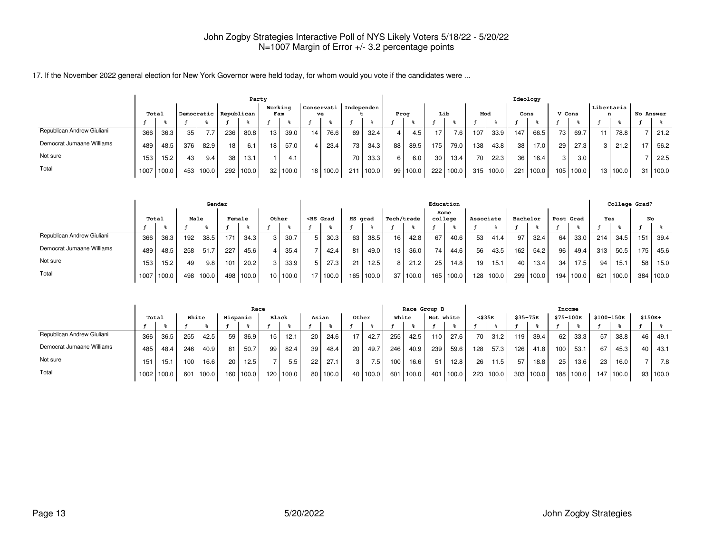|                            |                     | Party |     |       |                 |       |                 |                |      |                               |      |       |      |       |     |        |     |       |                 | Ideology |        |       |                 |          |           |       |
|----------------------------|---------------------|-------|-----|-------|-----------------|-------|-----------------|----------------|------|-------------------------------|------|-------|------|-------|-----|--------|-----|-------|-----------------|----------|--------|-------|-----------------|----------|-----------|-------|
|                            | Democratic<br>Total |       |     |       | Republican      |       |                 | Working<br>Fam |      | Conservati   Independen<br>ve |      |       | Prog |       | Lib |        | Mod |       | Cons            |          | V Cons |       | Libertaria<br>n |          | No Answer |       |
|                            |                     |       |     |       |                 |       |                 |                |      |                               |      |       |      |       |     |        |     |       |                 |          |        |       |                 |          |           |       |
| Republican Andrew Giuliani | 366                 | 36.3  | 35  | 7.7   | 236             | 80.8  | 13 <sup>1</sup> | 39.0           | 14 I | 76.6                          | 69   | 32.4  |      | 4.5   | 17  | 7.6    | 107 | 33.9  | 147             | 66.5     | 73     | 69.7  |                 | 78.8     |           | 21.2  |
| Democrat Jumaane Williams  | 489                 | 48.5  | 376 | 82.9  | 18              | 6.1   | 18 <sub>1</sub> | 57.0           | 4 I  | 23.4                          | 73   | 34.3  | 88   | 89.5  | 175 | 79.0   | 138 | 43.8  | 38 <sub>1</sub> | 17.0     | 29     | 27.3  | 3 I             | 21.2     |           | 56.2  |
| Not sure                   | 153                 | 15.2  | 43  | 9.4   | 38 <sub>1</sub> | 13.1  |                 | 4.1            |      |                               | 70 I | 33.3  |      | 6.0   | 30  | 13.4   | 70  | 22.3  | 36              | 16.4     | 3      | 3.0   |                 |          |           | 22.5  |
| Total                      | 1007                | 100.0 | 453 | 100.0 | 292             | 100.0 |                 | 32 100.0       |      | 18 100.0                      | 211  | 100.0 | 99   | 100.0 | 222 | '100.0 | 315 | 100.0 | 221             | 100.0    | 105    | 100.0 |                 | 13 100.0 | 31        | 100.0 |

|                            |       |       |      | Gender |               |       |                 |       |                                                                                                                                                                                                                                     |         |       |            |       |                 | Education |                 |           |                 |          |                  |           |     | College Grad? |     |       |
|----------------------------|-------|-------|------|--------|---------------|-------|-----------------|-------|-------------------------------------------------------------------------------------------------------------------------------------------------------------------------------------------------------------------------------------|---------|-------|------------|-------|-----------------|-----------|-----------------|-----------|-----------------|----------|------------------|-----------|-----|---------------|-----|-------|
|                            | Total |       | Male |        | <b>Female</b> |       |                 | Other | <hs grad<="" th=""><th>HS grad</th><th></th><th>Tech/trade</th><th></th><th>college</th><th>Some</th><th>Associate</th><th></th><th></th><th>Bachelor</th><th></th><th>Post Grad</th><th>Yes</th><th></th><th>No</th><th></th></hs> | HS grad |       | Tech/trade |       | college         | Some      | Associate       |           |                 | Bachelor |                  | Post Grad | Yes |               | No  |       |
|                            |       |       |      |        |               |       |                 |       |                                                                                                                                                                                                                                     |         |       |            |       |                 |           |                 |           |                 |          |                  |           |     |               |     |       |
| Republican Andrew Giuliani | 366   | 36.3  | 192  | 38.5   | 171           | 34.3  | 3               | 30.7  | 30.3                                                                                                                                                                                                                                | 63      | 38.5  | 16         | 42.8  | 67              | 40.6      | 53 I            | 41.4      | 97              | 32.4     | 64               | 33.0      | 214 | 34.5          | 151 | 39.4  |
| Democrat Jumaane Williams  | 489   | 48.5  | 258  | 51.7   | 227           | 45.6  |                 | 35.4  | 42.4                                                                                                                                                                                                                                | 81      | 49.0  | 13         | 36.0  | 74 <sub>1</sub> | 44.6      | 56 <sub>1</sub> | 43.5      | 162             | 54.2     | 96               | 49.4      | 313 | 50.5          | 175 | 45.6  |
| Not sure                   | 153   | 15.2  | 49   | 9.8    | 101           | 20.2  | 3               | 33.9  | 27.3                                                                                                                                                                                                                                | 21      | 12.5  |            | 21.2  | 25              | 14.8      | 19 <sup>1</sup> | 15.1      | 40 <sub>1</sub> | 13.4     | 34               | 17.5      | 94  | 15.1          | 58  | 15.0  |
| Total                      | 1007  | 100.0 | 498  | '100.0 | 498           | 100.0 | 10 <sup>1</sup> | 100.0 | 17 100.0                                                                                                                                                                                                                            | 165     | 100.0 | 37         | 100.0 | 165 l           | 100.0     |                 | 128 100.0 | 299             | 100.0    | 194 <sub>1</sub> | 100.0     | 621 | 100.0         | 384 | 100.0 |

|                            |       |       |       |                   | Race     |       |       |       |    |       | Race Group B |                  |     |       |                  |        |                 | Income    |          |           |                  |       |            |       |         |       |
|----------------------------|-------|-------|-------|-------------------|----------|-------|-------|-------|----|-------|--------------|------------------|-----|-------|------------------|--------|-----------------|-----------|----------|-----------|------------------|-------|------------|-------|---------|-------|
|                            | Total |       | White |                   | Hispanic |       | Black |       |    | Asian | Other        |                  |     | White | Not white        |        | <\$35K          |           | \$35-75K |           | \$75-100K        |       | \$100-150K |       | \$150K+ |       |
|                            |       |       |       |                   |          |       |       |       |    |       |              |                  |     |       |                  |        |                 |           |          |           |                  |       |            |       |         |       |
| Republican Andrew Giuliani | 366   | 36.5  | 255   | 42.5              | 59       | 36.9  | 15    | 12.1  | 20 | 24.6  |              | 42.7             | 255 | 42.5  | 110 <sub>l</sub> | 27.6   | 70 l            | 31.2      | 119      | 39.4      | 62               | 33.3  | 57         | 38.8  | 46      | 49.1  |
| Democrat Jumaane Williams  | 485   | 48.4  | 246   | 40.9              | 81       | 50.7  | 99    | 82.4  | 39 | 48.4  | 20           | 49.7             | 246 | 40.9  | 239              | 59.6   | 128             | 57.3      | 126      | 41.8      | 100              | 53.1  | 67         | 45.3  | 40      | 43.1  |
| Not sure                   | 151   | 15.1  | 100   | 16.6 <sub>1</sub> | 20       | 12.5  |       | 5.5   | 22 | 27.1  | 3 I          | 7.5 <sub>1</sub> | 100 | 16.6  | 51               | 12.8   | 26 <sub>1</sub> | 11.5      | 57       | 18.8      | 25               | 13.6  | 23         | 16.0  |         | 7.8   |
| Total                      | 1002. | 100.0 | 601   | 100.0             | 160      | 100.0 | 120   | 100.0 | 80 | 100.0 | 40           | 100.0            | 601 | 100.0 | 401              | 1100.0 |                 | 223 100.0 |          | 303 100.0 | 188 <sub>1</sub> | 100.0 | 147        | 100.0 | 93      | 100.0 |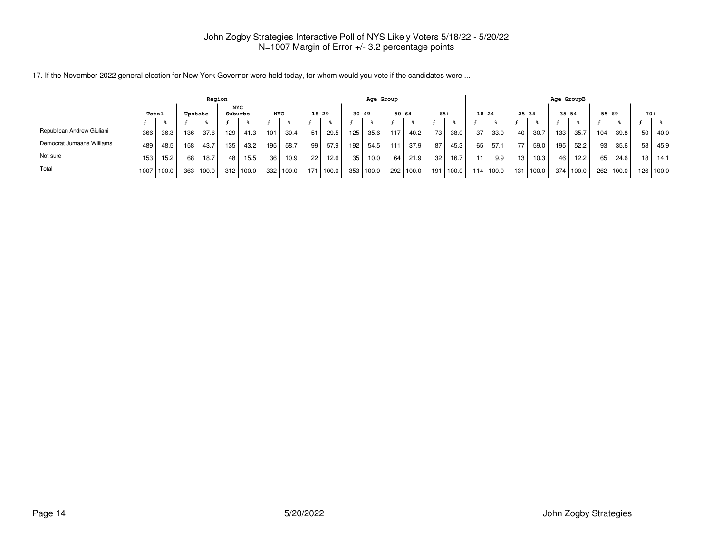|                            |       |       |         | Region |                       |           |                 |       |      |           |     | Age Group |           |       |     |       |           |           |           |       | Age GroupB |           |           |           |       |       |
|----------------------------|-------|-------|---------|--------|-----------------------|-----------|-----------------|-------|------|-----------|-----|-----------|-----------|-------|-----|-------|-----------|-----------|-----------|-------|------------|-----------|-----------|-----------|-------|-------|
|                            | Total |       | Upstate |        | <b>NYC</b><br>Suburbs |           | <b>NYC</b>      |       |      | $18 - 29$ |     | $30 - 49$ | $50 - 64$ |       |     | $65+$ | $18 - 24$ |           | $25 - 34$ |       | $35 - 54$  |           | $55 - 69$ |           | $70+$ |       |
|                            |       |       |         |        |                       |           |                 |       |      |           |     |           |           |       |     |       |           |           |           |       |            |           |           |           |       |       |
| Republican Andrew Giuliani | 366   | 36.3  | 136     | 37.6   | 129                   | 41.3      | 101             | 30.4  | 51   | 29.5      | 125 | 35.6      | 117       | 40.2  | 73  | 38.0  | 37        | 33.0      | 40        | 30.7  | 133        | 35.7      | 104       | 39.8      | 50    | 40.0  |
| Democrat Jumaane Williams  | 489   | 48.5  | 158     | 43.7   | 135                   | 43.2      | 195             | 58.7  | 99 l | 57.9      | 192 | 54.5      | 111       | 37.9  | 87  | 45.3  | 65        | 57.1      | 77        | 59.0  | 195        | 52.2      | 93 I      | 35.6      | 58    | 45.9  |
| Not sure                   | 153   | 15.2  | 68      | 18.7   | 48                    | 15.5      | 36 <sub>1</sub> | 10.9  | 22   | 12.6      | 35  | 10.0      | 64        | 21.9  | 32  | 16.7  | 11        | 9.9       | 13        | 10.3  | 46         | 12.2      | 65        | 24.6      | 18    | 14.1  |
| Total                      | 1007  | 100.0 | 363     | 100.0  |                       | 312 100.0 | 332             | 100.0 |      | 171 100.0 | 353 | 100.0     | 292       | 100.0 | 191 | 100.0 |           | 114 100.0 | 131 I     | 100.0 |            | 374 100.0 |           | 262 100.0 | 126   | 100.0 |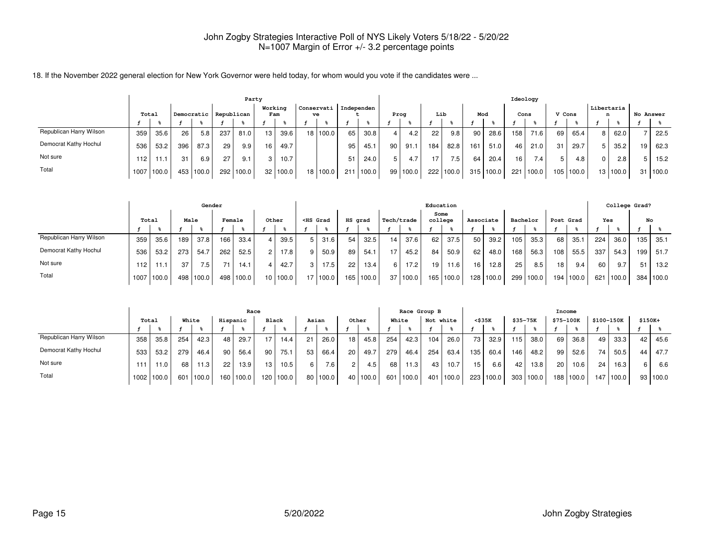|                         | Party |       |     |            |            |       |                |       |  |                               |      |       |                 |                  |     |                  |     |           | Ideology        |        |        |           |            |          |    |           |
|-------------------------|-------|-------|-----|------------|------------|-------|----------------|-------|--|-------------------------------|------|-------|-----------------|------------------|-----|------------------|-----|-----------|-----------------|--------|--------|-----------|------------|----------|----|-----------|
|                         | Total |       |     | Democratic | Republican |       | Working<br>Fam |       |  | Conservati   Independen<br>ve |      |       | Prog            |                  | Lib |                  | Mod |           | Cons            |        | V Cons |           | Libertaria | n        |    | No Answer |
|                         |       |       |     |            |            |       |                |       |  |                               |      |       |                 |                  |     |                  |     |           |                 |        |        |           |            |          |    |           |
| Republican Harry Wilson | 359   | 35.6  | 26  | 5.8        | 237        | 81.0  | 13             | 39.6  |  | 18 100.0                      | 65   | 30.8  | 4               | 4.2 <sub>1</sub> | 22  | 9.8              | 90  | 28.6      | 158 l           | 71.6   | 69     | 65.4      | 8          | 62.0     |    | 22.5      |
| Democrat Kathy Hochul   | 536   | 53.2  | 396 | 87.3       | 29         | 9.9   | 16             | 49.7  |  |                               | 95   | 45.1  | 90 <sub>1</sub> | 91.1             | 184 | 82.8             | 161 | 51.0      | 46              | 21.0   | 31     | 29.7      |            | 35.2     | 19 | 62.3      |
| Not sure                | 112   | 11    | 31  | 6.9        | 27         | 9.1   | 3              | 10.7  |  |                               | 51   | 24.0  | 5               | 4.7              |     | 7.5 <sub>1</sub> | 64  | 20.4      | 16 <sub>1</sub> | 7.4    |        | 4.8       | 0          | 2.8      | 5  | 15.2      |
| Total                   | 1007  | 100.0 | 453 | 100.0      | 292        | 100.0 | 32             | 100.0 |  | 18 100.0                      | 2111 | 100.0 |                 | 99 100.0         |     | 222   100.0      |     | 315 100.0 | 221             | 1100.0 |        | 105 100.0 |            | 13 100.0 | 31 | 100.0     |

|                         |       |       |      | Gender    |        |       |                |          |                                                                                                                                                                                                                                                   |       |                 |       |                 |                   |                  | Education |                  |       |          |       |                 |       |     | College Grad? |     |           |
|-------------------------|-------|-------|------|-----------|--------|-------|----------------|----------|---------------------------------------------------------------------------------------------------------------------------------------------------------------------------------------------------------------------------------------------------|-------|-----------------|-------|-----------------|-------------------|------------------|-----------|------------------|-------|----------|-------|-----------------|-------|-----|---------------|-----|-----------|
|                         | Total |       | Male |           | Female |       | Other          |          | <hs grad<="" th=""><th></th><th>HS grad</th><th></th><th></th><th>Tech/trade</th><th>Some<br/>college</th><th></th><th>Associate</th><th></th><th>Bachelor</th><th></th><th>Post Grad</th><th></th><th>Yes</th><th></th><th></th><th>No</th></hs> |       | HS grad         |       |                 | Tech/trade        | Some<br>college  |           | Associate        |       | Bachelor |       | Post Grad       |       | Yes |               |     | No        |
|                         |       |       |      |           |        |       |                |          |                                                                                                                                                                                                                                                   |       |                 |       |                 |                   |                  |           |                  |       |          |       |                 |       |     |               |     |           |
| Republican Harry Wilson | 359   | 35.6  | 189  | 37.8      | 166    | 33.4  | $\overline{4}$ | 39.5     | $5^{\circ}$                                                                                                                                                                                                                                       | 31.6  | 54              | 32.5  | 14 <sup>1</sup> | 37.6              | 62               | 37.5      | 50               | 39.2  | 105      | 35.3  | 68              | 35.1  | 224 | 36.0          | 135 | 35.1      |
| Democrat Kathy Hochul   | 536   | 53.2  | 273  | 54.7      | 262    | 52.5  | 2              | 17.8     | 9                                                                                                                                                                                                                                                 | 50.9  | 89              | 54.1  | 17              | 45.2              | 84               | 50.9      | 62               | 48.0  | 168      | 56.3  | 108             | 55.5  | 337 | 54.3          | 199 | 51.7      |
| Not sure                | 112   |       | 37   | 7.5       | 71     | 14.1  | 4              | 42.7     | 3                                                                                                                                                                                                                                                 | 17.5  | 22 <sub>1</sub> | 13.4  | 6 I             | 17.2 <sub>1</sub> | 19 <sub>1</sub>  | 11.6      | 16 <sub>1</sub>  | 12.8  | 25       | 8.5   | 18 <sub>1</sub> | 9.4   | 60  | 9.7           | 51  | 13.2      |
| Total                   | 1007  | 100.0 |      | 498 100.0 | 498 l  | 100.0 |                | 10 100.0 | 17 <sup>1</sup>                                                                                                                                                                                                                                   | 100.0 | 165             | 100.0 |                 | 37 100.0          | 165 <sub>1</sub> | 1100.0    | 128 <sup>1</sup> | 100.0 | 299      | 100.0 | 194             | 100.0 | 621 | 100.0         |     | 384 100.0 |

|                         |       |       |     |       |          | Race   |                  |       |       |                  |                |            |     | Race Group B |     |           |        |       |                 |           | Income    |       |            |       |          |       |
|-------------------------|-------|-------|-----|-------|----------|--------|------------------|-------|-------|------------------|----------------|------------|-----|--------------|-----|-----------|--------|-------|-----------------|-----------|-----------|-------|------------|-------|----------|-------|
|                         | Total |       |     | White | Hispanic |        | <b>Black</b>     |       | Asian |                  | Other          |            |     | White        |     | Not white | <\$35K |       | $$35 - 75K$     |           | \$75-100K |       | \$100-150K |       | $$150K+$ |       |
|                         |       |       |     |       |          |        |                  |       |       |                  |                |            |     |              |     |           |        |       |                 |           |           |       |            |       |          |       |
| Republican Harry Wilson | 358   | 35.8  | 254 | 42.3  | 48       | 29.7   | 17 <sub>1</sub>  | 14.4  | 21    | 26.0             | 18             | 45.8       | 254 | 42.3         | 104 | 26.0      | 73     | 32.9  | 115             | 38.0      | 69        | 36.8  | 49         | 33.3  | 42       | 45.6  |
| Democrat Kathy Hochul   | 533   | 53.2  | 279 | 46.4  | 90       | 56.4   | 90               | 75.1  | 53    | 66.4             | 20             | 49.7       | 279 | 46.4         | 254 | 63.4      | 135    | 60.4  | 146             | 48.2      | 99        | 52.6  | 74         | 50.5  | 44       | 47.7  |
| Not sure                | 111   | 11.0  | 68  | 11.3  | 22       | 13.9   | 13               | 10.5  | 6     | 7.6 <sub>1</sub> | $\overline{c}$ | 4.5        | 68  | 11.3         | 43  | 10.7      | 15     | 6.6   | 42 <sub>1</sub> | 13.8      | 20        | 10.6  | 24         | 16.3  |          | 6.6   |
| Total                   | 1002  | 100.0 | 601 | 100.0 | 160      | 100.01 | 120 <sub>1</sub> | 100.0 |       | 80 100.0         |                | 40   100.0 |     | 601 100.0    |     | 401 100.0 | 223    | 100.0 |                 | 303 100.0 | 188       | 100.0 | 147        | 100.0 | 93       | 100.0 |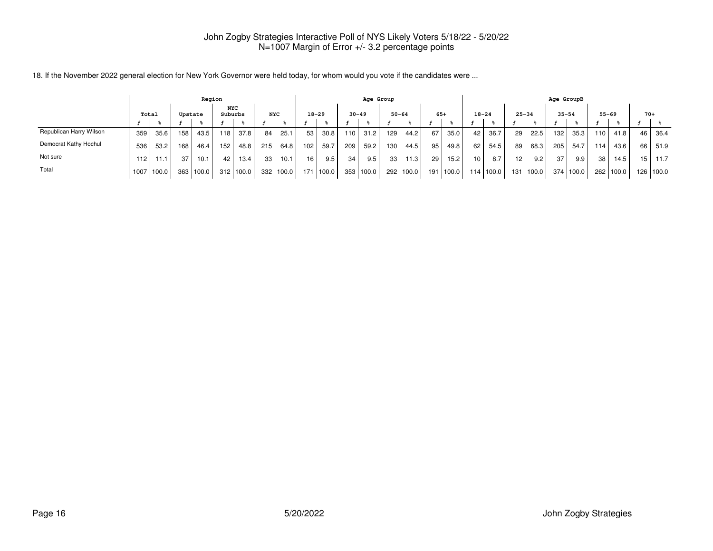|                         | Region |       |         |       |                       |                   |            |       |           |           |     | Age Group |           |       |       |        |                 |           |           |           | Age GroupB |           |                 |           |                 |           |
|-------------------------|--------|-------|---------|-------|-----------------------|-------------------|------------|-------|-----------|-----------|-----|-----------|-----------|-------|-------|--------|-----------------|-----------|-----------|-----------|------------|-----------|-----------------|-----------|-----------------|-----------|
|                         |        | Total | Upstate |       | <b>NYC</b><br>Suburbs |                   | <b>NYC</b> |       | $18 - 29$ |           |     | $30 - 49$ | $50 - 64$ |       | $65+$ |        | $18 - 24$       |           | $25 - 34$ |           | $35 - 54$  |           |                 | $55 - 69$ | $70+$           |           |
|                         |        |       |         |       |                       |                   |            |       |           |           |     |           |           |       |       |        |                 |           |           |           |            |           |                 |           |                 |           |
| Republican Harry Wilson | 359    | 35.6  | 158     | 43.5  | 118                   | 37.8              | 84         | 25.1  | 53        | 30.8      | 110 | 31.2      | 129       | 44.2  | 67    | 35.0   | 42              | 36.7      | 29        | 22.5      | 132        | 35.3      | 110             | 41.8      | 46              | 36.4      |
| Democrat Kathy Hochul   | 536    | 53.2  | 168     | 46.4  | 152                   | 48.8              | 215        | 64.8  | 102       | 59.7      | 209 | 59.2      | 130       | 44.5  | 95    | 49.8   | 621             | 54.5      | 89        | 68.3      | 205        | 54.7      | 114             | 43.6      | 66              | 51.9      |
| Not sure                | 112    | 11.1  | 37      | 10.1  | 42                    | 13.4 <sub>1</sub> | 33         | 10.1  | 16        | 9.5       | 34  | 9.5       | 33        | 11.3  | 29    | 15.2   | 10 <sup>1</sup> | 8.7       | 12        | 9.2       | 37         | 9.9       | 38 <sub>1</sub> | 14.5      | 15 <sub>1</sub> | 11.7      |
| Total                   | 1007   | 100.0 | 363     | 100.0 |                       | 312 100.0         | 332        | 100.0 |           | 171 100.0 | 353 | 100.0     | 292       | 100.0 | 191   | 1100.0 |                 | 114 100.0 |           | 131 100.0 |            | 374 100.0 |                 | 262 100.0 |                 | 126 100.0 |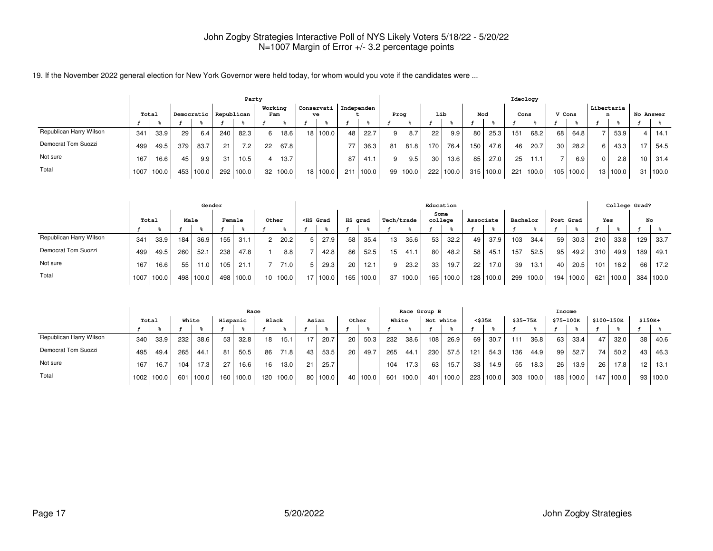|                         | Party |       |     |            |     |                  |                |       |  |                               |      |       |    |                  |                 |             |      |           | Ideology |        |        |           |            |          |                 |           |
|-------------------------|-------|-------|-----|------------|-----|------------------|----------------|-------|--|-------------------------------|------|-------|----|------------------|-----------------|-------------|------|-----------|----------|--------|--------|-----------|------------|----------|-----------------|-----------|
|                         | Total |       |     | Democratic |     | Republican       | Working<br>Fam |       |  | Conservati   Independen<br>ve |      |       |    | Prog             | Lib             |             | Mod  |           | Cons     |        | V Cons |           | Libertaria | n        |                 | No Answer |
|                         |       |       |     |            |     |                  |                |       |  |                               |      |       |    |                  |                 |             |      |           |          |        |        |           |            |          |                 |           |
| Republican Harry Wilson | 341   | 33.9  | 29  | 6.4        | 240 | 82.3             |                | 18.6  |  | 18 100.0                      | 48   | 22.7  | 9  | 8.7              | 22              | 9.9         | 80   | 25.3      | 151      | 68.2   | 68     | 64.8      |            | 53.9     | 4               | 14.1      |
| Democrat Tom Suozzi     | 499   | 49.5  | 379 | 83.7       | 21  | 7.2 <sub>1</sub> | 22             | 67.8  |  |                               | 77   | 36.3  | 81 | 81.8             | 170             | 76.4        | 150  | 47.6      | 46       | 20.7   | 30     | 28.2      |            | 43.3     |                 | 54.5      |
| Not sure                | 167   | 16.6  | 45  | 9.9        | 31  | 10.5             |                | 13.7  |  |                               | 87   | 41.1  | 9  | 9.5 <sub>1</sub> | 30 <sup>1</sup> | 13.6        | 85 I | 27.0      | 25       | 11.1   |        | 6.9       | 0          | 2.8      | 10 <sup>1</sup> | 31.4      |
| Total                   | 1007  | 100.0 | 453 | 100.0      | 292 | 100.0            | 32             | 100.0 |  | 18 100.0                      | 2111 | 100.0 |    | 99 100.0         |                 | 222   100.0 |      | 315 100.0 | 221      | 1100.0 |        | 105 100.0 |            | 13 100.0 | 31              | 100.0     |

|                         |       |       |      | Gender |        |       |                |          |   |                                                                                                                                                                                                                                          |         |           |                 |          | Education       |           |                  |       |          |       |           |        |     | College Grad? |     |           |
|-------------------------|-------|-------|------|--------|--------|-------|----------------|----------|---|------------------------------------------------------------------------------------------------------------------------------------------------------------------------------------------------------------------------------------------|---------|-----------|-----------------|----------|-----------------|-----------|------------------|-------|----------|-------|-----------|--------|-----|---------------|-----|-----------|
|                         | Total |       | Male |        | Female |       | Other          |          |   | <hs grad<="" th=""><th>HS grad</th><th></th><th>Tech/trade</th><th></th><th>Some<br/>college</th><th></th><th>Associate</th><th></th><th>Bachelor</th><th></th><th>Post Grad</th><th></th><th>Yes</th><th></th><th>No</th><th></th></hs> | HS grad |           | Tech/trade      |          | Some<br>college |           | Associate        |       | Bachelor |       | Post Grad |        | Yes |               | No  |           |
|                         |       |       |      |        |        |       |                |          |   |                                                                                                                                                                                                                                          |         |           |                 |          |                 |           |                  |       |          |       |           |        |     |               |     |           |
| Republican Harry Wilson | 341   | 33.9  | 184  | 36.9   | 155    | 31.1  | $\overline{c}$ | 20.2     | 5 | 27.9                                                                                                                                                                                                                                     | 58      | 35.4      | 13 <sup>1</sup> | 35.6     | 53 <sub>1</sub> | 32.2      | 49               | 37.9  | 103      | 34.4  | 59        | 30.3   | 210 | 33.8          | 129 | 33.7      |
| Democrat Tom Suozzi     | 499   | 49.5  | 260  | 52.    | 238    | 47.8  |                | 8.8      |   | 42.8                                                                                                                                                                                                                                     | 86      | 52.5      | 15 <sub>1</sub> | 41.1     | 80 l            | 48.2      | 58               | 45.1  | 157      | 52.5  | 95        | 49.2   | 310 | 49.9          | 189 | 49.1      |
| Not sure                | 167   | 16.6  | 55   | 11.0   | 105    | 21.1  | ⇁              | 71.0     | 5 | 29.3                                                                                                                                                                                                                                     | 20      | 12.1      | 9 <sub>1</sub>  | 23.2     | 33 I            | 19.7      | 22               | 17.0  | 39       | 13.1  | 40        | 20.5   | 101 | 16.2          | 66  | 17.2      |
| Total                   | 1007  | 100.0 | 498  | 100.0  | 498    | 100.0 |                | 10 100.0 |   | 17 100.0                                                                                                                                                                                                                                 |         | 165 100.0 |                 | 37 100.0 |                 | 165 100.0 | 128 <sub>1</sub> | 100.0 | 299      | 100.0 | 194       | 1100.0 | 621 | 100.0         |     | 384 100.0 |

|                         |       |       |     |       |          | Race               |              |       |       |          |                 |          |     | Race Group B |           |           |                 |           |          |       | Income    |       |      |            |                 |          |
|-------------------------|-------|-------|-----|-------|----------|--------------------|--------------|-------|-------|----------|-----------------|----------|-----|--------------|-----------|-----------|-----------------|-----------|----------|-------|-----------|-------|------|------------|-----------------|----------|
|                         | Total |       |     | White | Hispanic |                    | <b>Black</b> |       | Asian |          | Other           |          |     | White        | Not white |           |                 | <\$35K    | \$35-75K |       | \$75-100K |       |      | \$100-150K | \$150K+         |          |
|                         |       |       |     |       |          |                    |              |       |       |          |                 |          |     |              |           |           |                 |           |          |       |           |       |      |            |                 |          |
| Republican Harry Wilson | 340   | 33.9  | 232 | 38.6  | 53       | 32.8               | 18           | 15.1  | 17    | 20.7     | 20 <sub>1</sub> | 50.3     | 232 | 38.6         | 108       | 26.9      | 69              | 30.7      | 111      | 36.8  | 63        | 33.4  | 47   | 32.0       | 38              | 40.6     |
| Democrat Tom Suozzi     | 495   | 49.4  | 265 | 44.1  | 81       | 50.5               | 86           | 71.8  | 43    | 53.5     | 20 <sub>1</sub> | 49.7     | 265 | 44.1         | 230       | 57.5      | 121             | 54.3      | 136      | 44.9  | 99        | 52.7  | 74 l | 50.2       | 43              | 46.3     |
| Not sure                | 167   | 16.7  | 104 | 17.3  | 27       | 16.6               | 16           | 13.0  | 21    | 25.7     |                 |          | 104 | 17.3         | 63        | 15.7      | 33 <sub>1</sub> | 14.9      | 55       | 18.3  | 26        | 13.9  | 26   | 17.8       | 12 <sup>°</sup> | 13.1     |
| Total                   | 1002  | 100.0 | 601 | 100.0 | 160      | 100.0 <sub>1</sub> | 120          | 100.0 |       | 80 100.0 |                 | 40 100.0 | 601 | 100.0        |           | 401 100.0 |                 | 223 100.0 | 303      | 100.0 | 188       | 100.0 | 147  | 100.0      |                 | 93 100.0 |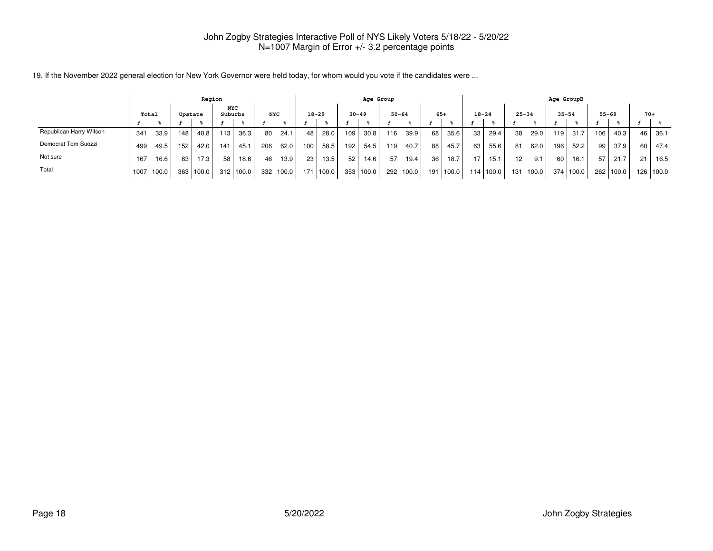|                         |      |       |         | Region |                       |                   |            |       |           |       |     | Age Group |           |       |                 |           |                 |               |                 |         |      | Age GroupB |           |           |       |           |
|-------------------------|------|-------|---------|--------|-----------------------|-------------------|------------|-------|-----------|-------|-----|-----------|-----------|-------|-----------------|-----------|-----------------|---------------|-----------------|---------|------|------------|-----------|-----------|-------|-----------|
|                         |      | Total | Upstate |        | <b>NYC</b><br>Suburbs |                   | <b>NYC</b> |       | $18 - 29$ |       |     | $30 - 49$ | $50 - 64$ |       | $65+$           |           | $18 - 24$       |               | $25 - 34$       |         |      | $35 - 54$  | $55 - 69$ |           | $70+$ |           |
|                         |      |       |         |        |                       |                   |            |       |           |       |     |           |           |       |                 |           |                 |               |                 |         |      |            |           |           |       |           |
| Republican Harry Wilson | 341  | 33.9  | 148     | 40.8   | 113                   | 36.3 <sub>1</sub> | 80         | 24.1  | 48        | 28.0  | 109 | 30.8      | 116       | 39.9  | 68              | 35.6      | 33 <sub>1</sub> | 29.4          | 38 <sup>1</sup> | 29.0    | 119  | 31.7       | 106       | 40.3      | 46    | 36.1      |
| Democrat Tom Suozzi     | 499  | 49.5  | 152     | 42.0   | 141                   | 45.1              | 206        | 62.0  | 100       | 58.5  | 192 | 54.5      | 119       | 40.7  | 88              | 45.7      | 63              | 55.6          | 81              | 62.0    | 196  | 52.2       | 99        | 37.9      | 60    | 47.4      |
| Not sure                | 167  | 16.6  | 63      | 17.3   | 58                    | 18.6 <sub>1</sub> | 46         | 13.9  | 23        | 13.5  | 52  | 14.6      | 57        | 19.4  | 36 <sub>1</sub> | 18.7      |                 | 15.1          | 12              | 9.1     | 60 l | 16.1       | 57        | 21.7      | 21    | 16.5      |
| Total                   | 1007 | 100.0 | 363     | 100.0  | 312                   | 100.01            | 332        | 100.0 | 171       | 100.0 |     | 353 100.0 | 292 l     | 100.0 |                 | 191 100.0 |                 | $114$   100.0 | 131             | l 100.0 |      | 374 100.0  |           | 262 100.0 |       | 126 100.0 |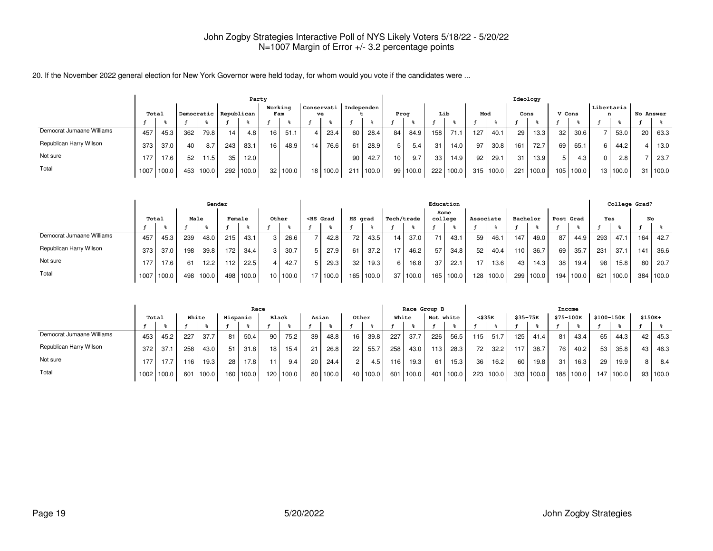|                           |       |       |     |       |                       |       | Party           |                |                 |                               |      |       |      |       |     |       |     |       |      | Ideology |        |       |                 |          |    |           |
|---------------------------|-------|-------|-----|-------|-----------------------|-------|-----------------|----------------|-----------------|-------------------------------|------|-------|------|-------|-----|-------|-----|-------|------|----------|--------|-------|-----------------|----------|----|-----------|
|                           | Total |       |     |       | Democratic Republican |       |                 | Working<br>Fam |                 | Conservati   Independen<br>ve |      |       | Prog |       | Lib |       | Mod |       | Cons |          | V Cons |       | Libertaria<br>n |          |    | No Answer |
|                           |       |       |     |       |                       |       |                 |                |                 |                               |      |       |      |       |     |       |     |       |      |          |        |       |                 |          |    |           |
| Democrat Jumaane Williams | 457   | 45.3  | 362 | 79.8  | 14 <sub>1</sub>       | 4.8   | 16 <sup>1</sup> | 51.1           | 4 I             | 23.4                          | 60 l | 28.4  | 84   | 84.9  | 158 | 71.1  | 127 | 40.1  | 29   | 13.3     | 32     | 30.6  |                 | 53.0     | 20 | 63.3      |
| Republican Harry Wilson   | 373   | 37.0  | 40  | 8.7   | 243                   | 83.1  | 16              | 48.9           | 14 <sub>1</sub> | 76.6                          |      | 28.9  |      | 5.4   | 31  | 14.0  | 97  | 30.8  | 161  | 72.7     | 69     | 65.   |                 | 44.2     | 4  | 13.0      |
| Not sure                  | 177   | 17.6  | 52  | 11.5  | 35                    | 12.0  |                 |                |                 |                               | 90   | 42.7  | 10   | 9.7   | 33  | 14.9  | 92  | 29.1  | 31   | 13.9     |        | 4.3   | 0               | 2.8      |    | 23.7      |
| Total                     | 1007  | 100.0 | 453 | 100.0 | 292                   | 100.0 |                 | 32 100.0       |                 | 18 100.0                      | 211  | 100.0 | 99   | 100.0 | 222 | 100.0 | 315 | 100.0 | 221  | 100.0    | 105    | 100.0 |                 | 13 100.0 | 31 | 100.0     |

|                           |       |       |      | Gender |                  |       |                 |       |                                                                                                                                                                                                                                              |          |         |       |            |       |         | Education |                 |           |     |          |                  |       |     | College Grad? |     |       |
|---------------------------|-------|-------|------|--------|------------------|-------|-----------------|-------|----------------------------------------------------------------------------------------------------------------------------------------------------------------------------------------------------------------------------------------------|----------|---------|-------|------------|-------|---------|-----------|-----------------|-----------|-----|----------|------------------|-------|-----|---------------|-----|-------|
|                           | Total |       | Male |        | <b>Female</b>    |       |                 | Other | <hs grad<="" th=""><th></th><th>HS grad</th><th></th><th>Tech/trade</th><th></th><th>college</th><th>Some</th><th>Associate</th><th></th><th></th><th>Bachelor</th><th>Post Grad</th><th></th><th>Yes</th><th></th><th>No</th><th></th></hs> |          | HS grad |       | Tech/trade |       | college | Some      | Associate       |           |     | Bachelor | Post Grad        |       | Yes |               | No  |       |
|                           |       |       |      |        |                  |       |                 |       |                                                                                                                                                                                                                                              |          |         |       |            |       |         |           |                 |           |     |          |                  |       |     |               |     |       |
| Democrat Jumaane Williams | 457   | 45.3  | 239  | 48.0   | 215              | 43.1  |                 | 26.6  |                                                                                                                                                                                                                                              | 42.8     | 72.     | 43.5  | 14         | 37.0  | 71      | 43.1      | 59 I            | 46.1      | 147 | 49.0     | 87               | 44.9  | 293 | 47.1          | 164 | 42.7  |
| Republican Harry Wilson   | 373   | 37.0  | 198  | 39.8   | 172 <sub>1</sub> | 34.4  | 3               | 30.7  |                                                                                                                                                                                                                                              | 27.9     | 61      | 37.2  | 17         | 46.2  | 57      | 34.8      | 52 <sub>1</sub> | 40.4      | 110 | 36.7     | 69               | 35.7  | 231 | 37.1          | 141 | 36.6  |
| Not sure                  | 177   | 17.6  | 61   | 12.2   | 12.              | 22.5  |                 | 42.7  |                                                                                                                                                                                                                                              | 29.3     | 32      | 19.3  |            | 16.8. | 37      | 22.1      | 17              | 13.6      | 43  | 14.3     | 38 <sub>1</sub>  | 19.4  | 98  | 15.8          | 80  | 20.7  |
| Total                     | 1007  | 100.0 | 498  | '100.0 | 498              | 100.0 | 10 <sup>1</sup> | 100.0 |                                                                                                                                                                                                                                              | 17 100.0 | 165     | 100.0 | 37         | 100.0 | 165 l   | 100.0     |                 | 128 100.0 | 299 | 100.0    | 194 <sub>1</sub> | 100.0 | 621 | 100.0         | 384 | 100.0 |

|                           |       |       |     |       |          | Race  |                 |           |    |        |       |          |       | Race Group B |           |       |              |       |                  |                  | Income    |       |                 |            |         |          |
|---------------------------|-------|-------|-----|-------|----------|-------|-----------------|-----------|----|--------|-------|----------|-------|--------------|-----------|-------|--------------|-------|------------------|------------------|-----------|-------|-----------------|------------|---------|----------|
|                           | Total |       |     | White | Hispanic |       | <b>Black</b>    |           |    | Asian  | Other |          | White |              | Not white |       | $<$ \$35 $K$ |       | $$35 - 75K$      |                  | \$75-100K |       |                 | \$100-150K | \$150K+ |          |
|                           |       |       |     |       |          |       |                 |           |    |        |       |          |       |              |           |       |              |       |                  |                  |           |       |                 |            |         |          |
| Democrat Jumaane Williams | 453   | 45.2  | 227 | 37.7  | 81       | 50.4  | 90              | 75.2      | 39 | 48.8   | 16    | 39.8     | 227   | 37.7         | 226       | 56.5  | ' 15 I       | 51.7  | 125 <sub>1</sub> | 41.4             | 81        | 43.4  | 65              | 44.3       | 42      | 45.3     |
| Republican Harry Wilson   | 372   | 37.1  | 258 | 43.0  | 51       | 31.8  | 18 <sub>1</sub> | 15.4      | 21 | 26.8   | 22    | 55.7     | 258   | 43.0         | 113       | 28.3  | 721          | 32.2  |                  | 38.7             | 76        | 40.2  | 53              | 35.8       | 43      | 46.3     |
| Not sure                  | 177   | 17.7  | 116 | 19.3  | 28       | 17.8  |                 | 9.4       | 20 | 24.4   |       | 4.5      | 116   | 19.3         | 61        | 15.3  | 36           | 16.2  | 60               | 19.8             | 31        | 16.3  | 29 <sub>1</sub> | 19.9       | 8 I     | - 8.4    |
| Total                     | 1002  | 100.0 | 601 | 100.0 | 160      | 100.0 |                 | 120 100.0 | 80 | 1100.0 |       | 40 100.0 | 601   | 100.0        | 401       | 100.0 | 223          | 100.0 |                  | $303 \mid 100.0$ | 188 l     | 100.0 | 147             | 100.0      |         | 93 100.0 |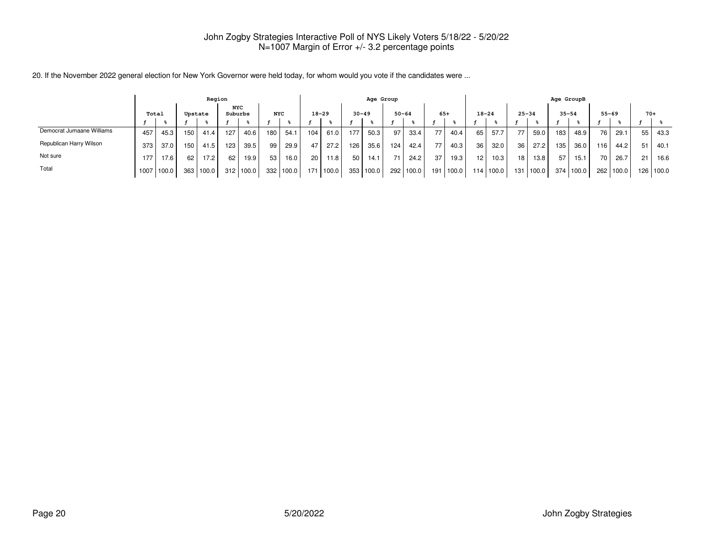|                           |       |       |      | Region  |                       |           |                  |       |                 |           |     | Age Group |           |       |     |       |           |       |                 |             | Age GroupB      |           |                 |       |       |       |
|---------------------------|-------|-------|------|---------|-----------------------|-----------|------------------|-------|-----------------|-----------|-----|-----------|-----------|-------|-----|-------|-----------|-------|-----------------|-------------|-----------------|-----------|-----------------|-------|-------|-------|
|                           | Total |       |      | Upstate | <b>NYC</b><br>Suburbs |           | <b>NYC</b>       |       |                 | $18 - 29$ |     | $30 - 49$ | $50 - 64$ |       |     | $65+$ | $18 - 24$ |       | $25 - 34$       |             | $35 - 54$       |           | $55 - 69$       |       | $70+$ |       |
|                           |       |       |      |         |                       |           |                  |       |                 |           |     |           |           |       |     |       |           |       |                 |             |                 |           |                 |       |       |       |
| Democrat Jumaane Williams | 457   | 45.3  | 150. | 41.4    | 127                   | 40.6      | 180              | 54.1  | 104             | 61.0      | 177 | 50.3      | 97        | 33.4  | 77  | 40.4  | 65        | 57.7  | 77              | 59.0        | 183             | 48.9      | 761             | 29.1  | 55    | 43.3  |
| Republican Harry Wilson   | 373   | 37.0  | 150  | 41.5    | 123                   | 39.5      | 99               | 29.9  | 47              | 27.2      | 126 | 35.6      | 124       | 42.4  | 77  | 40.3  | 36        | 32.0  | 36 <sup>1</sup> | 27.2        | 135             | 36.0      | 116             | 44.2  | 51    | 40.1  |
| Not sure                  | 177   | 17.6  | 62   | 17.2    | 62                    | 19.9      | 53               | 16.0  | 20 <sub>1</sub> | 11.8      | 50  | 14.1      | 74        | 24.2  | 37  | 19.3  | 12        | 10.3  | 18 <sup>1</sup> | 13.8        | 57 <sub>1</sub> | 15.1      | 70 <sub>1</sub> | 26.7  | 21    | 16.6  |
| Total                     | 1007  | 100.0 | 363  | 100.0   |                       | 312 100.0 | 332 <sub>1</sub> | 100.0 | 171             | 100.0     |     | 353 100.0 | 292       | 100.0 | 191 | 100.0 | 114       | 100.0 |                 | 131   100.0 |                 | 374 100.0 | 262             | 100.0 | 126   | 100.0 |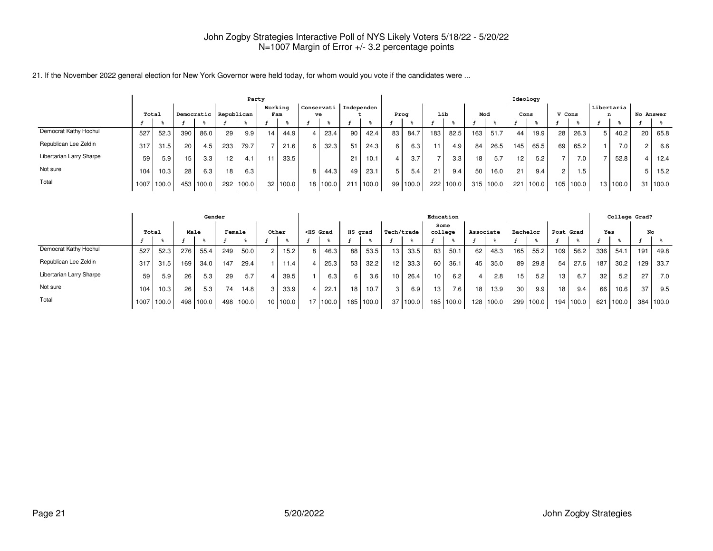|  |  |  |  | 21. If the November 2022 general election for New York Governor were held today, for whom would you vote if the candidates were |
|--|--|--|--|---------------------------------------------------------------------------------------------------------------------------------|
|--|--|--|--|---------------------------------------------------------------------------------------------------------------------------------|

|                          |      |       |                 |            |                 | Party |                 |       |                 |                  |            |       |                 |       |                  |       |                  |       | Ideology |       |               |           |                 |       |           |       |
|--------------------------|------|-------|-----------------|------------|-----------------|-------|-----------------|-------|-----------------|------------------|------------|-------|-----------------|-------|------------------|-------|------------------|-------|----------|-------|---------------|-----------|-----------------|-------|-----------|-------|
|                          |      | Total |                 | Democratic | Republican      |       | Working         | Fam   |                 | Conservati<br>ve | Independen |       | Prog            |       | Lib              |       | Mod              |       | Cons     |       | V Cons        |           | Libertaria<br>n |       | No Answer |       |
|                          |      |       |                 |            |                 |       |                 |       |                 |                  |            |       |                 |       |                  |       |                  |       |          |       |               |           |                 |       |           |       |
| Democrat Kathy Hochul    | 527  | 52.3  | 390             | 86.0       | 29              | 9.9   | 14 <sub>1</sub> | 44.9  |                 | 23.4             | 90         | 42.4  | 83              | 84.7  | 183 <sub>1</sub> | 82.5  | 163 <sub>1</sub> | 51.7  | 44       | 19.9  | 28            | 26.3      | 5               | 40.2  | 20        | 65.8  |
| Republican Lee Zeldin    | 317  | 31.5  | 20 <sub>1</sub> | 4.5        | 233             | 79.7  |                 | 21.6  |                 | 32.3             | 51         | 24.3  | 6               | 6.3   | 11.              | 4.9   | 84               | 26.5  | 145      | 65.5  | 69            | 65.2      |                 | 7.0   |           | 6.6   |
| Libertarian Larry Sharpe | 59   | 5.9   | 15              | 3.3        | 12 <sub>1</sub> | 4.1   |                 | 33.5  |                 |                  | 21         | 10.1  |                 | 3.7   | $\overline{ }$   | 3.3   | 18 <sub>1</sub>  | 5.7   | 12       | 5.2   |               | 7.0       |                 | 52.8  |           | 12.4  |
| Not sure                 | 104  | 10.3  | 28 <sub>1</sub> | 6.3        | 18 <sub>1</sub> | 6.3   |                 |       |                 | 44.3             | 49         | 23.1  | 5               | 5.4   | 21               | 9.4   | 50               | 16.0  | 21       | 9.4   | $\mathcal{P}$ | 1.5       |                 |       |           | 15.2  |
| Total                    | 1007 | 100.0 | 453             | 100.0      | 292             | 100.0 | 32              | 100.0 | 18 <sub>1</sub> | 100.0            | 211        | 100.0 | 99 <sub>1</sub> | 100.0 | 222              | 100.0 | 315              | 100.0 | 221      | 100.0 |               | 105 100.0 | 13 <sub>1</sub> | 100.0 | 31        | 100.0 |

|                          |       |       |     | Gender    |                 |       |                 |                   |    |                                                                                                                                                                                                                                            |         |       |            |          | Education        |                  |           |       |                 |       |                 |       |     |       | College Grad? |        |
|--------------------------|-------|-------|-----|-----------|-----------------|-------|-----------------|-------------------|----|--------------------------------------------------------------------------------------------------------------------------------------------------------------------------------------------------------------------------------------------|---------|-------|------------|----------|------------------|------------------|-----------|-------|-----------------|-------|-----------------|-------|-----|-------|---------------|--------|
|                          | Total |       |     | Male      | Female          |       | Other           |                   |    | <hs grad<="" th=""><th>HS grad</th><th></th><th>  Tech/trade</th><th></th><th>Some<br/>college</th><th></th><th>Associate</th><th></th><th>Bachelor</th><th></th><th>Post Grad</th><th></th><th>Yes</th><th></th><th>No</th><th></th></hs> | HS grad |       | Tech/trade |          | Some<br>college  |                  | Associate |       | Bachelor        |       | Post Grad       |       | Yes |       | No            |        |
|                          |       |       |     |           |                 |       |                 |                   |    |                                                                                                                                                                                                                                            |         |       |            |          |                  |                  |           |       |                 |       |                 |       |     |       |               |        |
| Democrat Kathy Hochul    | 527   | 52.3  | 276 | 55.4      | 249             | 50.0  |                 | 15.2 <sub>1</sub> | 8  | 46.3                                                                                                                                                                                                                                       | 88      | 53.5  | 13         | 33.5     | 83               | 50.1             | 62        | 48.3  | 165             | 55.2  | 109             | 56.2  | 336 | 54.1  | 191           | 49.8   |
| Republican Lee Zeldin    | 317   | 31.5  | 169 | 34.0      | 147             | 29.4  |                 | 11.4 <sub>1</sub> |    | 25.3                                                                                                                                                                                                                                       | 53      | 32.2  | 12         | 33.3     | 60               | 36.1             | 45        | 35.0  | 89              | 29.8  | 54              | 27.6  | 187 | 30.2  | 129           | 33.7   |
| Libertarian Larry Sharpe | 59    | 5.9   | 26  | 5.3       | 29              | 5.7   |                 | 39.5              |    | 6.3                                                                                                                                                                                                                                        | 6       | 3.6   | 10         | 26.4     | 10 <sup>1</sup>  | 6.2              |           | 2.8   | 15.             | 5.2   | 13 <sub>1</sub> | 6.7   | 32  | 5.2   | 27            | 7.0    |
| Not sure                 | 104   | 10.3  | 26  | 5.3       | 74 <sub>1</sub> | 14.8  |                 | 33.9              |    | 22.                                                                                                                                                                                                                                        | 18      | 10.7  | 3          | 6.9      | 13 <sub>1</sub>  | 7.6 <sub>1</sub> | 18.       | 13.9  | 30 <sub>1</sub> | 9.9   | 18 <sub>1</sub> | 9.4   | 66  | 10.6  | 37            | 9.5    |
| Total                    | 1007  | 100.0 |     | 498 100.0 | 498             | 100.0 | 10 <sub>1</sub> | 100.0             | 17 | 100.0                                                                                                                                                                                                                                      | 165     | 100.0 |            | 37 100.0 | 165 <sub>1</sub> | 100.0            | 128       | 100.0 | 299             | 100.0 | 194             | 100.0 | 621 | 100.0 | 384           | 1100.0 |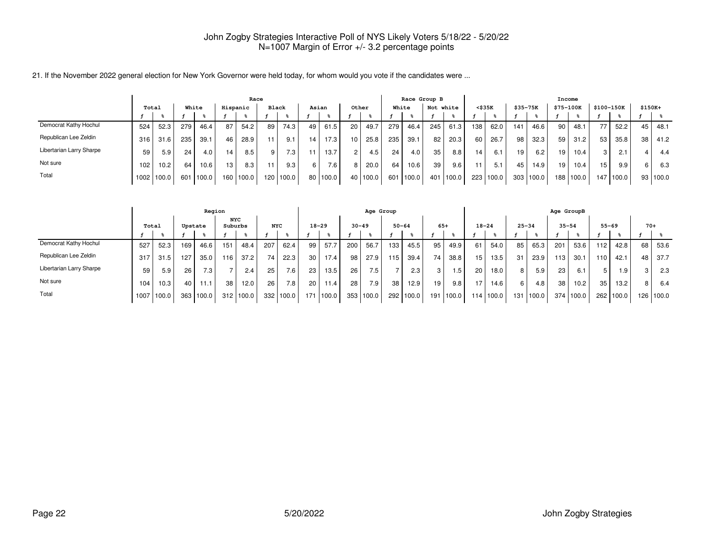|                          |       |            |     |       |                 | Race  |       |                  |    |                   |                |                    |       | Race Group B |           |       |                  |       |          |           | Income    |           |                 |            |    |          |
|--------------------------|-------|------------|-----|-------|-----------------|-------|-------|------------------|----|-------------------|----------------|--------------------|-------|--------------|-----------|-------|------------------|-------|----------|-----------|-----------|-----------|-----------------|------------|----|----------|
|                          | Total |            |     | White | Hispanic        |       | Black |                  |    | Asian             |                | Other              |       | White        | Not white |       | <\$35K           |       | \$35-75K |           | \$75-100K |           |                 | \$100-150K |    | $$150K+$ |
|                          |       |            |     |       |                 |       |       |                  |    |                   |                |                    |       |              |           |       |                  |       |          |           |           |           |                 |            |    |          |
| Democrat Kathy Hochul    | 524   | 52.3       | 279 | 46.4  | 87              | 54.2  | 89    | 74.3             | 49 | 61.5              | 20             | 49.7               | 279   | 46.4         | 245       | 61.3  | 138 <sub>1</sub> | 62.0  | 141      | 46.6      | 90        | 48.1      |                 | 52.2       | 45 | 48.1     |
| Republican Lee Zeldin    | 316   | 31.6       | 235 | 39.1  | 46              | 28.9  |       | 9.1              | 14 | 17.3 <sub>1</sub> | 10             | 25.8               | 235   | 39.1         | 82        | 20.3  | 60 <sup>1</sup>  | 26.7  | 98 I     | 32.3      | 59        | 31.2      | 53              | 35.8       | 38 | 41.2     |
| Libertarian Larry Sharpe | 59    | 5.9        | 24  | 4.0   | 14              | 8.5   |       | 7.3 <sub>1</sub> | 11 | 13.7              | $\overline{c}$ | 4.5                | 24    | 4.0          | 35        | 8.8   | 14               | 6.1   | 19       | 6.2       | 19        | 10.4      | 3 I             | 2.1        |    | 4.4      |
| Not sure                 | 102   | 10.2       | 64  | 10.6  | 13 <sub>1</sub> | 8.3   |       | 9.3 <sub>1</sub> |    | 7.6 <sub>1</sub>  | 8              | 20.0               | 64    | 10.6         | 39        | 9.6   | 11               | 5.1   | 45       | 14.9      | 19        | 10.4      | 15 <sub>1</sub> | 9.9        |    | 6.3      |
| Total                    |       | 1002 100.0 | 601 | 100.0 | 160             | 100.0 | 120   | 100.0            | 80 | 100.0             | 40             | 100.0 <sub>1</sub> | 601 l | 100.0        | 401       | 100.0 | 223              | 100.0 |          | 303 100.0 |           | 188 100.0 | 147             | 1100.0     | 93 | 1100.0   |

|                          |       |       |     | Region           |                       |       |            |                  |     |           |           | Age Group        |           |       |       |           |                  |       |                |        | Age GroupB |       |                 |           |       |           |
|--------------------------|-------|-------|-----|------------------|-----------------------|-------|------------|------------------|-----|-----------|-----------|------------------|-----------|-------|-------|-----------|------------------|-------|----------------|--------|------------|-------|-----------------|-----------|-------|-----------|
|                          | Total |       |     | Upstate          | <b>NYC</b><br>Suburbs |       | <b>NYC</b> |                  |     | $18 - 29$ | $30 - 49$ |                  | $50 - 64$ |       | $65+$ |           | $18 - 24$        |       | $25 - 34$      |        | $35 - 54$  |       |                 | $55 - 69$ | $70+$ |           |
|                          |       |       |     |                  |                       |       |            |                  |     |           |           |                  |           |       |       |           |                  |       |                |        |            |       |                 |           |       |           |
| Democrat Kathy Hochul    | 527   | 52.3  | 169 | 46.6             | 151                   | 48.4  | 207        | 62.4             | 99  | 57.7      | 200       | 56.7             | 133       | 45.5  | 95    | 49.9      | 61               | 54.0  | 85             | 65.3   | 201        | 53.6  | 112             | 42.8      | 68    | 53.6      |
| Republican Lee Zeldin    | 317   | 31.5  | 127 | 35.0             | 116                   | 37.2  | 74         | 22.3             | 30  | 17.4      | 98        | 27.9             | 115       | 39.4  | 74    | 38.8      | 15               | 13.5  | 31             | 23.9   | 113        | 30.1  | 110             | 42.1      | 48    | 37.7      |
| Libertarian Larry Sharpe | 59    | 5.9   | 26  | 7.3 <sub>1</sub> |                       | 2.4   | 25         | 7.6 <sub>1</sub> | 23  | 13.5      | 26        | 7.5 <sub>1</sub> |           | 2.3   | 3     | l.5       | 20               | 18.0  | 8 <sup>1</sup> | 5.9    | 23         | 6.1   |                 | 1.9       | 3     | 2.3       |
| Not sure                 | 104   | 10.3  | 40  | 11.1             | 38                    | 12.0  | 26         | 7.8 <sub>1</sub> | 20  | 11.4      | 28        | 7.9              | 38        | 12.9  | 19    | 9.8       | $-7$             | 14.6  | 6 <sup>1</sup> | 4.8    | 38         | 10.2  | 35 <sub>1</sub> | 13.2      | 8     | 6.4       |
| Total                    | 1007  | 100.0 | 363 | 100.0            | 312                   | 100.0 | 332        | 100.0            | 171 | 100.0     |           | 353 100.0        | 292       | 100.0 |       | 191 100.0 | 114 <sub>1</sub> | 100.0 | 131            | 1100.0 | 374        | 100.0 |                 | 262 100.0 |       | 126 100.0 |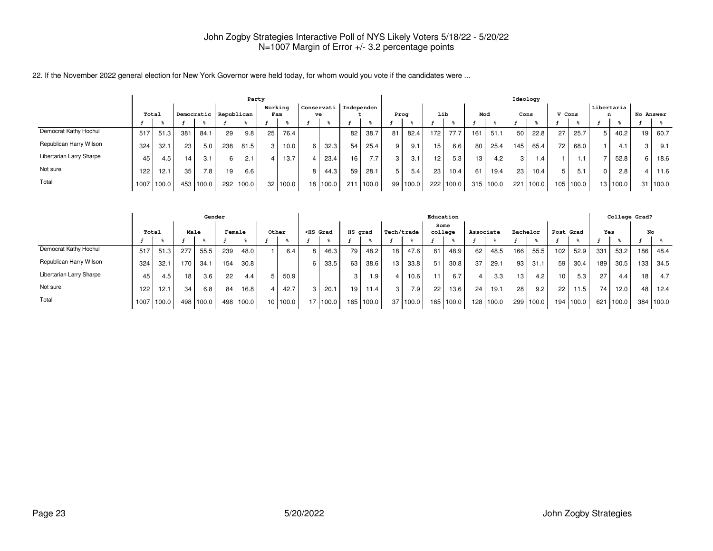|  | 22. If the November 2022 general election for New York Governor were held today, for whom would you vote if the candidates were |
|--|---------------------------------------------------------------------------------------------------------------------------------|
|  |                                                                                                                                 |

|                          |       |       |     |            |            |       | Party   |          |                 |                  |            |       |    |          |                  |       |     |           |                 | Ideology          |        |       |                   |          |           |       |
|--------------------------|-------|-------|-----|------------|------------|-------|---------|----------|-----------------|------------------|------------|-------|----|----------|------------------|-------|-----|-----------|-----------------|-------------------|--------|-------|-------------------|----------|-----------|-------|
|                          | Total |       |     | Democratic | Republican |       | Working | Fam      |                 | Conservati<br>ve | Independen |       |    | Prog     | Lib              |       | Mod |           |                 | Cons              | V Cons |       | Libertaria  <br>n |          | No Answer |       |
|                          |       |       |     |            |            |       |         |          |                 |                  |            |       |    |          |                  |       |     |           |                 |                   |        |       |                   |          |           |       |
| Democrat Kathy Hochul    | 517   | 51.3  | 381 | 84.1       | 29         | 9.8   | 25      | 76.4     |                 |                  | 82         | 38.7  | 81 | 82.4     | 172 <sub>1</sub> | 77.7  | 161 | 51.1      | 50 <sub>1</sub> | 22.8              | 27     | 25.7  | 5                 | 40.2     | 19 I      | 60.7  |
| Republican Harry Wilson  | 324   | 32.1  | 23  | 5.0        | 238        | 81.5  |         | $10.0$ , |                 | 32.3             | 54         | 25.4  | 9  | 9.1      | 15               | 6.6   | 80  | 25.4      | ∣45 I           | 65.4              | 72     | 68.0  |                   | 4.1      |           | 9.1   |
| Libertarian Larry Sharpe | 45    | 4.5   | 14  | 3.1        | 6          | 2.1   |         | 13.7     |                 | 23.4             | 16         | 7.7   | 3  | 3.1      | 12               | 5.3   | 13  | 4.2       | -3 I            | 1.4               |        | 1.1   |                   | 52.8     |           | 18.6  |
| Not sure                 | 122   | 12.1  | 35  | 7.8        | 19         | 6.6   |         |          |                 | 44.3             | 59         | 28.1  | 5  | 5.4      | 23 <sup>1</sup>  | 10.4  | 61  | 19.4      | 23 <sub>1</sub> | 10.4 <sub>1</sub> | 5      | 5.1   | 0                 | 2.8      |           | 11.6  |
| Total                    | 1007  | 100.0 |     | 453 100.0  | 292        | 100.0 | 32      | 100.0    | 18 <sub>1</sub> | 100.0            | 211        | 100.0 |    | 99 100.0 | 222              | 100.0 |     | 315 100.0 | 221             | 100.0             | 105    | 100.0 |                   | 13 100.0 | 31        | 100.0 |

|                          |       |            |      | Gender    |        |       |                 |       |                                                                                                                                                                                                                                                   |       |         |       |            |                   | Education       |           |           |           |          |       |                  |       |     | College Grad? |     |       |
|--------------------------|-------|------------|------|-----------|--------|-------|-----------------|-------|---------------------------------------------------------------------------------------------------------------------------------------------------------------------------------------------------------------------------------------------------|-------|---------|-------|------------|-------------------|-----------------|-----------|-----------|-----------|----------|-------|------------------|-------|-----|---------------|-----|-------|
|                          | Total |            | Male |           | Female |       | Other           |       | <hs grad<="" th=""><th></th><th>HS grad</th><th></th><th>Tech/trade</th><th></th><th>Some<br/>college</th><th></th><th>Associate</th><th></th><th>Bachelor</th><th></th><th>Post Grad</th><th></th><th>Yes</th><th></th><th></th><th>No</th></hs> |       | HS grad |       | Tech/trade |                   | Some<br>college |           | Associate |           | Bachelor |       | Post Grad        |       | Yes |               |     | No    |
|                          |       |            |      |           |        |       |                 |       |                                                                                                                                                                                                                                                   |       |         |       |            |                   |                 |           |           |           |          |       |                  |       |     |               |     |       |
| Democrat Kathy Hochul    | 517   | 51.3       | 277  | 55.5      | 239    | 48.0  |                 | 6.4   | 8                                                                                                                                                                                                                                                 | 46.3  | 79      | 48.2  | 18         | 47.6              | 81              | 48.9      | 62        | 48.5      | 166      | 55.5  | 102 <sub>1</sub> | 52.9  | 331 | 53.2          | 186 | 48.4  |
| Republican Harry Wilson  | 324   | 32.1       | 170  | 34.1      | 154    | 30.8  |                 |       | 6                                                                                                                                                                                                                                                 | 33.5  | 63      | 38.6  | 13         | 33.8              | 51              | 30.8      | 37        | 29.1      | 93       | 31.1  | 59               | 30.4  | 189 | 30.5          | 133 | 34.5  |
| Libertarian Larry Sharpe | 45    | 4.5        | 18   | 3.6       | 22     | 4.4   |                 | 50.9  |                                                                                                                                                                                                                                                   |       | 3       | ∣.9   |            | 10.6 <sub>1</sub> |                 | 6.7       |           | 3.3       | 13       | 4.2   | 10               | 5.3   | 27  | 4.4           | 18  | 4.7   |
| Not sure                 | 122   | 12.1       | 34   | 6.8       | 84     | 16.8  |                 | 42.7  |                                                                                                                                                                                                                                                   | 20.7  | 19      | 11.4  | 3          | 7.9               | 22              | 13.6      | 24        | 19.1      | 28       | 9.2   | 22               | 11.5  | 74  | 12.0          | 48  | 12.4  |
| Total                    |       | 1007 100.0 |      | 498 100.0 | 498    | 100.0 | 10 <sub>1</sub> | 100.0 | 17                                                                                                                                                                                                                                                | 100.0 | 165     | 100.0 |            | 37 100.0          |                 | 165 100.0 |           | 128 100.0 | 299      | 100.0 | 194              | 100.0 | 621 | 100.0         | 384 | 100.0 |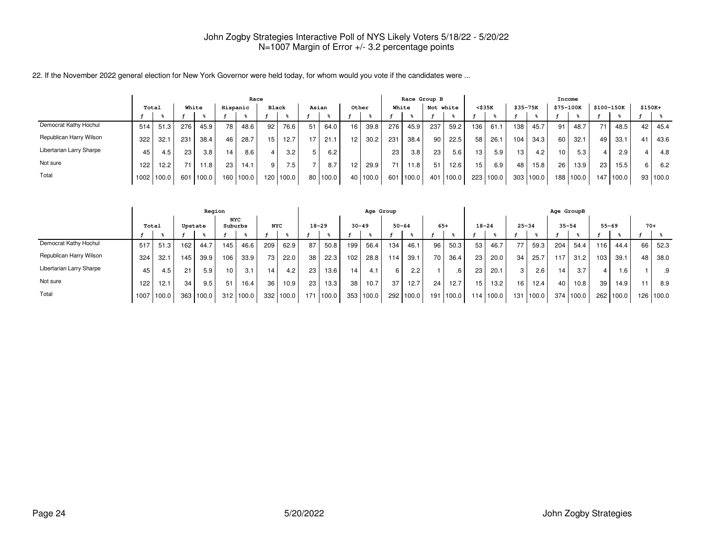|                          |       |            |     |       |          | Race  |       |       |    |       |    |                    |                 | Race Group B |           |       |                  |       |                 |           | Income          |           |                 |            |          |        |
|--------------------------|-------|------------|-----|-------|----------|-------|-------|-------|----|-------|----|--------------------|-----------------|--------------|-----------|-------|------------------|-------|-----------------|-----------|-----------------|-----------|-----------------|------------|----------|--------|
|                          | Total |            |     | White | Hispanic |       | Black |       |    | Asian |    | Other              |                 | White        | Not white |       | <\$35K           |       | \$35-75K        |           | \$75-100K       |           |                 | \$100-150K | $$150K+$ |        |
|                          |       |            |     |       |          |       |       |       |    |       |    |                    |                 |              |           |       |                  |       |                 |           |                 |           |                 |            |          |        |
| Democrat Kathy Hochul    | 514   | 51.3       | 276 | 45.9  | 78       | 48.6  | 92.   | 76.6  | 51 | 64.0  | 16 | 39.8               | 276             | 45.9         | 237       | 59.2  | 136 <sub>1</sub> | 61.1  | 138             | 45.7      | 91              | 48.7      |                 | 48.5       | 42       | 45.4   |
| Republican Harry Wilson  | 322   | 32.1       | 231 | 38.4  | 46       | 28.7  | 15    | 12.7  | 17 | 21.1  | 12 | 30.2 <sub>1</sub>  | 231             | 38.4         | 90        | 22.5  | 58 l             | 26.1  | 104             | 34.3      | 60              | 32.1      | 49              | 33.1       | 41       | 43.6   |
| Libertarian Larry Sharpe | 45    | 4.5        | 23  | 3.8   | 14       | 8.6   |       | 3.2   |    | 6.2   |    |                    | 23              | 3.8          | 23        | 5.6   | 13 <sup>1</sup>  | 5.9   | 13 <sub>1</sub> | 4.2       | 101             | 5.3       |                 | 2.9        |          | 4.8    |
| Not sure                 | 122   | 12.2       |     | 11.8  | 23       | 14.1  |       | 7.51  |    | 8.7   | 12 | 29.9               | 71 <sub>1</sub> | 11.8         | 51        | 12.6  | 15               | 6.9   | 48              | 15.8      | 26 <sub>1</sub> | 13.9      | 23 <sub>1</sub> | 15.5       |          | 6.2    |
| Total                    |       | 1002 100.0 | 601 | 100.0 | 160      | 100.0 | 120   | 100.0 | 80 | 100.0 | 40 | 100.0 <sub>1</sub> | 601 l           | 100.0        | 401       | 100.0 | 223              | 100.0 |                 | 303 100.0 |                 | 188 100.0 | 147             | 1100.0     | 93       | 1100.0 |

|                          |       |       |     | Region  |                 |                    |            |       |           |       |           | Age Group |     |               |       |       |           |           |                 |           | Age GroupB |           |           |       |       |           |
|--------------------------|-------|-------|-----|---------|-----------------|--------------------|------------|-------|-----------|-------|-----------|-----------|-----|---------------|-------|-------|-----------|-----------|-----------------|-----------|------------|-----------|-----------|-------|-------|-----------|
|                          | Total |       |     | Upstate | NYC<br>Suburbs  |                    | <b>NYC</b> |       | $18 - 29$ |       | $30 - 49$ |           |     | $50 - 64$     | $65+$ |       | $18 - 24$ |           | $25 - 34$       |           | $35 - 54$  |           | $55 - 69$ |       | $70+$ |           |
|                          |       |       |     |         |                 |                    |            |       |           |       |           |           |     |               |       |       |           |           |                 |           |            |           |           |       |       |           |
| Democrat Kathy Hochul    | 517   | 51.3  | 162 | 44.7    | 145             | 46.6               | 209        | 62.9  | 87        | 50.8  | 199       | 56.4      | 134 | 46.1          | 96    | 50.3  | 53        | 46.7      |                 | 59.3      | 204        | 54.4      | 116.      | 44.4  | 66 I  | 52.3      |
| Republican Harry Wilson  | 324   | 32.1  | 145 | 39.9    | 106             | 33.9               | 73         | 22.0  | 38        | 22.3  | 102       | 28.8      | 114 | 39.1          | 70 l  | 36.4  | 23        | 20.0      | 34 <sub>1</sub> | 25.7      | 117        | 31.2      | 103       | 39.1  | 48    | 38.0      |
| Libertarian Larry Sharpe | 45    | 4.5   | 21  | 5.9     | 10 <sub>1</sub> | 3.1                | 14.        | 4.2   | 23        | 13.6  | 14        | 4.1       | 6   | $2.2^{\circ}$ |       |       | 23        | 20.1      | 3               | 2.6       | 14         | 3.7       | 4         | 1.6   |       | .9        |
| Not sure                 | 122   | 12.1  | 34  | 9.5     | 51              | 16.4               | 36         | 10.9  | 23        | 13.3  | 38        | 10.7      | 37  | 12.7          | 24    | 12.7  | 15        | 13.2      | 161             | 12.4      | 40         | 10.8      | 39        | 14.9  |       | 8.9       |
| Total                    | 1007  | 100.0 | 363 | 100.0   | 312             | 100.0 <sub>1</sub> | 332        | 100.0 | 171       | 100.0 |           | 353 100.0 | 292 | 100.0         | 191   | 100.0 |           | 114 100.0 |                 | 131 100.0 |            | 374 100.0 | 262 l     | 100.0 |       | 126 100.0 |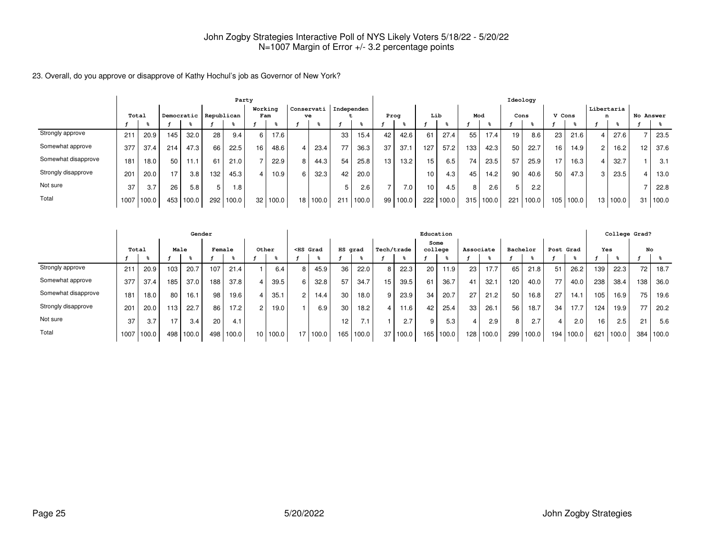23. Overall, do you approve or disapprove of Kathy Hochul's job as Governor of New York?

|                     | Party |       |     |            |            |       |                |       |            |       |            |       |      |                   |     |       |     |       | Ideology |       |        |       |                 |                   |                 |           |
|---------------------|-------|-------|-----|------------|------------|-------|----------------|-------|------------|-------|------------|-------|------|-------------------|-----|-------|-----|-------|----------|-------|--------|-------|-----------------|-------------------|-----------------|-----------|
|                     |       | Total |     | Democratic | Republican |       | Working<br>Fam |       | Conservati | ve    | Independen |       | Prog |                   | Lib |       | Mod |       | Cons     |       | V Cons |       | Libertaria<br>n |                   |                 | No Answer |
|                     |       |       |     |            |            |       |                |       |            |       |            |       |      |                   |     |       |     |       |          |       |        |       |                 |                   |                 |           |
| Strongly approve    | 211   | 20.9  | 145 | 32.0       | 28         | 9.4   | 6              | 17.6  |            |       | 33         | 15.4  | 42   | 42.6              | 61  | 27.4  | 55  | 17.4  | 19       | 8.6   | 23     | 21.6  |                 | 27.6              |                 | 23.5      |
| Somewhat approve    | 377   | 37.4  | 214 | 47.3       | 66         | 22.5  | 16             | 48.6  |            | 23.4  | 77         | 36.3  | 37   | 37.1              | 127 | 57.2  | 133 | 42.3  | 50       | 22.7  | 16     | 14.9  |                 | 16.2 <sub>1</sub> | 12 <sup>°</sup> | 37.6      |
| Somewhat disapprove | 181   | 18.0  | 50  | 11.1       | 61         | 21.0  |                | 22.9  | 8          | 44.3  | 54         | 25.8  | 13   | 13.2 <sub>1</sub> | 15  | 6.5   | 74  | 23.5  | 57       | 25.9  | 17     | 16.3  |                 | 32.7              |                 | 3.1       |
| Strongly disapprove | 201   | 20.0  | 17  | 3.8        | 132        | 45.3  |                | 10.9  | 6          | 32.3  | 42         | 20.0  |      |                   | 10  | 4.3   | 45  | 14.2  | 90       | 40.6  | 50     | 47.3  |                 | 23.5              |                 | 13.0      |
| Not sure            | 37    | 3.7   | 26  | 5.8        | 5          | 1.8   |                |       |            |       |            | 2.6   |      | 7.0               | 10  | 4.5   | 8   | 2.6   |          | 2.2   |        |       |                 |                   |                 | 22.8      |
| Total               | 1007  | 100.0 | 453 | 100.0      | 292        | 100.0 | 32             | 100.0 | 18         | 100.0 | 211        | 100.0 | 99   | 100.0             | 222 | 100.0 | 315 | 100.0 | 221      | 100.0 | 105    | 100.0 | 13              | 100.0             | 3               | 100.0     |

|                     |       |       |     | Gender |        |       |                 |       |                                                                                                                                                                                                                                                   |       |         |       |            |       | Education |                 |           |       |          |       |           |       |                 |       | College Grad? |       |
|---------------------|-------|-------|-----|--------|--------|-------|-----------------|-------|---------------------------------------------------------------------------------------------------------------------------------------------------------------------------------------------------------------------------------------------------|-------|---------|-------|------------|-------|-----------|-----------------|-----------|-------|----------|-------|-----------|-------|-----------------|-------|---------------|-------|
|                     | Total |       |     | Male   | Female |       | Other           |       | <hs grad<="" th=""><th></th><th>HS grad</th><th></th><th>Tech/trade</th><th></th><th></th><th>Some<br/>college</th><th>Associate</th><th></th><th>Bachelor</th><th></th><th>Post Grad</th><th></th><th>Yes</th><th></th><th>No</th><th></th></hs> |       | HS grad |       | Tech/trade |       |           | Some<br>college | Associate |       | Bachelor |       | Post Grad |       | Yes             |       | No            |       |
|                     |       |       |     |        |        |       |                 |       |                                                                                                                                                                                                                                                   |       |         |       |            |       |           |                 |           |       |          |       |           |       |                 |       |               |       |
| Strongly approve    | 21    | 20.9  | 103 | 20.7   | 107    | 21.4  |                 | 6.4   | 8                                                                                                                                                                                                                                                 | 45.9  | 36      | 22.0  | 8          | 22.3  | 20        | 11.9            | 23        | 17.7  | 65       | 21.8  | 51        | 26.2  | 139             | 22.3  | 72            | 18.7  |
| Somewhat approve    | 377   | 37.4  | 185 | 37.0   | 188    | 37.8  | 4               | 39.5  | 6                                                                                                                                                                                                                                                 | 32.8  | 57      | 34.7  | 15         | 39.5  | 61        | 36.7            | 41        | 32.7  | 120      | 40.0  | 77        | 40.0  | 238             | 38.4  | 138           | 36.0  |
| Somewhat disapprove | 181   | 18.0  | 80  | 16.1   | 98     | 19.6  | 4               | 35.1  | 2                                                                                                                                                                                                                                                 | 14.4  | 30      | 18.0  | 9          | 23.9  | 34        | 20.7            | 27        | 21.2  | 50       | 16.8  | 27        | 14.7  | 105             | 16.9  | 75            | 19.6  |
| Strongly disapprove | 201   | 20.0  | 13  | 22.7   | 86     | 17.2  | $\overline{2}$  | 19.0  |                                                                                                                                                                                                                                                   | 6.9   | 30      | 18.2  | 4          | 11.6  | 42        | 25.4            | 33        | 26.1  | 56       | 18.7  | 34        | 17.7  | 124             | 19.9  | 77            | 20.2  |
| Not sure            | 37    | 3.7   | 17  | 3.4    | 20     | 4.1   |                 |       |                                                                                                                                                                                                                                                   |       | 12      | 7.1   |            | 2.7   | 9         | 5.3             | 4         | 2.9   | 8        | 2.7   |           | 2.0   | 16 <sub>1</sub> | 2.5   | 21            | 5.6   |
| Total               | 1007  | 100.0 | 498 | 100.0  | 498    | 100.0 | 10 <sup>1</sup> | 100.0 | 17 <sup>1</sup>                                                                                                                                                                                                                                   | 100.0 | 165     | 100.0 | 37         | 100.0 | 165       | 100.0           | 128       | 100.0 | 299      | 100.0 | 194       | 100.0 | 621             | 100.0 | 384           | 100.0 |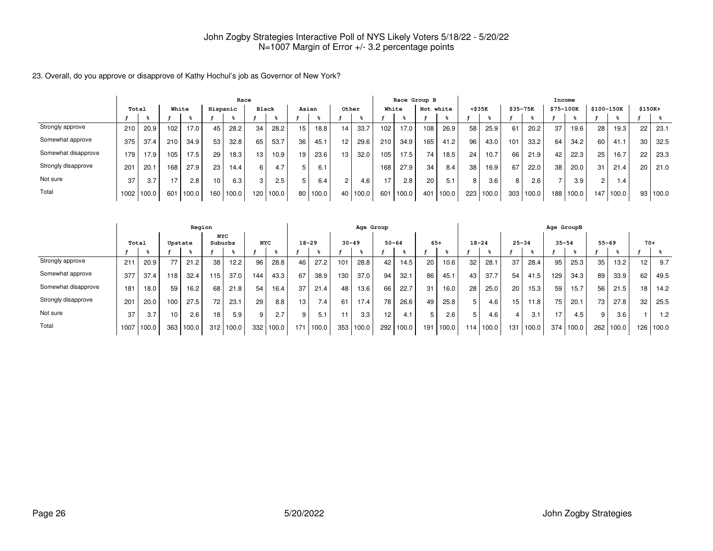23. Overall, do you approve or disapprove of Kathy Hochul's job as Governor of New York?

|                     | Race  |       |       |       |          |       |              |       |    |       |                |          |     |       | Race Group B |       |     |        |             |       | Income     |       |            |       |    |          |
|---------------------|-------|-------|-------|-------|----------|-------|--------------|-------|----|-------|----------------|----------|-----|-------|--------------|-------|-----|--------|-------------|-------|------------|-------|------------|-------|----|----------|
|                     | Total |       | White |       | Hispanic |       | <b>Black</b> |       |    | Asian |                | Other    |     | White | Not white    |       |     | <\$35K | $$35 - 75K$ |       | $$75-100K$ |       | \$100-150K |       |    | $$150K+$ |
|                     |       |       |       |       |          |       |              |       |    |       |                |          |     |       |              |       |     |        |             |       |            |       |            |       |    |          |
| Strongly approve    | 210   | 20.9  | 102   | 17.0  | 45       | 28.2  | 34           | 28.2  | 15 | 18.8  | 14             | 33.7     | 102 | 17.0  | 108          | 26.9  | 58  | 25.9   | 61          | 20.2  | 37         | 19.6  | 28         | 19.3  | 22 | 23.1     |
| Somewhat approve    | 375   | 37.4  | 210   | 34.9  | 53       | 32.8  | 65           | 53.7  | 36 | 45.1  | 12             | 29.6     | 210 | 34.9  | 165          | 41.2  | 96  | 43.0   | 101         | 33.2  | 64         | 34.2  | 60         | 41.1  | 30 | 32.5     |
| Somewhat disapprove | 179   | 17.9  | 105   | 17.5  | 29       | 18.3  | 13           | 10.9  | 19 | 23.6  | 13             | 32.0     | 105 | 17.5  | 74           | 18.5  | 24  | 10.7   | 66          | 21.9  | 42         | 22.3  | 25         | 16.7  | 22 | 23.3     |
| Strongly disapprove | 201   | 20.1  | 168   | 27.9  | 23       | 14.4  | 6            | 4.7   | 5  | 6.7   |                |          | 168 | 27.9  | 34           | 8.4   | 38  | 16.9   | 67          | 22.0  | 38         | 20.0  | 31         | 21.4  | 20 | 21.0     |
| Not sure            | 37    | 3.7   | 17    | 2.8   | 10       | 6.3   | 3            | 2.5   | 5  | 6.4   | $\overline{c}$ | 4.6      | 17  | 2.8   | 20           | 5.1   | 8   | 3.6    | 8           | 2.6   |            | 3.9   |            | . 4   |    |          |
| Total               | 1002  | 100.0 | 601   | 100.0 | 160      | 100.0 | 120          | 100.0 | 80 | 100.0 |                | 40 100.0 | 601 | 100.0 | 401          | 100.0 | 223 | 100.0  | 303         | 100.0 | 188        | 100.0 | 147        | 100.0 | 93 | 100.0    |

|                     |      |       |         | Region |                       |       |            |       |           |       |           | Age Group |           |       |       |       |           |       |           |       | Age GroupB |       |           |                   |                 |       |
|---------------------|------|-------|---------|--------|-----------------------|-------|------------|-------|-----------|-------|-----------|-----------|-----------|-------|-------|-------|-----------|-------|-----------|-------|------------|-------|-----------|-------------------|-----------------|-------|
|                     |      | Total | Upstate |        | <b>NYC</b><br>Suburbs |       | <b>NYC</b> |       | $18 - 29$ |       | $30 - 49$ |           | $50 - 64$ |       | $65+$ |       | $18 - 24$ |       | $25 - 34$ |       | $35 - 54$  |       | $55 - 69$ |                   | $70+$           |       |
|                     |      |       |         |        |                       |       |            |       |           |       |           |           |           |       |       |       |           |       |           |       |            |       |           |                   |                 |       |
| Strongly approve    | 211  | 20.9  |         | 21.2   | 38                    | 12.2  | 96         | 28.8  | 46        | 27.2  | 101       | 28.8      | 42        | 14.5  | 20    | 10.6  | 32        | 28.7  | 37        | 28.4  | 95         | 25.3  | 35        | 13.2 <sub>1</sub> | 12 <sub>1</sub> | 9.7   |
| Somewhat approve    | 377  | 37.4  | 118     | 32.4   | 115                   | 37.0  | 144.       | 43.3  | 67        | 38.9  | 130       | 37.0      | 94        | 32.1  | 86    | 45.1  | 43        | 37.7  | 54        | 41.5  | 129        | 34.3  | 89        | 33.9              | 62              | 49.5  |
| Somewhat disapprove | 181  | 18.0  | 59      | 16.2   | 68                    | 21.8  | 54         | 16.4  | 37        | 21.4  | 48        | 13.6      | 66        | 22.7  | 31    | 16.0  | 28        | 25.0  | 20        | 15.3  | 59         | 15.7  | 56        | 21.5              | 18 <sub>1</sub> | 14.2  |
| Strongly disapprove | 201  | 20.0  | 100     | 27.5   | 72                    | 23.1  | 29         | 8.8   | 13        | 7.4   | 61        | 17.4      | 78        | 26.6  | 49    | 25.8  |           | 4.6   | 15        | 11.8  | 75         | 20.1  | 73        | 27.8              | 32              | 25.5  |
| Not sure            | 37   | 3.7   | 10      | 2.6    | 18                    | 5.9   | 9          | 2.7   | 9         | 5.1   | 11        | 3.3       | 12        | 4.1   |       | 2.6   |           | 4.6   | 4         | 3.1   | 17         | 4.5   | 9         | 3.6               |                 | 1.2   |
| Total               | 1007 | 100.0 | 363     | 100.0  | 312                   | 100.0 | 332        | 100.0 | 171       | 100.0 | 353       | 100.0     | 292       | 100.0 | 191   | 100.0 | 114       | 100.0 | 131       | 100.0 | 374        | 100.0 | 262       | 100.0             | 126             | 100.0 |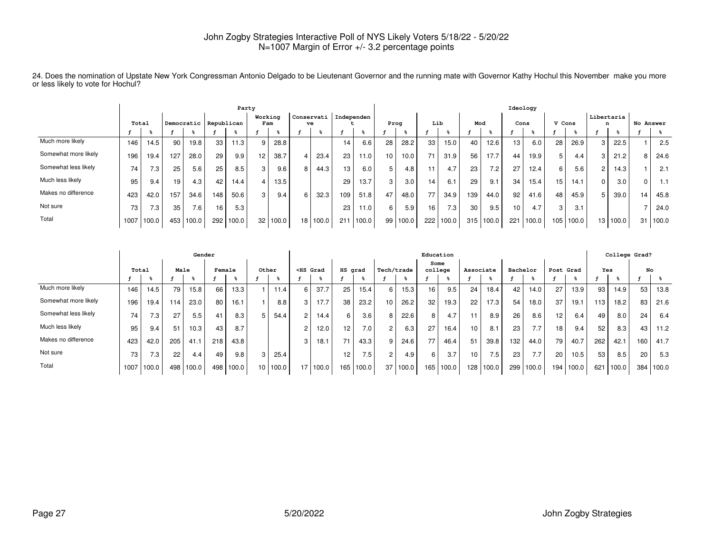24. Does the nomination of Upstate New York Congressman Antonio Delgado to be Lieutenant Governor and the running mate with Governor Kathy Hochul this November make you more or less likely to vote for Hochul?

|                      | Party |       |     |       |                       |       |                 |       |    |                  |                 |       |    |       |     |       |     |       | Ideology        |       |        |       |                 |          |           |       |
|----------------------|-------|-------|-----|-------|-----------------------|-------|-----------------|-------|----|------------------|-----------------|-------|----|-------|-----|-------|-----|-------|-----------------|-------|--------|-------|-----------------|----------|-----------|-------|
|                      |       | Total |     |       | Democratic Republican |       | Working<br>Fam  |       |    | Conservati<br>ve | Independen      |       |    | Prog  | Lib |       | Mod |       | Cons            |       | V Cons |       | Libertaria<br>n |          | No Answer |       |
|                      |       |       |     |       |                       |       |                 |       |    |                  |                 |       |    |       |     |       |     |       |                 |       |        |       |                 |          |           |       |
| Much more likely     | 146   | 14.5  | 90  | 19.8  | 33                    | 11.3  |                 | 28.8  |    |                  | 14              | 6.6   | 28 | 28.2  | 33  | 15.0  | 40  | 12.6  | 13 <sub>1</sub> | 6.0   | 28     | 26.9  |                 | 22.5     |           | 2.5   |
| Somewhat more likely | 196   | 19.4  | 127 | 28.0  | 29                    | 9.9   | 12 <sup>2</sup> | 38.7  |    | 23.4             | 23              | 11.0  | 10 | 10.0  | 71  | 31.9  | 56  | 17.7  | 44              | 19.9  | 51     | 4.4   |                 | 21.2     |           | 24.6  |
| Somewhat less likely | 74    | 7.3   | 25  | 5.6   | 25                    | 8.5   | 3               | 9.6   | 8  | 44.3             | 13 <sub>1</sub> | 6.0   |    | 4.8   |     | 4.7   | 23  | 7.2   | 27              | 12.4  | 6 I    | 5.6   |                 | 14.3     |           | 2.1   |
| Much less likely     | 95    | 9.4   | 19  | 4.3   | 42                    | 14.4  |                 | 13.5  |    |                  | 29              | 13.7  | 3  | 3.0   | 14  | 6.1   | 29  | 9.1   | 34              | 15.4  | 15     | 14.1  |                 | 3.0      |           | 1.1   |
| Makes no difference  | 423   | 42.0  | 157 | 34.6  | 148                   | 50.6  | 3 <sub>1</sub>  | 9.4   | 6  | 32.3             | 109             | 51.8  | 47 | 48.0  | 77  | 34.9  | 139 | 44.0  | 92              | 41.6  | 48     | 45.9  |                 | 39.0     | 14        | 45.8  |
| Not sure             | 73    | 7.3   | 35  | 7.6   | 16                    | 5.3   |                 |       |    |                  | 23              | 11.0  | b  | 5.9   | 16  | 7.3   | 30  | 9.5   | 10              | 4.7   |        | 3.1   |                 |          |           | 24.0  |
| Total                | 1007  | 100.0 | 453 | 100.0 | 292                   | 100.0 | 32              | 100.0 | 18 | 100.0            | 211             | 100.0 | 99 | 100.0 | 222 | 100.0 | 315 | 100.0 | 221             | 100.0 | 105    | 100.0 |                 | 13 100.0 | 31        | 100.0 |

|                      |      |                  |      | Gender |        |       |       |       |                                                                                                                                                                                                                                                   |       |                 |       |                      |       | Education       |       |                 |       |          |       |                 |       |     |       | College Grad? |       |
|----------------------|------|------------------|------|--------|--------|-------|-------|-------|---------------------------------------------------------------------------------------------------------------------------------------------------------------------------------------------------------------------------------------------------|-------|-----------------|-------|----------------------|-------|-----------------|-------|-----------------|-------|----------|-------|-----------------|-------|-----|-------|---------------|-------|
|                      |      | Total            | Male |        | Female |       | Other |       | <hs grad<="" th=""><th></th><th>HS grad</th><th></th><th>Tech/trade</th><th></th><th>Some<br/>college</th><th></th><th>Associate</th><th></th><th>Bachelor</th><th></th><th>Post Grad</th><th></th><th>Yes</th><th></th><th>No</th><th></th></hs> |       | HS grad         |       | Tech/trade           |       | Some<br>college |       | Associate       |       | Bachelor |       | Post Grad       |       | Yes |       | No            |       |
|                      |      |                  |      |        |        |       |       |       |                                                                                                                                                                                                                                                   |       |                 |       |                      |       |                 |       |                 |       |          |       |                 |       |     |       |               |       |
| Much more likely     | 146  | 14.5             | 79   | 15.8   | 66     | 13.3  |       | 11.4  | 6                                                                                                                                                                                                                                                 | 37.7  | 25              | 15.4  | 6                    | 15.3  | 16              | 9.5   | 24              | 18.4  | 42       | 14.0  | 27              | 13.9  | 93  | 14.9  | 53            | 13.8  |
| Somewhat more likely | 196  | 19.4             | 114  | 23.0   | 80     | 16.1  |       | 8.8   | 3                                                                                                                                                                                                                                                 | 17.7  | 38              | 23.2  | 10                   | 26.2  | 32              | 19.3  | 22              | 17.3  | 54       | 18.0  | 37              | 19.1  | 113 | 18.2  | 83            | 21.6  |
| Somewhat less likely | 74   | 7.3              | 27   | 5.5    | 41     | 8.3   |       | 54.4  | 2                                                                                                                                                                                                                                                 | 14.4  | 6               | 3.6   | 8                    | 22.6  | 8               | 4.7   | 11              | 8.9   | 26       | 8.6   | 12 <sub>1</sub> | 6.4   | 49  | 8.0   | 24            | 6.4   |
| Much less likely     | 95   | 9.4              | 51   | 10.3   | 43     | 8.7   |       |       |                                                                                                                                                                                                                                                   | 12.0  | 12 <sup>2</sup> | 7.0   | $\overline{2}$       | 6.3   | 27              | 16.4  | 10 <sub>1</sub> | 8.1   | 23       | 7.7   | 18 <sub>1</sub> | 9.4   | 52  | 8.3   | 43            | 11.2  |
| Makes no difference  | 423  | 42.0             | 205  | 41.7   | 218    | 43.8  |       |       | Э                                                                                                                                                                                                                                                 | 18.1  | 71              | 43.3  | g                    | 24.6  | 77              | 46.4  | 51              | 39.8  | 132      | 44.0  | 79              | 40.7  | 262 | 42.1  | 160           | 41.7  |
| Not sure             | 73   | 7.3 <sub>1</sub> | 22   | 4.4    | 49     | 9.8   |       | 25.4  |                                                                                                                                                                                                                                                   |       | 12              | 7.5   | $\mathbf{2}^{\circ}$ | 4.9   | 6               | 3.7   | 10.             | 7.5   | 23       | 7.7   | 20              | 10.5  | 53  | 8.5   | 20            | 5.3   |
| Total                | 1007 | 100.0            | 498  | 100.0  | 498    | 100.0 | 10    | 100.0 | 17                                                                                                                                                                                                                                                | 100.0 | 165             | 100.0 | 37                   | 100.0 | 165             | 100.0 | 128             | 100.0 | 299      | 100.0 | 194             | 100.0 | 621 | 100.0 | 384           | 100.0 |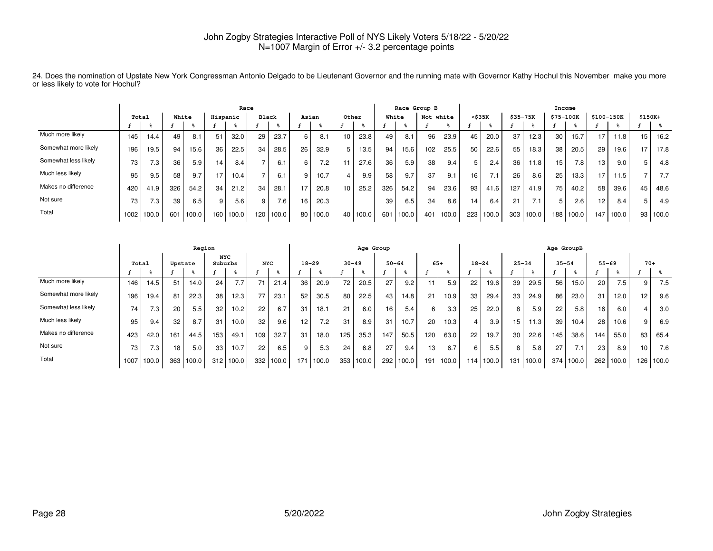|                      |       |       |     |       |                 | Race     |       |           |       |          |       |            |     |       | Race Group B |       |                 |       |          |       | Income    |       |                 |       |          |       |
|----------------------|-------|-------|-----|-------|-----------------|----------|-------|-----------|-------|----------|-------|------------|-----|-------|--------------|-------|-----------------|-------|----------|-------|-----------|-------|-----------------|-------|----------|-------|
|                      | Total |       |     | White |                 | Hispanic | Black |           | Asian |          | Other |            |     | White | Not white    |       | $<$ \$35 $K$    |       | \$35-75K |       | \$75-100K |       | \$100-150K      |       | $$150K+$ |       |
|                      |       |       |     |       |                 |          |       |           |       |          |       |            |     |       |              |       |                 |       |          |       |           |       |                 |       |          |       |
| Much more likely     | 145   | 14.4  | 49  | 8.1   | 51              | 32.0     | 29    | 23.7      | 6     | 8.1      | 10.   | 23.8       | 49  | 8.1   | 96           | 23.9  | 45              | 20.0  | 37       | 12.3  | 30        | 15.7  | 17              | 11.8  | 15       | 16.2  |
| Somewhat more likely | 196   | 19.5  | 94  | 15.6  | 36              | 22.5     | 34    | 28.5      | 26    | 32.9     | 5 I   | 13.5       | 94  | 15.6  | 102          | 25.5  | 50              | 22.6  | 55       | 18.3  | 38        | 20.5  | 29              | 19.6  | - 7      | 17.8  |
| Somewhat less likely | 73    | 7.3   | 36  | 5.9   | 14 <sub>1</sub> | 8.4      |       | 6.1       | 6     | 7.2      |       | 27.6       | 36  | 5.9   | 38           | 9.4   |                 | 2.4   | 36       | 11.8  | 15        | 7.8   | 13 <sub>1</sub> | 9.0   |          | 4.8   |
| Much less likely     | 95    | 9.5   | 58  | 9.7   | 17              | 10.4     |       | 6.1       |       | 10.7     |       | 9.9        | 58  | 9.7   | 37           | 9.1   | 16              |       | 26       | 8.6   | 25        | 13.3  | 17.             | 11.5  |          | 7.7   |
| Makes no difference  | 420   | 41.9  | 326 | 54.2  | 34              | 21.2     | 34    | 28.7      | 17    | 20.8     | 10    | 25.2       | 326 | 54.2  | 94           | 23.6  | 93              | 41.6  | 127      | 41.9  | 75        | 40.2  | 58              | 39.6  | 45       | 48.6  |
| Not sure             | 73    | 7.3.  | 39  | 6.5   | 9               | 5.6      | 9     | 7.6       | 16.   | 20.3     |       |            | 39  | 6.5   | 34           | 8.6   | 14 <sub>1</sub> | 6.4   | 21       |       |           | 2.6   | 12 <sub>1</sub> | 8.4   |          | 4.9   |
| Total                | 1002  | 100.0 | 601 | 100.0 | 160             | 100.0    |       | 120 100.0 |       | 80 100.0 |       | 40   100.0 | 601 | 100.0 | 401          | 100.0 | 223             | 100.0 | 303      | 100.0 | 188       | 100.0 | 147             | 100.0 | 93       | 100.0 |

24. Does the nomination of Upstate New York Congressman Antonio Delgado to be Lieutenant Governor and the running mate with Governor Kathy Hochul this November make you more or less likely to vote for Hochul?

|                      |       |                  |                 | Region  |                       |       |            |       |     |           |           | Age Group |           |       |       |       |           |       |           |       | Age GroupB |       |           |       |       |       |
|----------------------|-------|------------------|-----------------|---------|-----------------------|-------|------------|-------|-----|-----------|-----------|-----------|-----------|-------|-------|-------|-----------|-------|-----------|-------|------------|-------|-----------|-------|-------|-------|
|                      | Total |                  |                 | Upstate | <b>NYC</b><br>Suburbs |       | <b>NYC</b> |       |     | $18 - 29$ | $30 - 49$ |           | $50 - 64$ |       | $65+$ |       | $18 - 24$ |       | $25 - 34$ |       | $35 - 54$  |       | $55 - 69$ |       | $70+$ |       |
|                      |       | န္               |                 | န္      |                       |       |            | ႜႜ    |     |           |           | ႜ         |           |       |       |       |           |       |           |       |            |       |           |       |       |       |
| Much more likely     | 146   | 14.5             | 51              | 14.0    | 24                    | 7.7   | 71         | 21.4  | 36  | 20.9      | 72        | 20.5      | 27        | 9.2   | 11    | 5.9   | 22        | 19.6  | 39        | 29.5  | 56         | 15.0  | 20        | 7.5   | 9     | 7.5   |
| Somewhat more likely | 196   | 19.4             | 81              | 22.3    | 38                    | 12.3  | 77         | 23.7  | 52  | 30.5      | 80        | 22.5      | 43        | 14.8  | 21    | 10.9  | 33        | 29.4  | 33        | 24.9  | 86         | 23.0  | 31        | 12.0  | 12    | 9.6   |
| Somewhat less likely | 74    | 7.3 <sub>1</sub> | 20              | 5.5     | 32                    | 10.2  | 22         | 6.7   | 31  | 18.1      | 21        | 6.0       | 16        | 5.4   | 6     | 3.3   | 25        | 22.0  | 8         | 5.9   | 22         | 5.8   | 16        | 6.0   | 4     | 3.0   |
| Much less likely     | 95    | 9.4              | 32              | 8.7     | 31                    | 10.0  | 32         | 9.6   | 12  | 7.2       | 31        | 8.9       | 31        | 10.7  | 20    | 10.3  | 4         | 3.9   | 15        | 11.3  | 39         | 10.4  | 28        | 10.6  | 9     | 6.9   |
| Makes no difference  | 423   | 42.0             | 161             | 44.5    | 153                   | 49.1  | 109        | 32.7  | 31  | 18.0      | 125       | 35.3      | 147       | 50.5  | 120   | 63.0  | 22        | 19.7  | 30        | 22.6  | 145        | 38.6  | 144       | 55.0  | 83    | 65.4  |
| Not sure             | 73    | 7.3 <sub>1</sub> | 18 <sub>1</sub> | 5.0     | 33                    | 10.7  | 22         | 6.5   | 9   | 5.3       | 24        | 6.8       | 27        | 9.4   | 13    | 6.7   | 6         | 5.5   | 8         | 5.8   | 27         | 7.1   | 23        | 8.9   | 10    | 7.6   |
| Total                | 1007  | 100.0            | 363             | 100.0   | 312                   | 100.0 | 332        | 100.0 | 171 | 100.0     | 353       | 100.0     | 292       | 100.0 | 191   | 100.0 | 114       | 100.0 | 131       | 100.0 | 374        | 100.0 | 262       | 100.0 | 126   | 100.0 |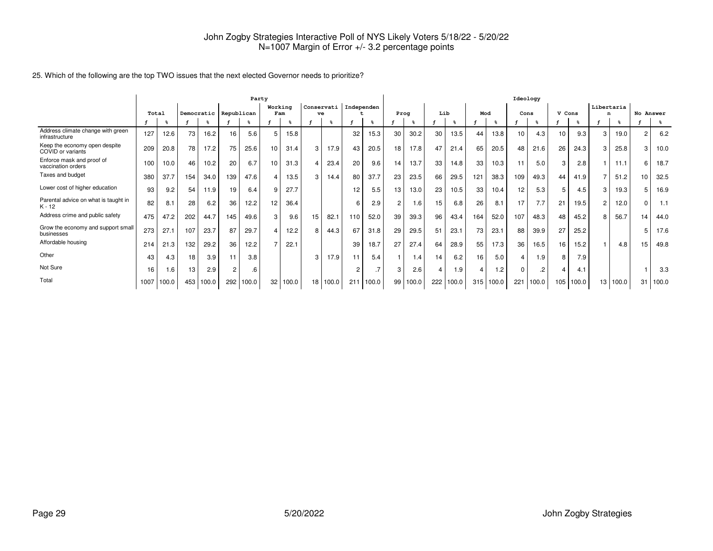|                                                     | Party |       |     |       |                         |       |                |       |                 |            |            |                 |                |       |     |       |          |       | Ideology |       |        |       |                |       |               |       |
|-----------------------------------------------------|-------|-------|-----|-------|-------------------------|-------|----------------|-------|-----------------|------------|------------|-----------------|----------------|-------|-----|-------|----------|-------|----------|-------|--------|-------|----------------|-------|---------------|-------|
|                                                     | Total |       |     |       | Democratic   Republican |       | Working<br>Fam |       | ve              | Conservati | Independen |                 | Prog           |       | Lib |       | Mod      |       | Cons     |       | V Cons |       | Libertaria     |       | No Answer     |       |
|                                                     |       |       |     |       |                         |       |                |       |                 |            |            |                 |                |       |     | န္    |          |       |          |       |        |       |                | ႜၟ    |               | န္    |
| Address climate change with green<br>infrastructure | 127   | 12.6  | 73  | 16.2  | 16                      | 5.6   | 5              | 15.8  |                 |            | 32         | 15.3            | 30             | 30.2  | 30  | 13.5  | 44       | 13.8  | 10       | 4.3   | 10     | 9.3   |                | 19.0  | $\mathcal{P}$ | 6.2   |
| Keep the economy open despite<br>COVID or variants  | 209   | 20.8  | 78  | 17.2  | 75                      | 25.6  | 10             | 31.4  | 3               | 17.9       | 43         | 20.5            | 18             | 17.8  | 47  | 21.4  | 65       | 20.5  | 48       | 21.6  | 26     | 24.3  | 3              | 25.8  | 3             | 10.0  |
| Enforce mask and proof of<br>vaccination orders     | 100   | 10.0  | 46  | 10.2  | 20                      | 6.7   | 10             | 31.3  |                 | 23.4       | 20         | 9.6             | 14             | 13.7  | 33  | 14.8  | 33       | 10.3  | 11       | 5.0   | 3      | 2.8   |                | 11.1  | 6             | 18.7  |
| Taxes and budget                                    | 380   | 37.7  | 154 | 34.0  | 139                     | 47.6  | 4              | 13.5  | 3               | 14.4       | 80         | 37.7            | 23             | 23.5  | 66  | 29.5  | 121      | 38.3  | 109      | 49.3  | 44     | 41.9  |                | 51.2  | 10            | 32.5  |
| Lower cost of higher education                      | 93    | 9.2   | 54  | 11.9  | 19                      | 6.4   | 9              | 27.7  |                 |            | 12         | 5.5             | 13             | 13.0  | 23  | 10.5  | 33       | 10.4  | 12       | 5.3   | 5      | 4.5   | 3              | 19.3  | 5             | 16.9  |
| Parental advice on what is taught in<br>$K - 12$    | 82    | 8.1   | 28  | 6.2   | 36                      | 12.2  | 12             | 36.4  |                 |            |            | 2.9             | $\overline{2}$ | 1.6   | 15  | 6.8   | 26       | 8.1   | 17       | 7.7   | 21     | 19.5  | $\overline{2}$ | 12.0  | $\Omega$      | 1.1   |
| Address crime and public safety                     | 475   | 47.2  | 202 | 44.7  | 145                     | 49.6  | 3              | 9.6   | 15              | 82.7       | 110        | 52.0            | 39             | 39.3  | 96  | 43.4  | 164      | 52.0  | 107      | 48.3  | 48     | 45.2  |                | 56.7  | 14            | 44.0  |
| Grow the economy and support small<br>businesses    | 273   | 27.1  | 107 | 23.7  | 87                      | 29.7  | $\overline{4}$ | 12.2  | 8               | 44.3       | 67         | 31.8            | 29             | 29.5  | 51  | 23.1  | 73       | 23.1  | 88       | 39.9  | 27     | 25.2  |                |       |               | 17.6  |
| Affordable housing                                  | 214   | 21.3  | 132 | 29.2  | 36                      | 12.2  | $\overline{7}$ | 22.1  |                 |            | 39         | 18.7            | 27             | 27.4  | 64  | 28.9  | 55       | 17.3  | 36       | 16.5  | 16     | 15.2  |                | 4.8   | 15            | 49.8  |
| Other                                               | 43    | 4.3   | 18  | 3.9   | 11                      | 3.8   |                |       | 3               | 17.9       |            | 5.4             |                | 1.4   | 14  | 6.2   | 16       | 5.0   | 4        | 1.9   | 8      | 7.9   |                |       |               |       |
| Not Sure                                            | 16    | 1.6   | 13  | 2.9   | $\overline{c}$          | .6    |                |       |                 |            | $\sim$     | $.7\phantom{0}$ | 3              | 2.6   | 4   | 1.9   | $\Delta$ | 1.2   | $\Omega$ | .2    | 4      | 4.1   |                |       |               | 3.3   |
| Total                                               | 1007  | 100.0 | 453 | 100.0 | 292                     | 100.0 | 32             | 100.0 | 18 <sup>1</sup> | 100.0      | 21         | 100.0           | 99             | 100.0 | 222 | 100.0 | 315      | 100.0 | 221      | 100.0 | 105    | 100.0 | 13             | 100.0 | 31            | 100.0 |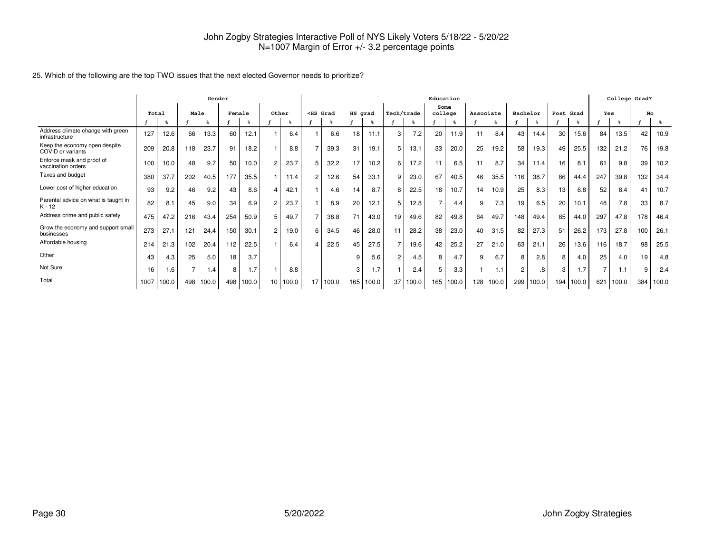|                                                     |       |       |      | Gender |        |       |                 |       |                 |       |         |       |                |       | Education       |       |           |       |                |       |           |       |     |       | College Grad? |       |
|-----------------------------------------------------|-------|-------|------|--------|--------|-------|-----------------|-------|-----------------|-------|---------|-------|----------------|-------|-----------------|-------|-----------|-------|----------------|-------|-----------|-------|-----|-------|---------------|-------|
|                                                     | Total |       | Male |        | Female |       | Other           |       | $<$ HS Grad     |       | HS grad |       | Tech/trade     |       | Some<br>college |       | Associate |       | Bachelor       |       | Post Grad |       | Yes |       | No            |       |
|                                                     |       |       |      | ℁      |        |       |                 |       |                 |       |         |       |                |       |                 |       |           |       |                |       |           |       |     |       |               |       |
| Address climate change with green<br>infrastructure | 127   | 12.6  | 66   | 13.3   | 60     | 12.1  |                 | 6.4   |                 | 6.6   | 18      | 11.1  | 3              | 7.2   | 20              | 11.9  | 11        | 8.4   | 43             | 14.4  | 30        | 15.6  | 84  | 13.5  | 42            | 10.9  |
| Keep the economy open despite<br>COVID or variants  | 209   | 20.8  | 118  | 23.7   | 91     | 18.2  |                 | 8.8   | $\overline{7}$  | 39.3  | 31      | 19.1  | 5              | 13.1  | 33              | 20.0  | 25        | 19.2  | 58             | 19.3  | 49        | 25.5  | 132 | 21.2  | 76            | 19.8  |
| Enforce mask and proof of<br>vaccination orders     | 100   | 10.0  | 48   | 9.7    | 50     | 10.0  | $\overline{2}$  | 23.7  | 5               | 32.2  | 17      | 10.2  | 6              | 17.2  | 11              | 6.5   |           | 8.7   | 34             | 11.4  | 16        | 8.1   | 61  | 9.8   | 39            | 10.2  |
| Taxes and budget                                    | 380   | 37.7  | 202  | 40.5   | 177    | 35.5  |                 | 11.4  | $\overline{c}$  | 12.6  | 54      | 33.1  | 9              | 23.0  | 67              | 40.5  | 46        | 35.5  | 116            | 38.7  | 86        | 44.4  | 247 | 39.8  | 132           | 34.4  |
| Lower cost of higher education                      | 93    | 9.2   | 46   | 9.2    | 43     | 8.6   | 4               | 42.1  |                 | 4.6   | 14      | 8.7   | 8              | 22.5  | 18              | 10.7  | 14        | 10.9  | 25             | 8.3   | 13        | 6.8   | 52  | 8.4   | 41            | 10.7  |
| Parental advice on what is taught in<br>$K - 12$    | 82    | 8.1   | 45   | 9.0    | 34     | 6.9   | 2               | 23.7  |                 | 8.9   | 20      | 12.1  | 5              | 12.8  | $\overline{7}$  | 4.4   | 9         | 7.3   | 19             | 6.5   | 20        | 10.1  | 48  | 7.8   | 33            | 8.7   |
| Address crime and public safety                     | 475   | 47.2  | 216  | 43.4   | 254    | 50.9  | 5               | 49.7  | $\overline{7}$  | 38.8  | 71      | 43.0  | 19             | 49.6  | 82              | 49.8  | 64        | 49.7  | 148            | 49.4  | 85        | 44.0  | 297 | 47.8  | 178           | 46.4  |
| Grow the economy and support small<br>businesses    | 273   | 27.1  | 121  | 24.4   | 150    | 30.1  | $\overline{2}$  | 19.0  | 6               | 34.5  | 46      | 28.0  | 11             | 28.2  | 38              | 23.0  | 40        | 31.5  | 82             | 27.3  | 51        | 26.2  | 173 | 27.8  | 100           | 26.1  |
| Affordable housing                                  | 214   | 21.3  | 102  | 20.4   | 112    | 22.5  |                 | 6.4   | 4               | 22.5  | 45      | 27.5  |                | 19.6  | 42              | 25.2  | 27        | 21.0  | 63             | 21.1  | 26        | 13.6  | 116 | 18.7  | 98            | 25.5  |
| Other                                               | 43    | 4.3   | 25   | 5.0    | 18     | 3.7   |                 |       |                 |       | q       | 5.6   | $\overline{2}$ | 4.5   | 8               | 4.7   | 9         | 6.7   | 8              | 2.8   | 8         | 4.0   | 25  | 4.0   | 19            | 4.8   |
| Not Sure                                            | 16    | 1.6   | 7    | 1.4    | 8      | 1.7   |                 | 8.8   |                 |       | 3       | 1.7   |                | 2.4   | 5               | 3.3   |           | 1.1   | $\overline{2}$ | .8    | 3         | 1.7   |     | 1.1   | 9             | 2.4   |
| Total                                               | 1007  | 100.0 | 498  | 100.0  | 498    | 100.0 | 10 <sup>1</sup> | 100.0 | 17 <sup>1</sup> | 100.0 | 165     | 100.0 | 37             | 100.0 | 165             | 100.0 | 128       | 100.0 | 299            | 100.0 | 194       | 100.0 | 621 | 100.0 | 384           | 100.0 |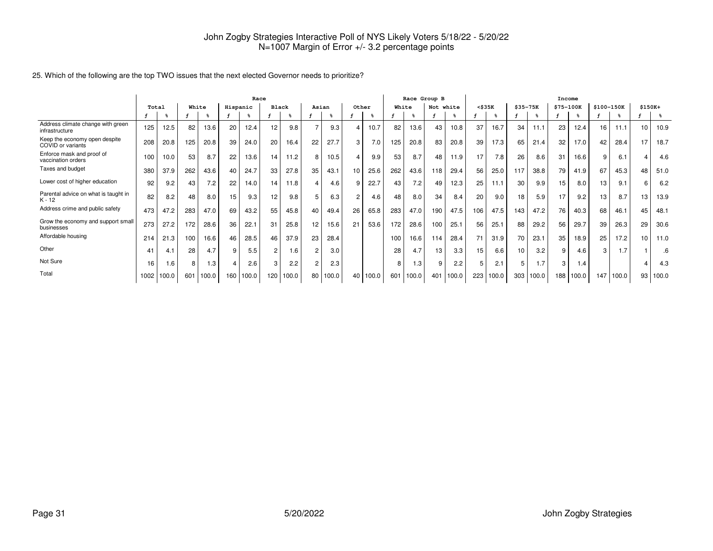|                                                     |       |       |       |                |          | Race  |                 |       |                |       |       |       |       |       | Race Group B |       |              |           |                 |       | Income    |       |            |       |    |          |
|-----------------------------------------------------|-------|-------|-------|----------------|----------|-------|-----------------|-------|----------------|-------|-------|-------|-------|-------|--------------|-------|--------------|-----------|-----------------|-------|-----------|-------|------------|-------|----|----------|
|                                                     | Total |       | White |                | Hispanic |       | <b>Black</b>    |       | Asian          |       | Other |       | White |       | Not white    |       | $<$ \$35 $K$ |           | $$35 - 75K$     |       | \$75-100K |       | \$100-150K |       |    | $$150K+$ |
|                                                     |       |       |       |                |          |       |                 |       |                |       |       |       |       |       |              |       |              |           |                 |       |           |       |            |       |    | န္       |
| Address climate change with green<br>infrastructure | 125   | 12.5  | 82    | 13.6           | 20       | 12.4  | 12              | 9.8   | $\overline{7}$ | 9.3   | 4     | 10.7  | 82    | 13.6  | 43           | 10.8  | 37           | 16.7      | 34              | 11.1  | 23        | 12.4  | 16         | 11.1  | 10 | 10.9     |
| Keep the economy open despite<br>COVID or variants  | 208   | 20.8  | 125   | 20.8           | 39       | 24.0  | 20              | 16.4  | 22             | 27.7  | 3     | 7.0   | 125   | 20.8  | 83           | 20.8  | 39           | 17.3      | 65              | 21.4  | 32        | 17.0  | 42         | 28.4  | 17 | 18.7     |
| Enforce mask and proof of<br>vaccination orders     | 100   | 10.0  | 53    | 8.7            | 22       | 13.6  | 14              | 11.2  | 8              | 10.5  | 4     | 9.9   | 53    | 8.7   | 48           | 11.9  | 17           | 7.8       | 26              | 8.6   | 31        | 16.6  | 9          | 6.1   | 4  | 4.6      |
| Taxes and budget                                    | 380   | 37.9  | 262   | 43.6           | 40       | 24.7  | 33              | 27.8  | 35             | 43.1  | 10    | 25.6  | 262   | 43.6  | 118          | 29.4  | 56           | 25.0      | 117             | 38.8  | 79        | 41.9  | 67         | 45.3  | 48 | 51.0     |
| Lower cost of higher education                      | 92    | 9.2   | 43    | 7.2            | 22       | 14.0  | 14.             | 11.8  | 4              | 4.6   | 9     | 22.7  | 43    | 7.2   | 49           | 12.3  | 25           | 11.1      | 30              | 9.9   | 15        | 8.0   | 13         | 9.1   | 6  | 6.2      |
| Parental advice on what is taught in<br>$K - 12$    | 82    | 8.2   | 48    | 8.0            | 15       | 9.3   | 12 <sup>2</sup> | 9.8   | 5              | 6.3   | 2     | 4.6   | 48    | 8.0   | 34           | 8.4   | 20           | 9.0       | 18              | 5.9   | 17        | 9.2   | 13         | 8.7   | 13 | 13.9     |
| Address crime and public safety                     | 473   | 47.2  | 283   | 47.0           | 69       | 43.2  | 55              | 45.8  | 40             | 49.4  | 26    | 65.8  | 283   | 47.0  | 190          | 47.5  | 106          | 47.5      | 143             | 47.2  | 76        | 40.3  | 68         | 46.1  | 45 | 48.1     |
| Grow the economy and support small<br>businesses    | 273   | 27.2  | 172   | 28.6           | 36       | 22.1  | 31              | 25.8  | 12             | 15.6  | 21    | 53.6  | 172   | 28.6  | 100          | 25.1  | 56           | 25.1      | 88              | 29.2  | 56        | 29.7  | 39         | 26.3  | 29 | 30.6     |
| Affordable housing                                  | 214   | 21.3  | 100   | 16.6           | 46       | 28.5  | 46              | 37.9  | 23             | 28.4  |       |       | 100   | 16.6  | 114          | 28.4  | 71           | 31.9      | 70              | 23.1  | 35        | 18.9  | 25         | 17.2  | 10 | 11.0     |
| Other                                               | 41    | 4.1   | 28    | 4.7            | 9        | 5.5   | 2               | 1.6   | 2              | 3.0   |       |       | 28    | 4.7   | 13           | 3.3   | 15           | 6.6       | 10 <sup>1</sup> | 3.2   | 9         | 4.6   | 3          | 1.7   |    | .6       |
| Not Sure                                            | 16    | 1.6   | 8     | $\overline{3}$ | 4        | 2.6   | 3               | 2.2   | 2              | 2.3   |       |       | я     | .3    | 9            | 2.2   | 5            | 2.1       | 5               | 1.7   | 3         | 1.4   |            |       | 4  | 4.3      |
| Total                                               | 1002  | 100.0 |       | 601 100.0      | 160      | 100.0 | 120             | 100.0 | 80             | 100.0 | 40    | 100.0 | 601   | 100.0 | 401          | 100.0 |              | 223 100.0 | 303             | 100.0 | 188       | 100.0 | 147        | 100.0 | 93 | 100.0    |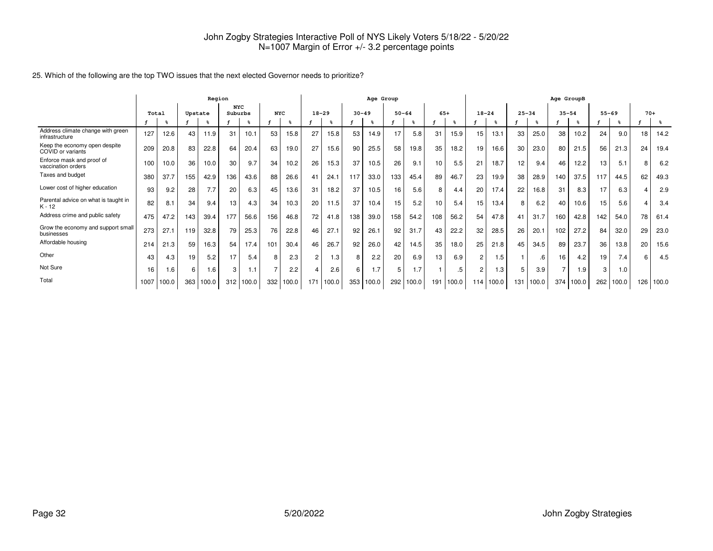|                                                     | Region |       |         |       |                       |             |                |       |                |       |           | Age Group |           |       |       |       |                |       |           |       | Age GroupB     |       |           |       |       |       |
|-----------------------------------------------------|--------|-------|---------|-------|-----------------------|-------------|----------------|-------|----------------|-------|-----------|-----------|-----------|-------|-------|-------|----------------|-------|-----------|-------|----------------|-------|-----------|-------|-------|-------|
|                                                     | Total  |       | Upstate |       | <b>NYC</b><br>Suburbs |             | <b>NYC</b>     |       | $18 - 29$      |       | $30 - 49$ |           | $50 - 64$ |       | $65+$ |       | $18 - 24$      |       | $25 - 34$ |       | $35 - 54$      |       | $55 - 69$ |       | $70+$ |       |
|                                                     |        |       |         |       |                       |             |                |       |                |       |           |           |           |       |       |       |                |       |           |       |                |       |           |       |       |       |
| Address climate change with green<br>infrastructure | 127    | 12.6  | 43      | 11.9  | 31                    | 10.1        | 53             | 15.8  | 27             | 15.8  | 53        | 14.9      | 17        | 5.8   | 31    | 15.9  | 15             | 13.1  | 33        | 25.0  | 38             | 10.2  | 24        | 9.0   | 18    | 14.2  |
| Keep the economy open despite<br>COVID or variants  | 209    | 20.8  | 83      | 22.8  | 64                    | 20.4        | 63             | 19.0  | 27             | 15.6  | 90        | 25.5      | 58        | 19.8  | 35    | 18.2  | 19             | 16.6  | 30        | 23.0  | 80             | 21.5  | 56        | 21.3  | 24    | 19.4  |
| Enforce mask and proof of<br>vaccination orders     | 100    | 10.0  | 36      | 10.0  | 30                    | 9.7         | 34             | 10.2  | 26             | 15.3  | 37        | 10.5      | 26        | 9.1   | 10    | 5.5   | 21             | 18.7  | 12        | 9.4   | 46             | 12.2  | 13        | 5.1   | 8     | 6.2   |
| Taxes and budget                                    | 380    | 37.7  | 155     | 42.9  | 136                   | 43.6        | 88             | 26.6  | 41             | 24.1  | 117       | 33.0      | 133       | 45.4  | 89    | 46.7  | 23             | 19.9  | 38        | 28.9  | 140            | 37.5  | 117       | 44.5  | 62    | 49.3  |
| Lower cost of higher education                      | 93     | 9.2   | 28      | 7.7   | 20                    | 6.3         | 45             | 13.6  | 31             | 18.2  | 37        | 10.5      | 16        | 5.6   | 8     | 4.4   | 20             | 17.4  | 22        | 16.8  | 31             | 8.3   | 17        | 6.3   |       | 2.9   |
| Parental advice on what is taught in<br>$K - 12$    | 82     | 8.1   | 34      | 9.4   | 13                    | 4.3         | 34             | 10.3  | 20             | 11.5  | 37        | 10.4      | 15        | 5.2   | 10    | 5.4   | 15             | 13.4  | 8         | 6.2   | 40             | 10.6  | 15        | 5.6   | 4     | 3.4   |
| Address crime and public safety                     | 475    | 47.2  | 143     | 39.4  | 177                   | 56.6        | 156            | 46.8  | 72             | 41.8  | 138       | 39.0      | 158       | 54.2  | 108   | 56.2  | 54             | 47.8  | 41        | 31.7  | 160            | 42.8  | 142       | 54.0  | 78    | 61.4  |
| Grow the economy and support small<br>businesses    | 273    | 27.1  | 119     | 32.8  | 79                    | 25.3        | 76             | 22.8  | 46             | 27.1  | 92        | 26.1      | 92        | 31.7  | 43    | 22.2  | 32             | 28.5  | 26        | 20.1  | 102            | 27.2  | 84        | 32.0  | 29    | 23.0  |
| Affordable housing                                  | 214    | 21.3  | 59      | 16.3  | 54                    | 17.4        | 101            | 30.4  | 46             | 26.7  | 92        | 26.0      | 42        | 14.5  | 35    | 18.0  | 25             | 21.8  | 45        | 34.5  | 89             | 23.7  | 36        | 13.8  | 20    | 15.6  |
| Other                                               | 43     | 4.3   | 19      | 5.2   | 17                    | 5.4         | 8              | 2.3   | $\overline{2}$ | 1.3   | 8         | 2.2       | 20        | 6.9   | 13    | 6.9   | $\overline{2}$ | 1.5   |           | .6    | 16             | 4.2   | 19        | 7.4   | 6     | 4.5   |
| Not Sure                                            | 16     | 1.6   | 6       | 1.6   | 3                     | 1.1         | $\overline{ }$ | 2.2   | 4              | 2.6   | 6         | 1.7       | 5         | 1.7   |       |       | $\overline{2}$ | 1.3   | 5         | 3.9   | $\overline{ }$ | 1.9   | 3         | 1.0   |       |       |
| Total                                               | 1007   | 100.0 | 363     | 100.0 |                       | $312$ 100.0 | 332            | 100.0 | 171            | 100.0 | 353       | 100.0     | 292       | 100.0 | 191   | 100.0 | 114            | 100.0 | 131       | 100.0 | 374            | 100.0 | 262       | 100.0 | 126   | 100.0 |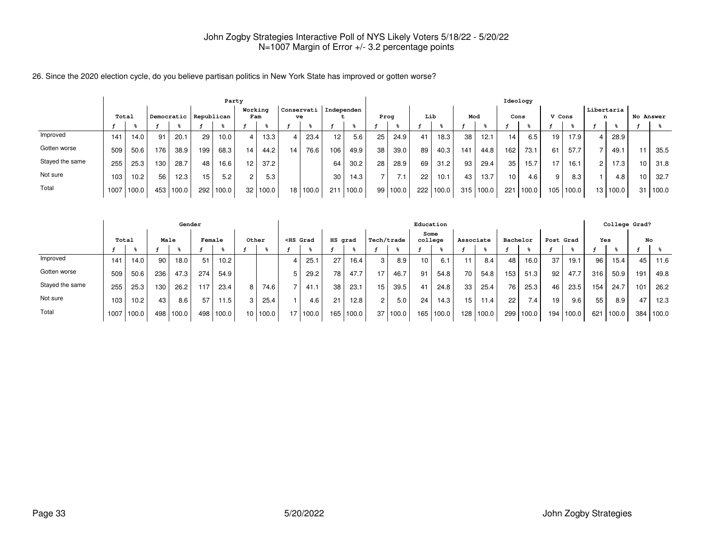26. Since the 2020 election cycle, do you believe partisan politics in New York State has improved or gotten worse?

|                 | Party |       |     |       |                         |       |                 |       |            |       |                 |       |    |       |     |       |                 |       | Ideology |       |        |       |            |       |           |       |
|-----------------|-------|-------|-----|-------|-------------------------|-------|-----------------|-------|------------|-------|-----------------|-------|----|-------|-----|-------|-----------------|-------|----------|-------|--------|-------|------------|-------|-----------|-------|
|                 |       | Total |     |       | Democratic   Republican |       | Working<br>Fam  |       | Conservati | ve    | Independen      |       |    | Prog  | Lib |       | Mod             |       | Cons     |       | V Cons |       | Libertaria |       | No Answer |       |
|                 |       |       |     |       |                         |       |                 |       |            |       |                 |       |    |       |     |       |                 |       |          |       |        |       |            |       |           |       |
| Improved        | 141   | 14.0  | 91  | 20.1  | 29                      | 10.0  | 4               | 13.3  | 4          | 23.4  | 12 <sub>1</sub> | 5.6   | 25 | 24.9  | 41  | 18.3  | 38              | 12.1  | 14       | 6.5   | 19     | 17.9  |            | 28.9  |           |       |
| Gotten worse    | 509   | 50.6  | 176 | 38.9  | 199                     | 68.3  | 14              | 44.2  | 14         | 76.6  | 106             | 49.9  | 38 | 39.0  | 89  | 40.3  | 14 <sup>°</sup> | 44.8  | 162      | 73.1  | 61     | 57.7  |            | 49.1  |           | 35.5  |
| Stayed the same | 255   | 25.3  | 130 | 28.7  | 48                      | 16.6  | 12 <sup>°</sup> | 37.2  |            |       | 64              | 30.2  | 28 | 28.9  | 69  | 31.2  | 93              | 29.4  | 35       | 15.7  | 17     | 16.1  | 2          | 17.3  |           | 31.8  |
| Not sure        | 103   | 10.2  | 56  | 12.3  | 15                      | 5.2   | $\overline{2}$  | 5.3   |            |       | 30              | 14.3  |    | 7.1   | 22  | 10.1  | 43              | 13.7  | 10       | 4.6   | 9      | 8.3   |            | 4.8   |           | 32.7  |
| Total           | 1007  | 100.0 | 453 | 100.0 | 292                     | 100.0 | 32              | 100.0 | 18 I       | 100.0 | 211             | 100.0 | 99 | 100.0 | 222 | 100.0 | 315             | 100.0 | 221      | 100.0 | 105 l  | 100.0 | 13         | 100.0 | 31        | 100.0 |

|                 |       |                   |      | Gender |        |       |       |          |   |                                                                                                                                                                                                                                            |         |       |            |       |                  | Education |                 |                   |          |                  |           |       |     | College Grad? |     |       |
|-----------------|-------|-------------------|------|--------|--------|-------|-------|----------|---|--------------------------------------------------------------------------------------------------------------------------------------------------------------------------------------------------------------------------------------------|---------|-------|------------|-------|------------------|-----------|-----------------|-------------------|----------|------------------|-----------|-------|-----|---------------|-----|-------|
|                 | Total |                   | Male |        | Female |       | Other |          |   | <hs grad<="" th=""><th>HS grad</th><th></th><th>Tech/trade</th><th></th><th>college</th><th>Some</th><th>Associate</th><th></th><th>Bachelor</th><th></th><th>Post Grad</th><th></th><th></th><th><b>Yes</b></th><th>No</th><th></th></hs> | HS grad |       | Tech/trade |       | college          | Some      | Associate       |                   | Bachelor |                  | Post Grad |       |     | <b>Yes</b>    | No  |       |
|                 |       |                   |      |        |        |       |       |          |   |                                                                                                                                                                                                                                            |         |       |            |       |                  |           |                 |                   |          |                  |           |       |     |               |     |       |
| Improved        | 141   | 14.0              | 90   | 18.0   | 51     | 10.2  |       |          |   | 25.1                                                                                                                                                                                                                                       | 27      | 16.4  |            | 8.9   | 10 <sup>10</sup> | 6.1       |                 | 8.4               | 48       | 16.0             | 37        | 19.1  | 96  | 15.4          | 45  | 11.6  |
| Gotten worse    | 509   | 50.6              | 236  | 47.3   | 274    | 54.9  |       |          | 5 | 29.2                                                                                                                                                                                                                                       | 78      | 47.7  | 17         | 46.7  | 91               | 54.8      | 70 I            | 54.8              | 153.     | 51.3             | 92        | 47.7  | 316 | 50.9          | 191 | 49.8  |
| Stayed the same | 255   | 25.3              | 130  | 26.2   | 117    | 23.4  | 8     | 74.6     | ⇁ | 41.1                                                                                                                                                                                                                                       | 38      | 23.1  | 15         | 39.5  | 41               | 24.8      | 33              | 25.4              | 76       | 25.3             | 46        | 23.5  | 154 | 24.7          | 101 | 26.2  |
| Not sure        | 103   | 10.2 <sub>1</sub> | 43   | 8.6    | 57     | 11.5  | 3     | 25.4     |   | 4.6                                                                                                                                                                                                                                        | 21      | 12.8  |            | 5.0   | 24               | 14.3      | 15 <sub>1</sub> | 11.4 <sub>1</sub> | 22       | 7.4 <sub>1</sub> | 19        | 9.6   | 55  | 8.9           | 47  | 12.3  |
| Total           | 1007  | 100.0             | 498  | 100.0  | 498 l  | 100.0 |       | 10 100.0 |   | 17 100.0                                                                                                                                                                                                                                   | 165     | 100.0 | 37         | 100.0 | 165              | 100.0     | 128             | 100.0             | 299      | 100.0            | 194 l     | 100.0 | 621 | 100.0         | 384 | 100.0 |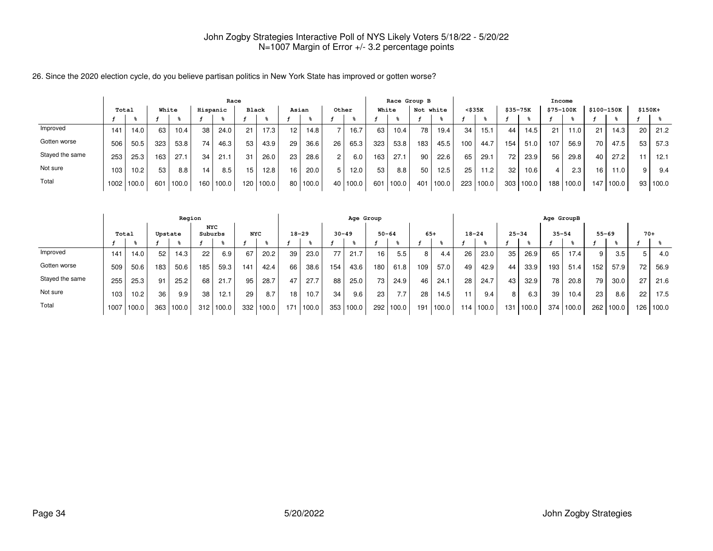26. Since the 2020 election cycle, do you believe partisan politics in New York State has improved or gotten worse?

|                 | Race  |            |     |       |                  |          |              |       |       |       |                |       |     | Race Group B      |     |           |              |       |                 |       |           | Income |            |       |          |       |
|-----------------|-------|------------|-----|-------|------------------|----------|--------------|-------|-------|-------|----------------|-------|-----|-------------------|-----|-----------|--------------|-------|-----------------|-------|-----------|--------|------------|-------|----------|-------|
|                 | Total |            |     | White |                  | Hispanic | <b>Black</b> |       | Asian |       | Other          |       |     | White             |     | Not white | $<$ \$35 $K$ |       | \$35-75K        |       | \$75-100K |        | \$100-150K |       | $$150K+$ |       |
|                 |       |            |     |       |                  |          |              |       |       |       |                |       |     |                   |     |           |              |       |                 |       |           |        |            |       |          |       |
| Improved        | 141   | 14.0       | 63  | 10.4  | 38 <sub>1</sub>  | 24.0     | 21           | 17.3  | 12    | 14.8  |                | 16.7  | 63  | 10.4 <sub>1</sub> | 78  | 19.4.     | 34           | 15.1  | 44              | 14.5  | 21        | 11.0   | 21         | 14.3  | 20       | 21.2  |
| Gotten worse    | 506   | 50.5       | 323 | 53.8  | 74 I             | 46.3     | 53           | 43.9  | 29    | 36.6  | 26             | 65.3  | 323 | 53.8              | 183 | 45.5      | 100          | 44.7  | 154             | 51.0  | 107       | 56.9   | 70         | 47.5  | 53       | 57.3  |
| Stayed the same | 253   | 25.3       | 163 | 27.1  | 34 <sup>1</sup>  | 21.1     | 31           | 26.0  | 23    | 28.6  | $\overline{2}$ | 6.0   | 163 | 27.1              | 90  | 22.6      | 65           | 29.1  | 72 <sub>1</sub> | 23.9  | 56        | 29.8   | 40         | 27.2  | 11       | 12.1  |
| Not sure        | 103   | 10.2       | 53  | 8.8   | 14               | 8.5      | 15           | 12.8  | 16    | 20.0  |                | 12.0  | 53  | 8.8               | 50  | 12.5      | 25           | 11.2. | 32              | 10.6  | 4         | 2.3    | 16         | 11.0  | 9        | 9.4   |
| Total           |       | 1002 100.0 | 601 | 100.0 | 160 <sub>1</sub> | 100.0    | 1201         | 100.0 | 80    | 100.0 | 40             | 100.0 | 601 | 100.0             | 401 | 100.0     | 223          | 100.0 | 303             | 100.0 | 188       | 100.0  | 147        | 100.0 | 93       | 100.0 |

|                 | Region |       |         |       |                       |       |            |       |                 |           |           | Age Group |           |       |       |       |           |       |           |       | Age GroupB |       |     |           |       |       |
|-----------------|--------|-------|---------|-------|-----------------------|-------|------------|-------|-----------------|-----------|-----------|-----------|-----------|-------|-------|-------|-----------|-------|-----------|-------|------------|-------|-----|-----------|-------|-------|
|                 |        | Total | Upstate |       | <b>NYC</b><br>Suburbs |       | <b>NYC</b> |       |                 | $18 - 29$ | $30 - 49$ |           | $50 - 64$ |       | $65+$ |       | $18 - 24$ |       | $25 - 34$ |       | $35 - 54$  |       |     | $55 - 69$ | $70+$ |       |
|                 |        |       |         |       |                       |       |            |       |                 |           |           |           |           |       |       |       |           |       |           |       |            |       |     |           |       |       |
| Improved        | 141    | 14.0  | 52      | 14.3  | 22                    | 6.9   | 67         | 20.2  | 39              | 23.0      | 77        | 21.7      | 16        | 5.5   | 8 I   | 4.4   | 26        | 23.0  | 35        | 26.9  | 65         | 17.4  | 9   | 3.5       |       | 4.0   |
| Gotten worse    | 509    | 50.6  | 183     | 50.6  | 185                   | 59.3  | 141        | 42.4  | 66              | 38.6      | 154       | 43.6      | 180       | 61.8  | 109   | 57.0  | 49        | 42.9  | 44        | 33.9  | 193        | 51.4  | 152 | 57.9      | 72    | 56.9  |
| Stayed the same | 255    | 25.3  | 91      | 25.2  | 68                    | 21.7  | 95         | 28.7  | 47              | 27.7      | 88        | 25.0      | 73        | 24.9  | 46    | 24.1  | 28        | 24.7  | 43        | 32.9  | 78         | 20.8  | 79  | 30.0      | 27    | 21.6  |
| Not sure        | 103    | 10.2  | 36      | 9.9   | 38                    | 12.1  | 29         | 8.7   | 18 <sub>1</sub> | 10.7      | 34        | 9.6       | 23        | 7.7.  | 28    | 14.5  |           | 9.4   | 8         | 6.3   | 39         | 10.4  | 23  | 8.6       | 22    | 17.5  |
| Total           | 1007   | 100.0 | 363     | 100.0 | 312                   | 100.0 | 332 l      | 100.0 | 171             | 100.0     | 353       | 100.0     | 292       | 100.0 | 191   | 100.0 | 114       | 100.0 | 131       | 100.0 | 374        | 100.0 | 262 | 100.0     | 126   | 100.0 |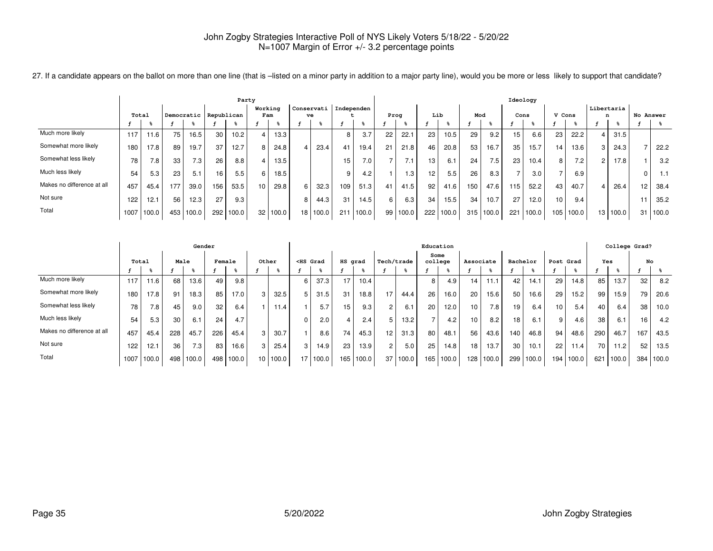27. If a candidate appears on the ballot on more than one line (that is -listed on a minor party in addition to a major party line), would you be more or less likely to support that candidate?

|                            | Party |       |     |       |                       |       |                |       |    |                  |                |       |    |       |                 |       |     |       | Ideology |       |                  |       |   |            |                 |       |
|----------------------------|-------|-------|-----|-------|-----------------------|-------|----------------|-------|----|------------------|----------------|-------|----|-------|-----------------|-------|-----|-------|----------|-------|------------------|-------|---|------------|-----------------|-------|
|                            | Total |       |     |       | Democratic Republican |       | Working<br>Fam |       |    | Conservati<br>ve | l Independen . |       |    | Prog  | Lib             |       | Mod |       | Cons     |       | V Cons           |       | n | Libertaria | No Answer       |       |
|                            |       |       |     |       |                       |       |                |       |    |                  |                |       |    |       |                 |       |     |       |          |       |                  |       |   |            |                 |       |
| Much more likely           | 117   | 11.6  | 75  | 16.5  | 30                    | 10.2  |                | 13.3  |    |                  | 8              | 3.7   | 22 | 22.1  | 23              | 10.5  | 29  | 9.2   | 15       | 6.6   | 23               | 22.2  |   | 31.5       |                 |       |
| Somewhat more likely       | 180   | 17.8  | 89  | 19.7  | 37                    | 12.7  |                | 24.8  |    | 23.4             | 41             | 19.4  | 21 | 21.8  | 46              | 20.8  | 53  | 16.7  | 35       | 15.7  | 14               | 13.6  |   | 24.3       |                 | 22.2  |
| Somewhat less likely       | 78    | 7.8   | 33  | 7.3   | 26                    | 8.8   |                | 13.5  |    |                  | 15             | 7.0   |    | '.1   | 13              | 6.1   | 24  | 7.5   | 23       | 10.4  | 8                | 7.2   |   | 17.8       |                 | 3.2   |
| Much less likely           | 54    | 5.3   | 23  | 5.1   | 16                    | 5.5   |                | 18.5  |    |                  | 9              | 4.2   |    | . 3   | 12 <sub>1</sub> | 5.5   | 26  | 8.3   |          | 3.0   |                  | 6.9   |   |            |                 | 1.1   |
| Makes no difference at all | 457   | 45.4  | 177 | 39.0  | 156                   | 53.5  | 10             | 29.8  | 6  | 32.3             | 109            | 51.3  | 41 | 41.5  | 92              | 41.6  | 150 | 47.6  | 115      | 52.2  | 43               | 40.7  |   | 26.4       | 12 <sup>2</sup> | 38.4  |
| Not sure                   | 122   | 12.1  | 56  | 12.3  | 27                    | 9.3   |                |       |    | 44.3             | 31             | 14.5  | 6  | 6.3   | 34              | 15.5  | 34  | 10.7  | 27       | 12.0  | 10 <sup>10</sup> | 9.4   |   |            |                 | 35.2  |
| Total                      | 1007  | 100.0 | 453 | 100.0 | 292                   | 100.0 | 32             | 100.0 | 18 | 100.0            | 211            | 100.0 | 99 | 100.0 | 222             | 100.0 | 315 | 100.0 | 221      | 100.0 | 105              | 100.0 |   | 13 100.0   | 31              | 100.0 |

|                            | Gender |       |      |       |        |       |    |            |    |                                                                                                                                                                                                                                          |         |       |                |       | Education       |       |           |       |          |       |           |       |     |       | College Grad? |       |
|----------------------------|--------|-------|------|-------|--------|-------|----|------------|----|------------------------------------------------------------------------------------------------------------------------------------------------------------------------------------------------------------------------------------------|---------|-------|----------------|-------|-----------------|-------|-----------|-------|----------|-------|-----------|-------|-----|-------|---------------|-------|
|                            | Total  |       | Male |       | Female |       |    | Other      |    | <hs grad<="" th=""><th>HS grad</th><th></th><th>Tech/trade</th><th></th><th>Some<br/>college</th><th></th><th>Associate</th><th></th><th>Bachelor</th><th></th><th>Post Grad</th><th></th><th>Yes</th><th></th><th>No</th><th></th></hs> | HS grad |       | Tech/trade     |       | Some<br>college |       | Associate |       | Bachelor |       | Post Grad |       | Yes |       | No            |       |
|                            |        |       |      |       |        |       |    |            |    |                                                                                                                                                                                                                                          |         |       |                |       |                 |       |           |       |          |       |           |       |     |       |               |       |
| Much more likely           | 117    | 11.6  | 68   | 13.6  | 49     | 9.8   |    |            | 6  | 37.3                                                                                                                                                                                                                                     | 17      | 10.4  |                |       | 8               | 4.9   | 14        |       | 42       | 14.1  | 29        | 14.8  | 85  | 13.7  | 32            | 8.2   |
| Somewhat more likely       | 180    | 17.8  | 91   | 18.3  | 85     | 17.0  | 3  | 32.5       | 5  | 31.5                                                                                                                                                                                                                                     | 31      | 18.8  | 17             | 44.4  | 26              | 16.0  | 20        | 15.6  | 50       | 16.6  | 29        | 15.2  | 99  | 15.9  | 79            | 20.6  |
| Somewhat less likely       | 78     | 7.8   | 45   | 9.0   | 32     | 6.4   |    | 11<br>11.4 |    |                                                                                                                                                                                                                                          | 15      | 9.3   | $\overline{2}$ | 6.1   | 20              | 12.0  | 10        | 7.8   | 19       | 6.4   | 10        | 5.4   | 40  | 6.4   | 38            | 10.0  |
| Much less likely           | 54     | 5.3   | 30   | 6.1   | 24     |       |    |            |    | 2.0                                                                                                                                                                                                                                      | 4       | 2.4   | 5              | 13.2  |                 | 4.2   | 10        | 8.2   | 18       | 6.1   | 9         | 4.6   | 38  | 6.1   | 16            | 4.2   |
| Makes no difference at all | 457    | 45.4  | 228  | 45.7  | 226    | 45.4  | 3  | 30.7       |    | 8.6                                                                                                                                                                                                                                      | 74      | 45.3  | 12             | 31.3  | 80              | 48.1  | 56        | 43.6  | 140      | 46.8  | 94        | 48.6  | 290 | 46.7  | 167           | 43.5  |
| Not sure                   | 122    | 12.1  | 36   | 7.3   | 83     | 16.6  | 3  | 25.4       | 3  | 14.9                                                                                                                                                                                                                                     | 23      | 13.9  | $\overline{2}$ | 5.0   | 25              | 14.8  | 18        | 13.7  | 30       | 10.1  | 22        | 11.4  | 70  | 11.2  | 52            | 13.5  |
| Total                      | 1007   | 100.0 | 498  | 100.0 | 498    | 100.0 | 10 | 100.0      | 17 | 100.0                                                                                                                                                                                                                                    | 165     | 100.0 | 37             | 100.0 | 165             | 100.0 | 128       | 100.0 | 299      | 100.0 | 194       | 100.0 | 621 | 100.0 | 384           | 100.0 |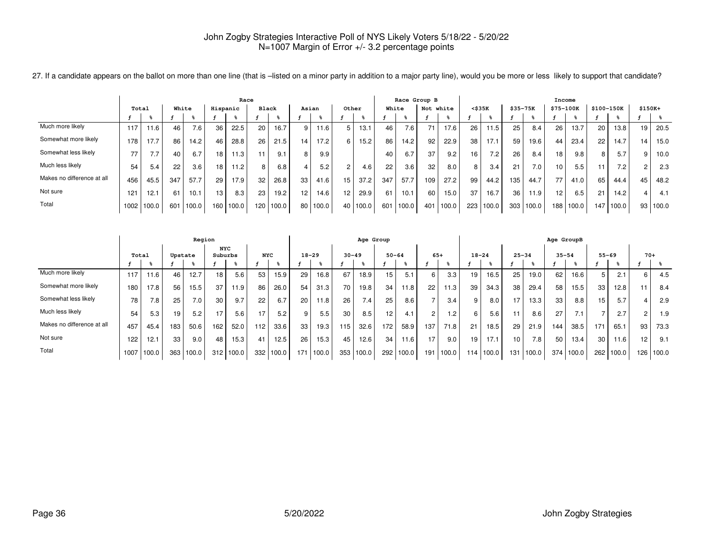|                            | Race  |       |       |       |                 |       |       |       |                 |       |       |       |     | Race Group B |           |       |                 |       |          |       |           | Income |            |           |          |       |
|----------------------------|-------|-------|-------|-------|-----------------|-------|-------|-------|-----------------|-------|-------|-------|-----|--------------|-----------|-------|-----------------|-------|----------|-------|-----------|--------|------------|-----------|----------|-------|
|                            | Total |       | White |       | Hispanic        |       | Black |       |                 | Asian | Other |       |     | White        | Not white |       | <\$35K          |       | \$35-75K |       | \$75-100K |        | \$100-150K |           | $$150K+$ |       |
|                            |       |       |       |       |                 |       |       |       |                 |       |       |       |     |              |           |       |                 |       |          |       |           |        |            |           |          |       |
| Much more likely           | 117   | 11.6  | 46    | 7.6   | 36              | 22.5  | 20    | 16.7  | 9               | 11.6  |       | 13.1  | 46  | 7.6          | 71        | 17.6  | 26              | 11.5  | 25       | 8.4   | 26        | 13.7   | 20         | 13.8      | 19       | 20.5  |
| Somewhat more likely       | 178   | 17.7  | 86    | 14.2  | 46              | 28.8  | 26    | 21.5  | 14              | 17.2  |       | 15.2  | 86  | 14.2         | 92        | 22.9  | 38              | 17.1  | 59       | 19.6  | 44        | 23.4   | 22         | 14.7      | 14       | 15.0  |
| Somewhat less likely       | 77    | 7.7   | 40    | 6.7   | 18 <sub>1</sub> | 11.3  |       | 9.1   | 8               | 9.9   |       |       | 40  | 6.7          | 37        | 9.2   | 16 <sub>1</sub> | 7.2   | 26       | 8.4   | 18        | 9.8    | 8          | 5.7       | 9        | 10.0  |
| Much less likely           | 54    | 5.4   | 22    | 3.6   | 18 <sub>1</sub> | 11.2  | 8     | 6.8   |                 | 5.2   |       | 4.6   | 22  | 3.6          | 32        | 8.0   | 8               | 3.4   | 21       | 7.0   | 10        | 5.5    | 11         | 7.2       | 2        | 2.3   |
| Makes no difference at all | 456   | 45.5  | 347   | 57.7  | 29              | 17.9  | 32    | 26.8  | 33              | 41.6  | 15    | 37.2  | 347 | 57.7         | 109       | 27.2  | 99              | 44.2  | 135      | 44.7  | 77        | 41.0   | 65         | 44.4      | 45       | 48.2  |
| Not sure                   | 121   | 12.1  | 61    | 10.1  | 13.             | 8.3   | 23    | 19.2  | 12 <sub>1</sub> | 14.6  | 12.   | 29.9  | 61  | 10.1         | 60        | 15.0  | 37              | 16.7  | 36       | 11.9  | 12.       | 6.5    | 21         | 14.2      | 4        | 4.1   |
| Total                      | 1002  | 100.0 | 601   | 100.0 | 160             | 100.0 | 120   | 100.0 | 80              | 100.0 | 40    | 100.0 | 601 | 100.0        | 401       | 100.0 | 223             | 100.0 | 303      | 100.0 | 188       | 100.0  |            | 147 100.0 | 93       | 100.0 |

27. If a candidate appears on the ballot on more than one line (that is -listed on a minor party in addition to a major party line), would you be more or less likely to support that candidate?

|                            |      |       |         | Region           |                       |       |            |       |           |       |           | Age Group |           |       |                |       |           |       |           |       | Age GroupB |                |           |       |                |       |
|----------------------------|------|-------|---------|------------------|-----------------------|-------|------------|-------|-----------|-------|-----------|-----------|-----------|-------|----------------|-------|-----------|-------|-----------|-------|------------|----------------|-----------|-------|----------------|-------|
|                            |      | Total | Upstate |                  | <b>NYC</b><br>Suburbs |       | <b>NYC</b> |       | $18 - 29$ |       | $30 - 49$ |           | $50 - 64$ |       | $65+$          |       | $18 - 24$ |       | $25 - 34$ |       | $35 - 54$  |                | $55 - 69$ |       | $70+$          |       |
|                            |      |       |         |                  |                       |       |            |       |           |       |           |           |           |       |                |       |           |       |           |       |            |                |           |       |                |       |
| Much more likely           | 117  | 11.6  | 46      | 12.7             | 18                    | 5.6   | 53         | 15.9  | 29        | 16.8  | 67        | 18.9      | 15        | 5.1   | 6              | 3.3   | 19        | 16.5  | 25        | 19.0  | 62         | 16.6           | 5         | 2.1   | 6              | 4.5   |
| Somewhat more likely       | 180  | 17.8  | 56      | 15.5             | 37                    | 11.9  | 86         | 26.0  | 54        | 31.3  | 70        | 19.8      | 34        | 11.8  | 22             | 11.3  | 39        | 34.3  | 38        | 29.4  | 58         | 15.5           | 33        | 12.8  | 11             | 8.4   |
| Somewhat less likely       | 78   | 7.8   | 25      | 7.0 <sub>1</sub> | 30                    | 9.7   | 22         | 6.7   | 20        | 11.8  | 26        | 7.4       | 25        | 8.6   |                | 3.4   | 9         | 8.0   | 17        | 13.3  | 33         | 8.8            | 15        | 5.7   |                | 2.9   |
| Much less likely           | 54   | 5.3   | 19      | 5.2              | 17                    | 5.6   | 17         | 5.2   | 9         | 5.5   | 30        | 8.5       | 12        | 4.1   | $\overline{2}$ | 1.2   | 6         | 5.6   | 11        | 8.6   | 27         | 7 <sub>1</sub> |           | 2.7   | $\overline{2}$ | 1.9   |
| Makes no difference at all | 457  | 45.4  | 183     | 50.6             | 162                   | 52.0  | 112        | 33.6  | 33        | 19.3  | 115       | 32.6      | 172       | 58.9  | 137            | 71.8  | 21        | 18.5  | 29        | 21.9  | 144        | 38.5           | 171       | 65.1  | 93             | 73.3  |
| Not sure                   | 122  | 12.1  | 33      | 9.0              | 48                    | 15.3  | 41         | 12.5  | 26        | 15.3  | 45        | 12.6      | 34        | 11.6  | 17             | 9.0   | 19        | 17.1  | 10        | 7.8   | 50         | 13.4           | 30        | 11.6  | 12             | 9.1   |
| Total                      | 1007 | 100.0 | 363     | 100.0            | 312                   | 100.0 | 332        | 100.0 | 171       | 100.0 | 353       | 100.0     | 292       | 100.0 | 191            | 100.0 | 114       | 100.0 | 131       | 100.0 | 374        | 100.0          | 262       | 100.0 | 126            | 100.0 |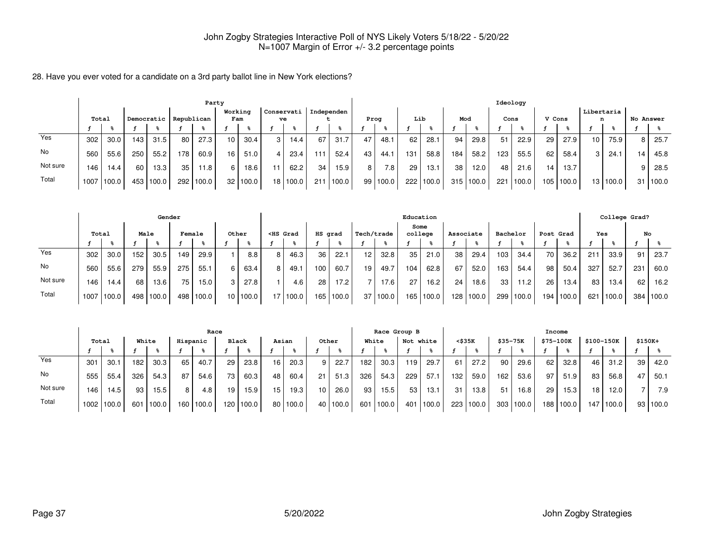28. Have you ever voted for a candidate on a 3rd party ballot line in New York elections?

|          |       | Party |      |            |            |       |                 |          |            |            |            |       |      |          |     |             |     |           |      | Ideology  |        |       |                 |          |           |       |
|----------|-------|-------|------|------------|------------|-------|-----------------|----------|------------|------------|------------|-------|------|----------|-----|-------------|-----|-----------|------|-----------|--------|-------|-----------------|----------|-----------|-------|
|          | Total |       |      | Democratic | Republican |       | Working<br>Fam  |          | Conservati | ve         | Independen |       | Prog |          | Lib |             | Mod |           | Cons |           | V Cons |       | Libertaria<br>n |          | No Answer |       |
|          |       |       |      |            |            |       |                 |          |            |            |            |       |      |          |     |             |     |           |      |           |        |       |                 |          |           |       |
| Yes      | 302   | 30.0  | 143. | 31.5       | 80         | 27.3  | 10              | 30.4     | 3          | 14.4       | 67         | 31.7  | 47   | 48.1     | 62  | 28.1        | 94  | 29.8      | 51   | 22.9      | 29     | 27.9  | 10 <sub>1</sub> | 75.9     | 8         | 25.7  |
| No       | 560   | 55.6  | 250  | 55.2       | 178        | 60.9  | 16 <sup>1</sup> | 51.0     |            | 23.4       | 111        | 52.4  | 43   | 44.1     | 131 | 58.8        | 184 | 58.2      | 123  | 55.5      | 62     | 58.4  | 3 I             | 24.1     | 14        | 45.8  |
| Not sure | 146   | 14.4  | 60   | 13.3       | 35         | 11.8  | 6 I             | 18.6     | 11         | 62.2       | 34         | 15.9  | 8    | 7.8      | 29  | 13.1        | 38  | 12.0      | 48   | 21.6      | 14.    | 13.7  |                 |          | 9         | 28.5  |
| Total    | 1007  | 100.0 |      | 453 100.0  | 292        | 100.0 |                 | 32 100.0 |            | 18   100.0 | 211        | 100.0 |      | 99 100.0 |     | 222   100.0 |     | 315 100.0 |      | 221 100.0 | 105    | 100.0 |                 | 13 100.0 | 31 I      | 100.0 |

|          |       |       |                  | Gender    |        |       |                 |       |                                                                                                                                                                                                                                              |          |         |       |            |            |      | Education |           |           |          |       |       |                   |                 | College Grad? |     |           |
|----------|-------|-------|------------------|-----------|--------|-------|-----------------|-------|----------------------------------------------------------------------------------------------------------------------------------------------------------------------------------------------------------------------------------------------|----------|---------|-------|------------|------------|------|-----------|-----------|-----------|----------|-------|-------|-------------------|-----------------|---------------|-----|-----------|
|          | Total |       | Male             |           | Female |       |                 | Other | <hs grad<="" th=""><th></th><th>HS grad</th><th></th><th>Tech/trade</th><th></th><th>Some</th><th>college</th><th>Associate</th><th></th><th>Bachelor</th><th></th><th></th><th>Post Grad</th><th>Yes</th><th></th><th>No</th><th></th></hs> |          | HS grad |       | Tech/trade |            | Some | college   | Associate |           | Bachelor |       |       | Post Grad         | Yes             |               | No  |           |
|          |       |       |                  |           |        |       |                 |       |                                                                                                                                                                                                                                              |          |         |       |            |            |      |           |           |           |          |       |       |                   |                 |               |     |           |
| Yes      | 302   | 30.0  | 152 <sub>1</sub> | 30.5      | 149    | 29.9  |                 | 8.8   | 8                                                                                                                                                                                                                                            | 46.3     | 36      | 22.1  | 12         | 32.8       | 35   | 21.0      | 38        | 29.4      | 103      | 34.4  | 70    | 36.2              | 21 <sup>1</sup> | 33.9          | 91  | 23.7      |
| No       | 560   | 55.6  | 279              | 55.9      | 275    | 55.1  | 6.              | 63.4  | 8                                                                                                                                                                                                                                            | 49.1     | 100     | 60.7  | 19         | 49.7       | 104  | 62.8      | 67        | 52.0      | 163      | 54.4  | 98    | 50.4              | 327             | 52.7          | 231 | 60.0      |
| Not sure | 146   | 14.4  | 68               | 13.6      | 75     | 15.0  |                 | 27.8  |                                                                                                                                                                                                                                              | 4.6      | 28      | 17.2  |            | 17.6       | 27   | 16.2      | 24        | 18.6      | 33       | 11.2  | 26    | 13.4 <sub>1</sub> | 83              | 13.4          | 62  | 16.2      |
| Total    | 1007  | 100.0 |                  | 498 100.0 | 498    | 100.0 | 10 <sup>1</sup> | 100.0 |                                                                                                                                                                                                                                              | 17 100.0 | 165     | 100.0 |            | 37   100.0 |      | 165 100.0 |           | 128 100.0 | 299      | 100.0 | 194 l | 100.0             | 621             | 100.0         |     | 384 100.0 |

|          |                   | Race  |       |                   |          |       |                 |           |                 |            |       |       |       |       | Race Group B |       |                  |        |                 |       | Income           |       |            |       |          |          |
|----------|-------------------|-------|-------|-------------------|----------|-------|-----------------|-----------|-----------------|------------|-------|-------|-------|-------|--------------|-------|------------------|--------|-----------------|-------|------------------|-------|------------|-------|----------|----------|
|          | Total             |       | White |                   | Hispanic |       | Black           |           | Asian           |            | Other |       | White |       | Not white    |       |                  | <\$35K | \$35-75K        |       | \$75-100K        |       | \$100-150K |       | $$150K+$ |          |
|          |                   |       |       |                   |          |       |                 |           |                 |            |       |       |       |       |              |       |                  |        |                 |       |                  |       |            |       |          |          |
| Yes      | 301               | 30.1  | 182   | 30.3 <sub>1</sub> | 65       | 40.7  | 29              | 23.8      | 16              | 20.3       | 9     | 22.7  | 182   | 30.3  | 119          | 29.7  | 61               | 27.2   | 90 <sub>1</sub> | 29.6  | 62               | 32.8  | 46 l       | 31.2  | 39       | 42.0     |
| No       | 555               | 55.4  | 326   | 54.3              | 87       | 54.6  | 73 <sub>1</sub> | 60.3      | 48              | 60.4       | 21    | 51.3  | 326   | 54.3  | 229          | 57.1  | 132 <sub>1</sub> | 59.0   | 162             | 53.6  | 97               | 51.9  | 83 I       | 56.8  | 47       | 50.1     |
| Not sure | 146               | 14.5  | 93,   | 15.5              | 8        | 4.8   | 19              | 15.9      | 15 <sub>1</sub> | 19.3       | 10    | 26.0  | 93    | 15.5  | 53           | 13.1  | 31               | 13.8   | 51              | 16.8  | 29               | 15.3  | 18         | 12.0  |          | 7.9      |
| Total    | 1002 <sub>1</sub> | 100.0 | 601   | 100.0             | 160 l    | 100.0 |                 | 120 100.0 |                 | 80   100.0 | 40    | 100.0 | 601   | 100.0 | 401          | 100.0 | 223              | 100.0  | 303             | 100.0 | 188 <sub>1</sub> | 100.0 | 147        | 100.0 |          | 93 100.0 |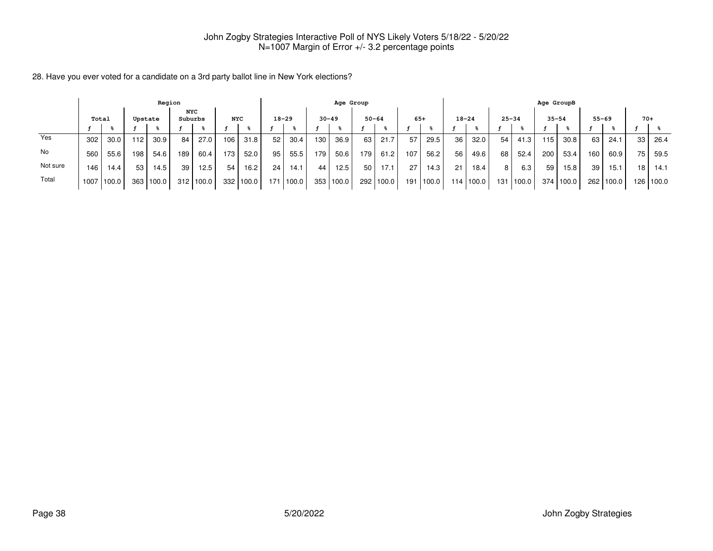28. Have you ever voted for a candidate on a 3rd party ballot line in New York elections?

|          |       |       |                  | Region         |            |       |                  |           |           |                   |           | Age Group |                  |       |           |       |           |       |           |       | Age GroupB |           |       |           |    |           |
|----------|-------|-------|------------------|----------------|------------|-------|------------------|-----------|-----------|-------------------|-----------|-----------|------------------|-------|-----------|-------|-----------|-------|-----------|-------|------------|-----------|-------|-----------|----|-----------|
|          | Total |       | Upstate          | NYC<br>Suburbs | <b>NYC</b> |       |                  | $18 - 29$ | $30 - 49$ |                   | $50 - 64$ |           | $65+$            |       | $18 - 24$ |       | $25 - 34$ |       | $35 - 54$ |       |            | $55 - 69$ | $70+$ |           |    |           |
|          |       |       |                  |                |            |       |                  |           |           |                   |           |           |                  |       |           |       |           |       |           |       |            |           |       |           |    |           |
| Yes      | 302   | 30.0  | 12               | 30.9           | 84         | 27.0  | 106              | 31.8      | 52        | 30.4              | 130       | 36.9      | 63               | 21.7  | 57        | 29.5  | 36        | 32.0  | 54        | 41.3  | 115        | 30.8      | 63    | 24.1      | 33 | 26.4      |
| No       | 560   | 55.6  | 198              | 54.6           | 189        | 60.4  | 173 <sub>1</sub> | 52.0      | 95        | 55.5              | 179       | 50.6      | '79.             | 61.2  | 107       | 56.2  | 56        | 49.6  | 68        | 52.4  | 200        | 53.4      | 160   | 60.9      | 75 | 59.5      |
| Not sure | 146   | 14.4  | 53               | 14.5           | 39         | 12.5  | 54               | 16.2      | 24        | 14.1              | 44        | 12.5      | 50               | 17.1  | 27        | 14.3  | 21        | 18.4  | 8         | 6.3   | 59         | 15.8      | 39    | 15.1      | 18 | 14.1      |
| Total    | 1007  | 100.0 | 363 <sub>1</sub> | 100.0          | 312        | 100.0 | 332              | 100.0     | 171       | $^{\prime}$ 100.0 | 353       | 100.0     | 292 <sub>1</sub> | 100.0 | 191       | 100.0 | 114       | 100.0 | 131 l     | 100.0 | 374        | 100.0     |       | 262 100.0 |    | 126 100.0 |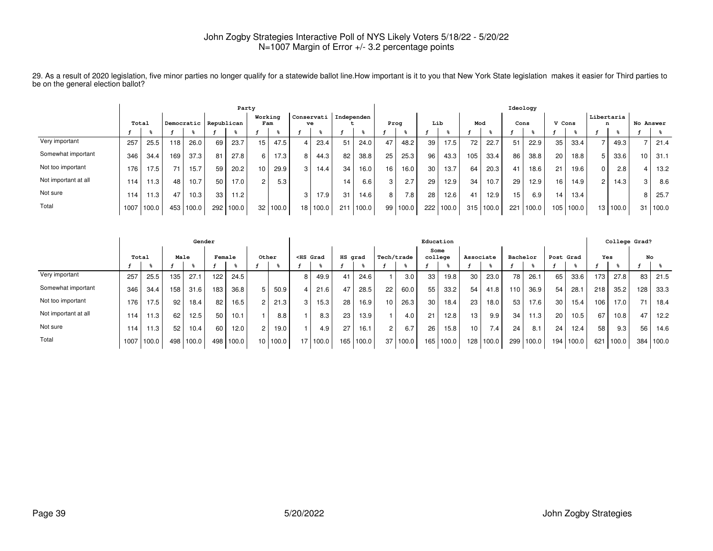29. As a result of 2020 legislation, five minor parties no longer qualify for a statewide ballot line.How important is it to you that New York State legislation makes it easier for Third parties to be on the general election ballot?

|                      | Party |       |     |       |                       |       |                |                   |            |                   |     |            |      |       |     |       |     |       | Ideology        |       |                 |       |                 |          |           |       |
|----------------------|-------|-------|-----|-------|-----------------------|-------|----------------|-------------------|------------|-------------------|-----|------------|------|-------|-----|-------|-----|-------|-----------------|-------|-----------------|-------|-----------------|----------|-----------|-------|
|                      | Total |       |     |       | Democratic Republican |       | Working<br>Fam |                   | Conservati | ve                |     | Independen | Prog |       | Lib |       | Mod |       |                 | Cons  | V Cons          |       | Libertaria<br>n |          | No Answer |       |
|                      |       |       |     |       |                       |       |                |                   |            |                   |     |            |      |       |     |       |     |       |                 |       |                 |       |                 |          |           |       |
| Very important       | 257   | 25.5  | 118 | 26.0  | 69                    | 23.7  | 15             | 47.5              |            | 23.4              | 51  | 24.0       | 47   | 48.2  | 39  | 17.5  | 72  | 22.7  | 51              | 22.9  | 35              | 33.4  |                 | 49.3     |           | 21.4  |
| Somewhat important   | 346   | 34.4  | 169 | 37.3  | 81                    | 27.8  |                | 17.3 <sub>1</sub> |            | 44.3              | 82  | 38.8       | 25   | 25.3  | 96  | 43.3  | 105 | 33.4  | 86              | 38.8  | 20              | 18.8  |                 | 33.6     |           | 31.1  |
| Not too important    | 176   | 17.5  | 71  | 15.7  | 59                    | 20.2  | 10             | 29.9              |            | 14.4 <sub>1</sub> | 34  | 16.0       | 16   | 16.0  | 30  | 13.7  | 64  | 20.3  | 41              | 18.6  | 21              | 19.6  | 0 I             | 2.8      |           | 13.2  |
| Not important at all | 114   | 11.3  | 48  | 10.7  | 50                    | 17.0  |                | 5.3               |            |                   | 14  | 6.6        | c    | 2.7   | 29  | 12.9  | 34  | 10.7  | 29              | 12.9  | 16 <sub>1</sub> | 14.9  | 2 <sub>1</sub>  | 14.3     | 3         | 8.6   |
| Not sure             | 114.  | 11.3  | 47  | 10.3  | 33                    | 11.2  |                |                   |            | 17.9              | 31  | 14.6       | 8    | 7.8   | 28  | 12.6  | 41  | 12.9  | 15 <sub>1</sub> | 6.9   | 14 <sub>1</sub> | 13.4  |                 |          |           | 25.7  |
| Total                | 1007  | 100.0 | 453 | 100.0 | 292                   | 100.0 | 32             | 100.0             | 18         | 100.0             | 211 | 100.0      | 99   | 100.0 | 222 | 100.0 | 315 | 100.0 | 221             | 100.0 | 105             | 100.0 |                 | 13 100.0 | 31        | 100.0 |

|                      | Gender |       |      |       |        |       |                 |       |                 |                                                                                                                                                                                                                                          |         |       |                |       | Education       |       |           |                  |          |                   |           |                   |     |       | College Grad? |       |
|----------------------|--------|-------|------|-------|--------|-------|-----------------|-------|-----------------|------------------------------------------------------------------------------------------------------------------------------------------------------------------------------------------------------------------------------------------|---------|-------|----------------|-------|-----------------|-------|-----------|------------------|----------|-------------------|-----------|-------------------|-----|-------|---------------|-------|
|                      | Total  |       | Male |       | Female |       | Other           |       |                 | <hs grad<="" th=""><th>HS grad</th><th></th><th>Tech/trade</th><th></th><th>Some<br/>college</th><th></th><th>Associate</th><th></th><th>Bachelor</th><th></th><th>Post Grad</th><th></th><th>Yes</th><th></th><th>No</th><th></th></hs> | HS grad |       | Tech/trade     |       | Some<br>college |       | Associate |                  | Bachelor |                   | Post Grad |                   | Yes |       | No            |       |
|                      |        |       |      |       |        |       |                 |       |                 |                                                                                                                                                                                                                                          |         |       |                |       |                 |       |           |                  |          |                   |           |                   |     |       |               |       |
| Very important       | 257    | 25.5  | 135  | 27.1  | 122    | 24.5  |                 |       |                 | 49.9                                                                                                                                                                                                                                     | 41      | 24.6  |                | 3.0   | 33              | 19.8  | 30        | 23.0             | 78       | 26.1              | 65        | 33.6              | 173 | 27.8  | 83            | 21.5  |
| Somewhat important   | 346    | 34.4  | 158  | 31.6  | 183    | 36.8  |                 | 50.9  |                 | 21.6                                                                                                                                                                                                                                     | 47      | 28.5  | 22             | 60.0  | 55              | 33.2  | 54        | 41.8             | 110      | 36.9              | 54        | 28.1              | 218 | 35.2  | 128           | 33.3  |
| Not too important    | 176    | 17.5  | 92   | 18.4  | 82     | 16.5  | $\sim$          | 21.3  | 3               | 15.3                                                                                                                                                                                                                                     | 28      | 16.9  | 10             | 26.3  | 30              | 18.4  | 23        | 18.0             | 53       | 17.6              | 30        | 15.4 <sub>1</sub> | 106 | 17.0  | 71            | 18.4  |
| Not important at all | 114    | 11.3  | 62   | 12.5  | 50     | 10.1  |                 | 8.8   |                 | 8.3                                                                                                                                                                                                                                      | 23      | 13.9  |                | 4.0   | 21              | 12.8  | 13        | 9.9              | 34       | 11.3 <sub>1</sub> | 20        | 10.5              | 67  | 10.8  | 47            | 12.2  |
| Not sure             | 114    | 11.3  | 52   | 10.4  | 60     | 12.0  | $\overline{c}$  | 19.0  |                 | 4.9                                                                                                                                                                                                                                      | 27      | 16.1  | $\overline{2}$ | 6.7   | 26              | 15.8  | 10        | 7.4 <sub>1</sub> | 24       | 8.1               | 24        | 12.4              | 58  | 9.3   | 56            | 14.6  |
| Total                | 1007   | 100.0 | 498  | 100.0 | 498    | 100.0 | 10 <sup>°</sup> | 100.0 | 17 <sub>1</sub> | 100.0                                                                                                                                                                                                                                    | 165     | 100.0 | 37             | 100.0 | 165             | 100.0 | 128.      | 100.0            | 299      | 100.0             | 194       | 100.0             | 621 | 100.0 | 384           | 100.0 |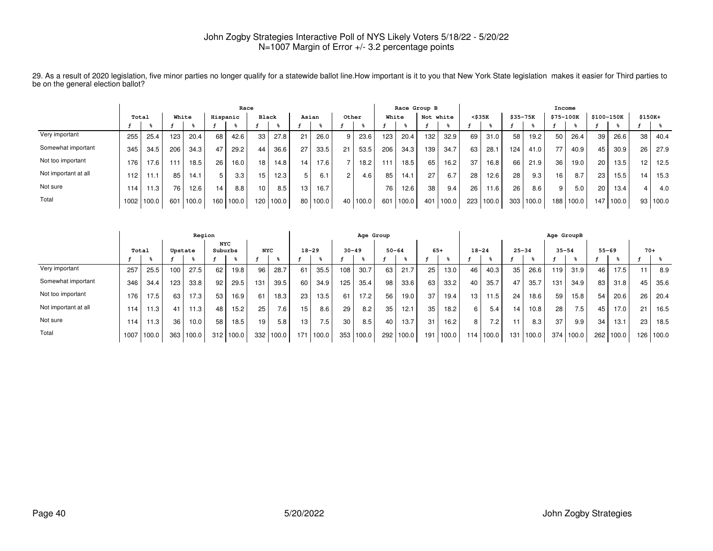|                      | Race  |       |     |       |          |       |                 |       |                 |       |                 |       |       |       | Race Group B |           |              |       |          |       | Income         |       |            |       |          |       |
|----------------------|-------|-------|-----|-------|----------|-------|-----------------|-------|-----------------|-------|-----------------|-------|-------|-------|--------------|-----------|--------------|-------|----------|-------|----------------|-------|------------|-------|----------|-------|
|                      | Total |       |     | White | Hispanic |       | Black           |       | Asian           |       |                 | Other | White |       |              | Not white | $<$ \$35 $K$ |       | \$35-75K |       | \$75-100K      |       | \$100-150K |       | $$150K+$ |       |
|                      |       |       |     |       |          |       |                 |       |                 |       |                 |       |       |       |              |           |              |       |          |       |                |       |            |       |          |       |
| Very important       | 255   | 25.4  | 123 | 20.4  | 68       | 42.6  | 33              | 27.8  | 21              | 26.0  |                 | 23.6  | 123   | 20.4  | 132          | 32.9      | 69           | 31.0  | 58       | 19.2  | 50             | 26.4  | 39         | 26.6  | 38       | 40.4  |
| Somewhat important   | 345   | 34.5  | 206 | 34.3  | 47       | 29.2  | 44              | 36.6  | 27              | 33.5  | 21              | 53.5  | 206   | 34.3  | 139          | 34.7      | 63           | 28.1  | 124      | 41.0  | $\overline{ }$ | 40.9  | 45         | 30.9  | 26       | 27.9  |
| Not too important    | 176   | 17.6  | 111 | 18.5  | 26       | 16.0  | 18 <sup>1</sup> | 14.8  | 14 <sub>1</sub> | 17.6  |                 | 18.2  | 111   | 18.5  | 65           | 16.2      | 37           | 16.8  | 66       | 21.9  | 36             | 19.0  | 20         | 13.5  | 12       | 12.5  |
| Not important at all | 112   | 11.1  | 85  | 14.1  |          | 3.3   | 15              | 12.3  | 5               | 6.1   | $\sim$          | 4.6   | 85    | 14.1  | 27           | 6.7       | 28           | 12.6  | 28       | 9.3   | 16             | 8.7   | 23         | 15.5  | 14       | 15.3  |
| Not sure             | 114   | 1.3   | 76  | 12.6  | 14       | 8.8   | 10              | 8.5   | 13 <sub>1</sub> | 16.7  |                 |       | 76    | 12.6  | 38           | 9.4       | 26           | 11.6  | 26       | 8.6   |                | 5.0   | 20         | 13.4  |          | 4.0   |
| Total                | 1002  | 100.0 | 601 | 100.0 | 160      | 100.0 | 120             | 100.0 | 80              | 100.0 | 40 <sub>1</sub> | 100.0 | 601   | 100.0 | 401          | 100.0     | 223          | 100.0 | 303      | 100.0 | 188            | 100.0 | 147        | 100.0 | 93       | 100.0 |

29. As a result of 2020 legislation, five minor parties no longer qualify for a statewide ballot line.How important is it to you that New York State legislation makes it easier for Third parties to be on the general election ballot?

|                      |      |       |         | Region |                       |       |            |       |                 |           |     | Age Group |           |       |       |       |           |       |           |       | Age GroupB |       |     |           |       |       |
|----------------------|------|-------|---------|--------|-----------------------|-------|------------|-------|-----------------|-----------|-----|-----------|-----------|-------|-------|-------|-----------|-------|-----------|-------|------------|-------|-----|-----------|-------|-------|
|                      |      | Total | Upstate |        | <b>NYC</b><br>Suburbs |       | <b>NYC</b> |       |                 | $18 - 29$ |     | $30 - 49$ | $50 - 64$ |       | $65+$ |       | $18 - 24$ |       | $25 - 34$ |       | $35 - 54$  |       |     | $55 - 69$ | $70+$ |       |
|                      |      |       |         |        |                       |       |            |       |                 |           |     |           |           |       |       |       |           |       |           |       |            |       |     |           |       |       |
| Very important       | 257  | 25.5  | 100     | 27.5   | 62                    | 19.8  | 96         | 28.7  | 61              | 35.5      | 108 | 30.7      | 63        | 21.7  | 25    | 13.0  | 46        | 40.3  | 35        | 26.6  | 119        | 31.9  | 46  | 17.5      | 11    | 8.9   |
| Somewhat important   | 346  | 34.4  | 123     | 33.8   | 92                    | 29.5  | 131        | 39.5  | 60              | 34.9      | 125 | 35.4      | 98        | 33.6  | 63    | 33.2  | 40        | 35.7  | 47        | 35.7  | 131        | 34.9  | 83  | 31.8      | 45    | 35.6  |
| Not too important    | 176  | 17.5  | 63      | 17.3   | 53                    | 16.9  | 61         | 18.3  | 23              | 13.5      | 61  | 17.2      | 56        | 19.0  | 37    | 19.4  | 13        | 11.5  | 24        | 18.6  | 59         | 15.8  | 54  | 20.6      | 26    | 20.4  |
| Not important at all | 114  | 11.3  | 41      | 11.3   | 48                    | 15.2  | 25         | 7.6   | 15              | 8.6       | 29  | 8.2       | 35        | 12.1  | 35    | 18.2  | 6         | 5.4   | 14        | 10.8  | 28         | 7.5   | 45  | 17.0      | 21    | 16.5  |
| Not sure             | 114  | 11.3  | 36      | 10.0   | 58                    | 18.5  | 19         | 5.8   | 13 <sub>1</sub> | 7.5       | 30  | 8.5       | 40        | 13.7  | 31    | 16.2  | 8         | 7.2   | 11        | 8.3   | 37         | 9.9   | 34  | 13.1      | 23    | 18.5  |
| Total                | 1007 | 100.0 | 363     | 100.0  | 312                   | 100.0 | 332        | 100.0 | 171             | 100.0     | 353 | 100.0     | 292       | 100.0 | 191   | 100.0 | 114       | 100.0 | 131       | 100.0 | 374        | 100.0 | 262 | 100.0     | 126   | 100.0 |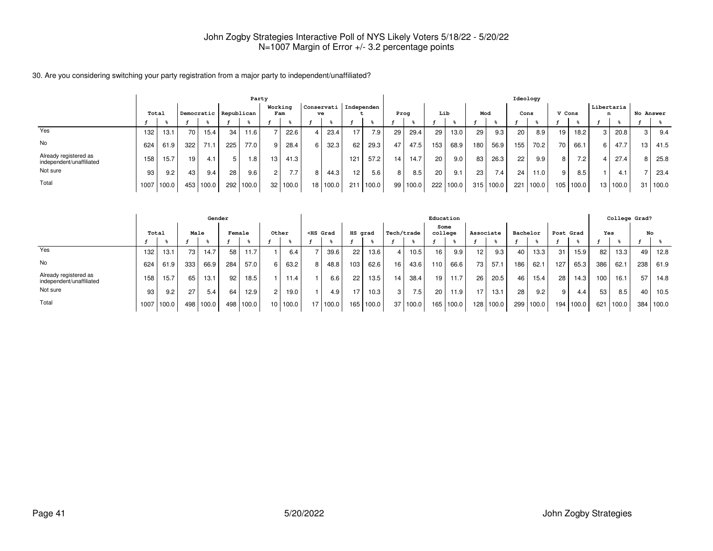#### 30. Are you considering switching your party registration from a major party to independent/unaffiliated?

|                                                   |       | Party |     |                         |                  |       |                 |       |                |            |            |       |     |       |     |       |     |       | Ideology        |       |        |                  |          |                 |           |       |
|---------------------------------------------------|-------|-------|-----|-------------------------|------------------|-------|-----------------|-------|----------------|------------|------------|-------|-----|-------|-----|-------|-----|-------|-----------------|-------|--------|------------------|----------|-----------------|-----------|-------|
|                                                   | Total |       |     | Democratic   Republican |                  |       | Working         | Fam   | ve             | Conservati | Independen |       |     | Prog  |     | Lib   | Mod |       | Cons            |       | V Cons |                  |          | Libertaria<br>n | No Answer |       |
|                                                   |       |       |     |                         |                  |       |                 |       |                |            |            |       |     |       |     |       |     |       |                 |       |        |                  |          |                 |           |       |
| Yes                                               | 132   | 13.1  | 70  | 15.4 <sub>1</sub>       | 34               | 11.6  |                 | 22.6  |                | 23.4       |            | 7.9   | 29  | 29.4  | 29  | 13.0  | 29  | 9.3   | 20              | 8.9   | 19     | 18.2             | 3 I      | 20.8            | 3         | 9.4   |
| No                                                | 624   | 61.9  | 322 | 71.1                    | 225 <sub>1</sub> | 77.0  | 9               | 28.4  | 6 I            | 32.3       | 62         | 29.3  | 47  | 47.5  | 153 | 68.9  | 180 | 56.9  | 155             | 70.2  | 70     | 66.1             | $6 \mid$ | 47.7            | 13        | 41.5  |
| Already registered as<br>independent/unaffiliated | 158   | 15.7  | 19  | 4.1                     | 5                | 1.8   | 13 <sup>1</sup> | 41.3  |                |            | 121        | 57.2  | 14. | 14.7  | 20  | 9.0   | 83  | 26.3  | 22              | 9.9   | 8      | 7.2 <sub>1</sub> |          | 27.4            | 8.        | 25.8  |
| Not sure                                          | 93    | 9.2   | 43  | 9.4                     | 28               | 9.6   | $\overline{2}$  | 7.7   | 8 <sub>1</sub> | 44.3       | 12.        | 5.6   | 8   | 8.5   | 20  | 9.1   | 23  | 7.4   | 24 <sub>1</sub> | 11.0  | 9      | 8.5              |          | 4.1             |           | 23.4  |
| Total                                             | 1007  | 100.0 | 453 | 100.0                   | 292              | 100.0 | 32 <sub>1</sub> | 100.0 |                | 18 100.0   | 211        | 100.0 | 99  | 100.0 | 222 | 100.0 | 315 | 100.0 | 221             | 100.0 | 105    | 100.0            |          | 13   100.0      | 31        | 100.0 |

|                                                   |      |       |      | Gender |                 |           |      |       |   |                                                                                                                                                                                                                                     |         |       |            |                  | Education |           |           |           |          |           |           |       |     |       | College Grad? |       |
|---------------------------------------------------|------|-------|------|--------|-----------------|-----------|------|-------|---|-------------------------------------------------------------------------------------------------------------------------------------------------------------------------------------------------------------------------------------|---------|-------|------------|------------------|-----------|-----------|-----------|-----------|----------|-----------|-----------|-------|-----|-------|---------------|-------|
|                                                   |      | Total | Male |        | Female          |           |      | Other |   | <hs grad<="" th=""><th>HS grad</th><th></th><th>Tech/trade</th><th></th><th>college</th><th>Some</th><th>Associate</th><th></th><th>Bachelor</th><th></th><th>Post Grad</th><th></th><th>Yes</th><th></th><th></th><th>No</th></hs> | HS grad |       | Tech/trade |                  | college   | Some      | Associate |           | Bachelor |           | Post Grad |       | Yes |       |               | No    |
|                                                   |      |       |      |        |                 |           |      |       |   |                                                                                                                                                                                                                                     |         |       |            |                  |           |           |           |           |          |           |           |       |     |       |               |       |
| Yes                                               | 132  | 13.1  | 73   | 14.7   | 58              | 11.7      |      | 6.4   |   | 39.6                                                                                                                                                                                                                                | 22      | 13.6  |            | 10.5             | 16        | 9.9       | 12        | 9.3       | 40       | 13.3      | -31       | 15.9  | 82  | 13.3  | 49            | 12.8  |
| <b>No</b>                                         | 624  | 61.9  | 333  | 66.9   | 284             | 57.0      | 6 I  | 63.2  | 8 | 48.8                                                                                                                                                                                                                                | 103     | 62.6  | 16         | 43.6             | 110       | 66.6      | 73 I      | 57.1      | 186      | 62.1      | 127       | 65.3  | 386 | 62.1  | 238           | 61.9  |
| Already registered as<br>independent/unaffiliated | 158  | 15.7  | 65   | 13.1   | 92 <sub>1</sub> | 18.5      |      | 11.4  |   | 6.6                                                                                                                                                                                                                                 | 22      | 13.5  | 14         | 38.4             | 19        | 11.7      | 26        | 20.5      | 46       | 15.4      | 28        | 14.3  | 100 | 16.1  | 57            | 14.8  |
| Not sure                                          | 93   | 9.2   | 27   | 5.4    | 64              | 12.9      |      | 19.0  |   | 4.9                                                                                                                                                                                                                                 |         | 10.3  | 3 I        | 7.5 <sub>1</sub> | 20        | 11.9      | 17        | 13.1      | 28       | 9.2       | 9         | 4.4   | 53  | 8.5   | 40            | 10.5  |
| Total                                             | 1007 | 100.0 | 498  | 100.0  |                 | 498 100.0 | 10 I | 100.0 |   | 1100.0                                                                                                                                                                                                                              | 165     | 100.0 | 37         | 100.0            |           | 165 100.0 |           | 128 100.0 |          | 299 100.0 | 194       | 100.0 | 621 | 100.0 | 384           | 100.0 |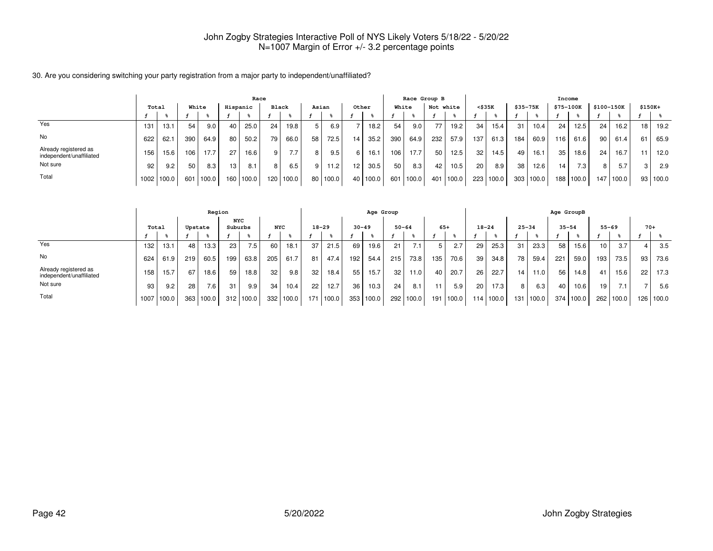#### 30. Are you considering switching your party registration from a major party to independent/unaffiliated?

|                                                   |       |       |       |       | Race     |       |                  |                  |    | Race Group B |                 |          |     |       |           |       | Income          |       |             |           |                  |                  |            |                   |          |       |
|---------------------------------------------------|-------|-------|-------|-------|----------|-------|------------------|------------------|----|--------------|-----------------|----------|-----|-------|-----------|-------|-----------------|-------|-------------|-----------|------------------|------------------|------------|-------------------|----------|-------|
|                                                   | Total |       | White |       | Hispanic |       | <b>Black</b>     |                  |    | Asian        | Other           |          |     | White | Not white |       | $<$ \$35 $K$    |       | $$35 - 75K$ |           | <b>\$75-100K</b> |                  | \$100-150K |                   | $$150K+$ |       |
|                                                   |       |       |       |       |          |       |                  |                  |    |              |                 |          |     |       |           |       |                 |       |             |           |                  |                  |            |                   |          |       |
| Yes                                               | 131   | 13.1  | 54    | 9.0   | 40       | 25.0  | 24               | 19.8             | 5  | 6.9          |                 | 18.2.    | 54  | 9.0   | 77        | 19.2  | 34              | 15.4  | 31          | 10.4      | 24               | 12.5             | 24         | 16.2 <sub>1</sub> | 18       | 19.2  |
| <b>No</b>                                         | 622   | 62.1  | 390   | 64.9  | 80       | 50.2  | 79               | 66.0             | 58 | 72.5         | 14 <sub>1</sub> | 35.2     | 390 | 64.9  | 232       | 57.9  | 137.            | 61.3  | 184         | 60.9      | 116              | 61.6             | 90         | 61.4              | 61       | 65.9  |
| Already registered as<br>independent/unaffiliated | 156   | 15.6  | 106   | 17.7  | 27       | 16.6  | q                | 7.7 <sub>1</sub> | 8  | 9.5          | 6 I             | 16.1     | 106 | 17.7  | 50        | 12.5  | 32 <sub>1</sub> | 14.5  | 49          | 16.1      | 35               | 18.6             | 24         | 16.7              |          | 12.0  |
| Not sure                                          | 92    | 9.2   | 50    | 8.3   | 13       | 8.1   |                  | 6.5              | 9  | 11.2         | 12.             | 30.5     | 50  | 8.3   | 42        | 10.5  | 20              | 8.9   | 38 I        | 12.6      | 14               | 7.3 <sub>1</sub> | 8          | 5.7               |          | 2.9   |
| Total                                             | 1002  | 100.0 | 601   | 100.0 | 160 L    | 100.0 | 120 <sub>1</sub> | 100.0            | 80 | 100.0        |                 | 40 100.0 | 601 | 100.0 | 401       | 100.0 | 223             | 100.0 |             | 303 100.0 | 188 <sub>1</sub> | 100.0            | 147        | 100.0             | 93       | 100.0 |

|                                                   |       |       | Region  |                   |                       |           |            | Age Group |           |       |           |       |     |                  |     |       | Age GroupB |           |           |       |           |               |           |       |       |       |
|---------------------------------------------------|-------|-------|---------|-------------------|-----------------------|-----------|------------|-----------|-----------|-------|-----------|-------|-----|------------------|-----|-------|------------|-----------|-----------|-------|-----------|---------------|-----------|-------|-------|-------|
|                                                   | Total |       | Upstate |                   | <b>NYC</b><br>Suburbs |           | <b>NYC</b> |           | $18 - 29$ |       | $30 - 49$ |       |     | $50 - 64$        |     | $65+$ | $18 - 24$  |           | $25 - 34$ |       | $35 - 54$ |               | $55 - 69$ |       | $70+$ |       |
|                                                   |       |       |         |                   |                       |           |            |           |           |       |           |       |     |                  |     |       |            |           |           |       |           |               |           |       |       |       |
| Yes                                               | 132   | 13.1  | 48      | 13.3              | 23                    | 7.5       | 60         | 18.1      | 37        | 21.5  | 69        | 19.6  | 21  | 7.1 <sub>1</sub> |     | 2.7   | 29         | 25.3      | 31        | 23.3  | 58        | 15.6          | 10        | 3.7   | 4     | 3.5   |
| No                                                | 624   | 61.9  | 219     | 60.5              | 199                   | 63.8      | 205        | 61.7      | 81        | 47.4  | 192       | 54.4  | 215 | 73.8             | 135 | 70.6  | 39         | 34.8      | 78 I      | 59.4  | 221       | 59.0          | 193       | 73.5  | 93    | 73.6  |
| Already registered as<br>independent/unaffiliated | 158   | 15.7  | 67      | 18.6 <sub>1</sub> | 59                    | 18.8      | 32         | 9.8       | 32        | 18.4  | 55        | 15.7  | 32  | 11.0             | 40  | 20.7  | 26         | 22.7      | 14 I      | 11.0  | 56        | 14.8          | 41        | 15.6  | 22    | 17.3  |
| Not sure                                          | 93    | 9.2   | 28      | 7.6               | 31                    | 9.9       | 34         | 10.4      | 22        | 12.7  | 36        | 10.3  | 24  | 8.1              | 11  | 5.9   | 20         | 17.3      | 8         | 6.3   | 40        | 10.6          | 19        | 7.1   |       | 5.6   |
| Total                                             | 1007  | 100.0 | 363     | 100.0             |                       | 312 100.0 | 332        | 100.0     | 171       | 100.0 | 353       | 100.0 | 292 | 100.0            | 191 | 100.0 |            | 114 100.0 | 131       | 100.0 | 374       | $\vert$ 100.0 | 262       | 100.0 | 126   | 100.0 |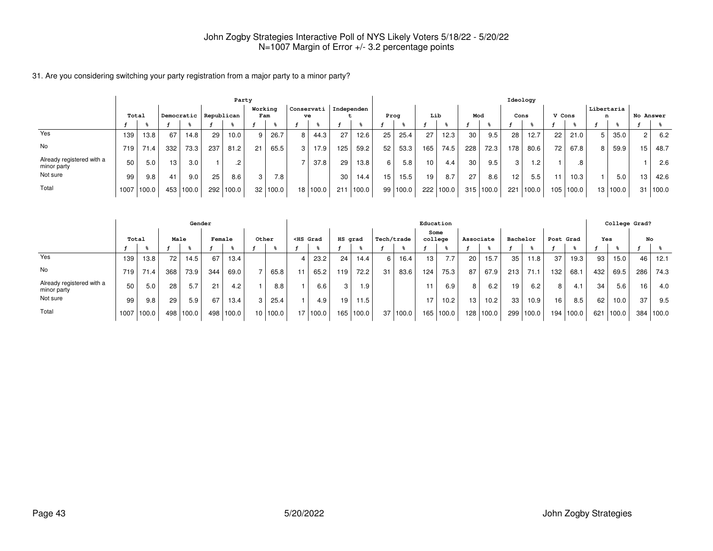31. Are you considering switching your party registration from a major party to a minor party?

|                                          | Party |                   |     |                       |     |           |                 |       |            |          |            |               |    |       |                 |       |     |           | Ideology        |       |        |       |                 |       |           |       |
|------------------------------------------|-------|-------------------|-----|-----------------------|-----|-----------|-----------------|-------|------------|----------|------------|---------------|----|-------|-----------------|-------|-----|-----------|-----------------|-------|--------|-------|-----------------|-------|-----------|-------|
|                                          | Total |                   |     | Democratic Republican |     |           | Working<br>Fam  |       | Conservati | ve       | Independen |               |    | Prog  | Lib             |       | Mod |           |                 | Cons  | V Cons |       | Libertaria<br>n |       | No Answer |       |
|                                          |       |                   |     |                       |     |           |                 |       |            |          |            |               |    |       |                 |       |     |           |                 |       |        |       |                 |       |           |       |
| Yes                                      | 139   | 13.8 <sub>1</sub> | 67  | 14.8                  | 29  | 10.0      | 9               | 26.7  | 8          | 44.3     | 27         | 12.6          | 25 | 25.4  | 27              | 12.3  | 30  | 9.5       | 28              | 12.7  | 22     | 21.0  |                 | 35.0  | 21        | 6.2   |
| No                                       | 719   | 71.4              | 332 | 73.3                  | 237 | 81.2      | 21              | 65.5  | 3          | 17.9     | 125        | 59.2          | 52 | 53.3  | 165             | 74.5  | 228 | 72.3      | 178             | 80.6  | 72     | 67.8  |                 | 59.9  | 15        | 48.7  |
| Already registered with a<br>minor party | 50    | 5.0               | 13  | 3.0                   |     |           |                 |       |            | 37.8     | 29         | 13.8          | 6  | 5.8   | 10 <sup>°</sup> | 4.4   | 30  | 9.5       | 3 I             | .2    |        | .8    |                 |       |           | 2.6   |
| Not sure                                 | 99    | 9.8               | 41  | 9.0                   | 25  | 8.6       | 3               | 7.8   |            |          | 30         | 14.4          | 15 | 15.5  | 19              | 8.7   | 27  | 8.6       | 12 <sub>1</sub> | 5.5   |        | 10.3  |                 | 5.0   | 13        | 42.6  |
| Total                                    | 1007  | 100.0             | 453 | 100.0                 |     | 292 100.0 | 32 <sub>1</sub> | 100.0 |            | 18 100.0 |            | $211$   100.0 | 99 | 100.0 | 222             | 100.0 |     | 315 100.0 | 221             | 100.0 | 105    | 100.0 | 13 <sub>1</sub> | 100.0 | 31        | 100.0 |

|                                          |       |       |                 | Gender    |        |       |                 |       |                                                                                                                                                                                                                                                   |       |                 |       |            |       | Education       |       |                  |                   |          |       |           |                   |     | College Grad? |                 |           |
|------------------------------------------|-------|-------|-----------------|-----------|--------|-------|-----------------|-------|---------------------------------------------------------------------------------------------------------------------------------------------------------------------------------------------------------------------------------------------------|-------|-----------------|-------|------------|-------|-----------------|-------|------------------|-------------------|----------|-------|-----------|-------------------|-----|---------------|-----------------|-----------|
|                                          | Total |       | Male            |           | Female |       | Other           |       | <hs grad<="" th=""><th></th><th>HS grad</th><th></th><th>Tech/trade</th><th></th><th>Some<br/>college</th><th></th><th>Associate</th><th></th><th>Bachelor</th><th></th><th>Post Grad</th><th></th><th>Yes</th><th></th><th>No</th><th></th></hs> |       | HS grad         |       | Tech/trade |       | Some<br>college |       | Associate        |                   | Bachelor |       | Post Grad |                   | Yes |               | No              |           |
|                                          |       |       |                 |           |        |       |                 |       |                                                                                                                                                                                                                                                   |       |                 |       |            |       |                 |       |                  |                   |          |       |           |                   |     |               |                 |           |
| Yes                                      | 139   | 13.8  | 72 l            | 14.5      | 67     | 13.4  |                 |       |                                                                                                                                                                                                                                                   | 23.2  | 24 <sub>1</sub> | 14.4  | 6          | 16.4  | 13              | 7.7   | 20               | 15.7              | 35       | 11.8  | 37        | 19.3 <sub>1</sub> | 93  | 15.0          | 46              | 12.1      |
| No                                       | 719   | 71.4  | 368 l           | 73.9      | 344    | 69.0  |                 | 65.8  |                                                                                                                                                                                                                                                   | 65.2  | 119             | 72.2  | 31         | 83.6  | 124             | 75.3  | 87               | 67.9              | 213      | 71.1  | 132       | 68.               | 432 | 69.5          | 286             | 74.3      |
| Already registered with a<br>minor party | 50    | 5.0   | 28 <sub>1</sub> | 5.7       | 21     | 4.2   |                 | 8.8   |                                                                                                                                                                                                                                                   | 6.6   | 3               | 1.9   |            |       | 11              | 6.9   | 8                | 6.2               | 19       | 6.2   | 8 I       | 4.1               | 34  | 5.6           | 16 <sup>1</sup> | 4.0       |
| Not sure                                 | 99    | 9.8   | 29              | 5.9       | 67     | 13.4  | 3               | 25.4  |                                                                                                                                                                                                                                                   | 4.9   | 19 <sub>1</sub> | 11.5  |            |       | 17              | 10.2  | 13               | 10.2 <sub>1</sub> | 33       | 10.9  | 16        | 8.5               | 62  | 10.0          | 37              | 9.5       |
| Total                                    | 1007  | 100.0 |                 | 498 100.0 | 498    | 100.0 | 10 <sup>1</sup> | 100.0 | 17 <sup>1</sup>                                                                                                                                                                                                                                   | 100.0 | 165 l           | 100.0 | 37 I       | 100.0 | 165             | 100.0 | 128 <sub>1</sub> | 100.0             | 299      | 100.0 | 194       | 100.0             | 621 | 100.0         |                 | 384 100.0 |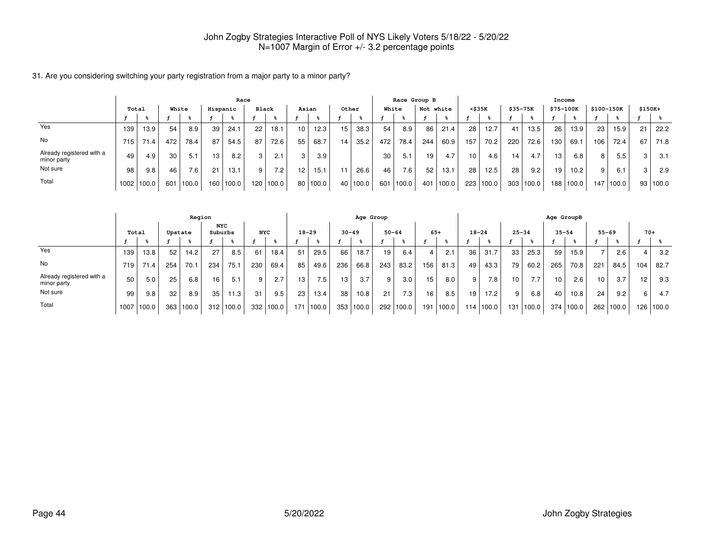|                                          |       |       |     |                  |          | Race      |                  |       |       |          |      |       |       | Race Group B |           |       |                 |       |          |           |                 | Income |            |             |          |       |
|------------------------------------------|-------|-------|-----|------------------|----------|-----------|------------------|-------|-------|----------|------|-------|-------|--------------|-----------|-------|-----------------|-------|----------|-----------|-----------------|--------|------------|-------------|----------|-------|
|                                          | Total |       |     | White            | Hispanic |           | Black            |       | Asian |          |      | Other | White |              | Not white |       | $<$ \$35 $K$    |       | \$35-75K |           | \$75-100K       |        | \$100-150K |             | $$150K+$ |       |
|                                          |       |       |     |                  |          |           |                  |       |       |          |      |       |       |              |           |       |                 |       |          |           |                 |        |            |             |          |       |
| Yes                                      | 139   | 13.9  | 54  | 8.9              | 39       | 24.1      | 22               | 18.1  | 10    | 12.3     | 15   | 38.3  | 54    | 8.9          | 86        | 21.4  | 28              | 12.7  | 41       | 13.5      | 26              | 13.9   | 23         | 15.9        | 21       | 22.2  |
| No                                       | 715   | 71.4  | 472 | 78.4             | 87       | 54.5      | 87               | 72.6  | 55    | 68.7     | 14   | 35.2  | 472   | 78.4         | 244       | 60.9  | 157             | 70.2  | 220      | 72.6      | 130             | 69.1   | 106        | 72.4        | 67       | 71.8  |
| Already registered with a<br>minor party | 49    | 4.9   | 30  | 5.1              | 13.      | 8.2       | 3                | 2.1   | 3     | 3.9      |      |       | 30    | 5.1          | 19        | 4.7   | 10 <sup>1</sup> | 4.6   | 14       | 4.7       | 13.             | 6.8    | o          | 5.5         |          | 3.1   |
| Not sure                                 | 98    | 9.8   | 46  | 7.6 <sub>1</sub> | 21       | 13.1      | 9                | 7.2   | 12    | 15.1     | 11   | 26.6  | 46    | 7.6          | 52        | 13.1  | 28              | 12.5  | 28       | 9.2       | 19 <sub>1</sub> | 10.2   | 9          | 6.1         |          | 2.9   |
| Total                                    | 1002  | 100.0 | 601 | 100.0            |          | 160 100.0 | 120 <sub>1</sub> | 100.0 |       | 80 100.0 | 40 l | 100.0 |       | 601 100.0    | 401       | 100.0 | 223             | 100.0 |          | 303 100.0 | 188             | 100.0  |            | 147   100.0 | 93       | 100.0 |

31. Are you considering switching your party registration from a major party to a minor party?

|                                          |       |       |         | Region |                       |           |            |           |                  |                  |                 | Age Group         |                  |           |       |       |           |           |           |                  | Age GroupB |       |           |        |       |             |
|------------------------------------------|-------|-------|---------|--------|-----------------------|-----------|------------|-----------|------------------|------------------|-----------------|-------------------|------------------|-----------|-------|-------|-----------|-----------|-----------|------------------|------------|-------|-----------|--------|-------|-------------|
|                                          | Total |       | Upstate |        | <b>NYC</b><br>Suburbs |           | <b>NYC</b> |           |                  | $18 - 29$        | $30 - 49$       |                   |                  | $50 - 64$ | $65+$ |       | $18 - 24$ |           | $25 - 34$ |                  | $35 - 54$  |       | $55 - 69$ |        | $70+$ |             |
|                                          |       |       |         |        |                       |           |            |           |                  |                  |                 |                   |                  |           |       |       |           |           |           |                  |            |       |           |        |       |             |
| Yes                                      | 139   | 13.8  | 52      | 14.2   | 27                    | 8.5       | 61         | 18.4      | 51               | 29.5             | 66              | 18.7              | 19               | 6.4       |       | 2.1   | 36        | 31.7      | 33        | 25.3             | 59         | 15.9  |           | 2.6    |       | 3.2         |
| No                                       | 719   | 71.4  | 254     | 70.1   | 234                   | 75.1      | 230        | 69.4      | 85               | 49.6             | 236             | 66.8              | 243              | 83.2      | 156   | 81.3  | 49        | 43.3      | 79        | 60.2             | 265        | 70.8  | 221       | 84.5   | 104   | 82.7        |
| Already registered with a<br>minor party | 50    | 5.0   | 25      | 6.8    | 16                    | 5.1       | 9          | 2.7       | 13 <sub>1</sub>  | 7.5 <sub>1</sub> | 13 <sub>1</sub> | 3.7               | 9                | 3.0       | 15    | 8.0   | 9         | $7.8$ .   | 10        | 7.7 <sub>1</sub> | 10         | 2.6   | 10        | 3.7    | 12    | 9.3         |
| Not sure                                 | 99    | 9.8   | 32      | 8.9    | 35 <sub>1</sub>       | 11.3      | 31         | 9.5       | 23 <sub>1</sub>  | 13.4             | 38              | 10.8 <sub>1</sub> | 21               | 7.3       | 16    | 8.5   | 19        | 17.2      | 9         | 6.8              | 40         | 10.8  | 24        | 9.2    | 6     | 4.7         |
| Total                                    | 1007  | 100.0 | 363     | 100.0  |                       | 312 100.0 |            | 332 100.0 | 171 <sub>1</sub> | 100.0            | 353             | 100.0             | 292 <sub>1</sub> | 100.0     | 191   | 100.0 |           | 114 100.0 |           | 131   100.0      | 374        | 100.0 | 262       | '100.0 |       | 126   100.0 |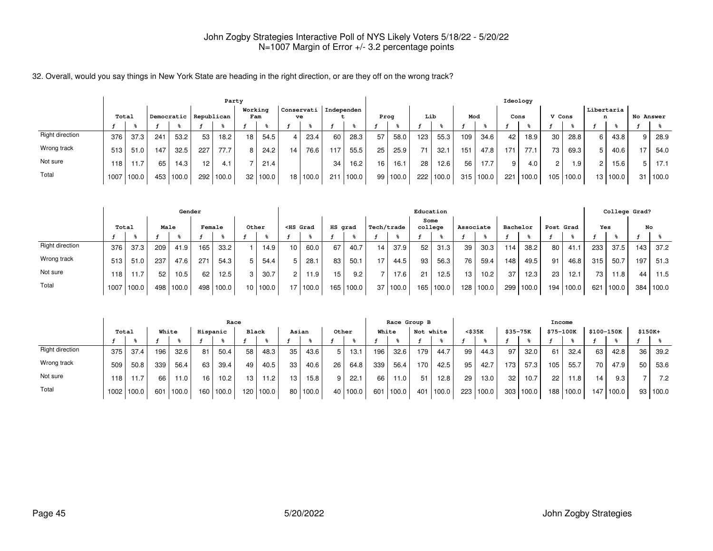32. Overall, would you say things in New York State are heading in the right direction, or are they off on the wrong track?

|                        |     |            |     |       |                       | Party |                 |       |                  |       |            |       |    |          |     |       |     |       |      | Ideology |                      |       |      |                 |           |       |
|------------------------|-----|------------|-----|-------|-----------------------|-------|-----------------|-------|------------------|-------|------------|-------|----|----------|-----|-------|-----|-------|------|----------|----------------------|-------|------|-----------------|-----------|-------|
|                        |     | Total      |     |       | Democratic Republican |       | Working         | Fam   | Conservati<br>ve |       | Independen |       |    | Prog     | Lib |       | Mod |       | Cons |          | V Cons               |       |      | Libertaria<br>n | No Answer |       |
|                        |     |            |     |       |                       |       |                 |       |                  |       |            |       |    |          |     |       |     |       |      |          |                      |       |      |                 |           |       |
| <b>Right direction</b> | 376 | 37.3       | 241 | 53.2  | 53                    | 18.2  | 18              | 54.5  | 4                | 23.4  | 60         | 28.3  | 57 | 58.0     | 123 | 55.3  | 109 | 34.6  | 42   | 18.9     | 30                   | 28.8  | 6    | 43.8            | 9         | 28.9  |
| Wrong track            | 513 | 51.0       | 147 | 32.5  | 227                   | 77.7  | 8               | 24.2  | 14               | 76.6  | 117        | 55.5  | 25 | 25.9     | 71  | 32.1  | 151 | 47.8  | 171  | 77.1     | 73                   | 69.3  | 5    | 40.6            | 17        | 54.0  |
| Not sure               | 118 | 11.7       | 65  | 14.3  | 12                    | 4.1   |                 | 21.4  |                  |       | 34         | 16.2  | 16 | 16.1     | 28  | 12.6  | 56  | 17.7  | 9    | 4.0      | $\mathbf{2}^{\circ}$ | 1.9   | 2    | 15.6            |           | 17.1  |
| Total                  |     | 1007 100.0 | 453 | 100.0 | 292                   | 100.0 | 32 <sub>1</sub> | 100.0 | 18 <sup>1</sup>  | 100.0 | 211        | 100.0 |    | 99 100.0 | 222 | 100.0 | 315 | 100.0 | 221  | 100.0    | $105$ .              | 100.0 | 13 I | 100.0           | 31        | 100.0 |

|                 |       |       |      | Gender    |     |           |                 |       |                                                                                                                                                                                                                                                   |          |         |       |            |       | Education       |             |           |       |                  |          |           |           |     | College Grad? |       |       |
|-----------------|-------|-------|------|-----------|-----|-----------|-----------------|-------|---------------------------------------------------------------------------------------------------------------------------------------------------------------------------------------------------------------------------------------------------|----------|---------|-------|------------|-------|-----------------|-------------|-----------|-------|------------------|----------|-----------|-----------|-----|---------------|-------|-------|
|                 | Total |       | Male |           |     | Female    |                 | Other | <hs grad<="" th=""><th></th><th>HS grad</th><th></th><th>Tech/trade</th><th></th><th>Some<br/>college</th><th></th><th>Associate</th><th></th><th></th><th>Bachelor</th><th>Post Grad</th><th></th><th>Yes</th><th></th><th></th><th>No</th></hs> |          | HS grad |       | Tech/trade |       | Some<br>college |             | Associate |       |                  | Bachelor | Post Grad |           | Yes |               |       | No    |
|                 |       |       |      |           |     |           |                 |       |                                                                                                                                                                                                                                                   |          |         |       |            |       |                 |             |           |       |                  |          |           |           |     |               |       |       |
| Right direction | 376   | 37.3  | 209  | 41.9      | 165 | 33.2      |                 | 14.9  | 10                                                                                                                                                                                                                                                | 60.0     | 67      | 40.7  | 14         | 37.9  | 52              | 31.3        | 39        | 30.3  | 114 <sub>1</sub> | 38.2     | 80        | 41.1      | 233 | 37.5          | 143   | 37.2  |
| Wrong track     | 513   | 51.0  | 237  | 47.6      | 271 | 54.3      | 5               | 54.4  |                                                                                                                                                                                                                                                   | 28.1     | 83      | 50.1  | 17         | 44.5  | 93              | 56.3        | 76 l      | 59.4  | 148              | 49.5     | 91        | 46.8      | 315 | 50.7          | 197   | 51.3  |
| Not sure        | 118   | 11.7  | 52   | 10.5      | 62  | 12.5      | 3               | 30.7  | 2                                                                                                                                                                                                                                                 | 11.9     | 15      | 9.2   |            | 17.6  | 21              | 12.5        | 13        | 10.2  | 37 <sub>1</sub>  | 12.3     | 23        | 12.1      | 73  | 11.8          | 44    | 11.5  |
| Total           | 1007  | 100.0 |      | 498 100.0 |     | 498 100.0 | 10 <sup>1</sup> | 100.0 |                                                                                                                                                                                                                                                   | 17 100.0 | 165     | 100.0 | 37         | 100.0 |                 | 165   100.0 | 128       | 100.0 | 299              | 100.0    |           | 194 100.0 | 621 | 100.0         | 384 I | 100.0 |

|                 |                   |       |     |        |      | Race     |                  |       |       |                   |       |       |       | Race Group B |     |           |        |       |                  |       | Income    |       |            |           |         |       |
|-----------------|-------------------|-------|-----|--------|------|----------|------------------|-------|-------|-------------------|-------|-------|-------|--------------|-----|-----------|--------|-------|------------------|-------|-----------|-------|------------|-----------|---------|-------|
|                 | Total             |       |     | White  |      | Hispanic | <b>Black</b>     |       | Asian |                   | Other |       | White |              |     | Not white | <\$35K |       | $$35 - 75K$      |       | \$75-100K |       | \$100-150K |           | \$150K+ |       |
|                 |                   |       |     |        |      |          |                  |       |       |                   |       |       |       |              |     |           |        |       |                  |       |           |       |            |           |         |       |
| Right direction | 375               | 37.4  | 196 | 32.6   | 81   | 50.4     | 58               | 48.3  | 35    | 43.6              | 5     | 13.1  | 196   | 32.6         | 179 | 44.7      | 99     | 44.3  | 97               | 32.0  | 61        | 32.4  | 63         | 42.8      | 36      | 39.2  |
| Wrong track     | 509               | 50.8  | 339 | 56.4   | 63 I | 39.4     | 49               | 40.5  | 33    | 40.6              | 26    | 64.8  | 339   | 56.4         | 170 | 42.5      | 95     | 42.7  | 173 <sub>1</sub> | 57.3  | 105       | 55.7  | 70         | 47.9      | 50      | 53.6  |
| Not sure        | 118               | 11.7  | 66  | 11.0   | 16   | 10.2     | 13 <sub>1</sub>  | 11.2  | 13    | 15.8 <sub>1</sub> | 9     | 22.7  | 66    | 11.0         | -51 | 12.8      | 29     | 13.0  | 32               | 10.7  | 22        | 11.8  | 14         | 9.3       |         | 7.2   |
| Total           | 1002 <sub>1</sub> | 100.0 | 601 | '100.0 | 160  | 100.0    | 120 <sub>1</sub> | 100.0 |       | 80 100.0          | 40    | 100.0 | 601   | 100.0        | 401 | 100.0     | 223    | 100.0 | 303              | 100.0 | 188       | 100.0 |            | 147 100.0 | 93      | 100.0 |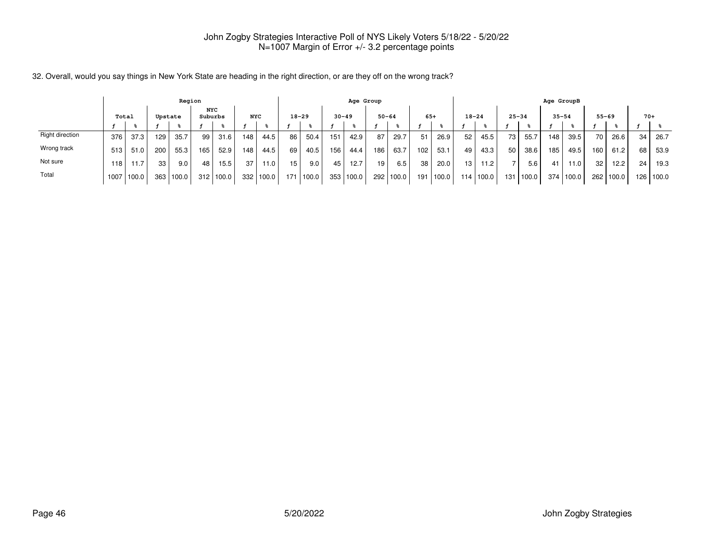|                 |        |       |                  | Region  |                       |       |            |       |                 |       |     | Age Group |           |       |                 |       |                 |           |                          |             | Age GroupB |           |           |       |       |       |
|-----------------|--------|-------|------------------|---------|-----------------------|-------|------------|-------|-----------------|-------|-----|-----------|-----------|-------|-----------------|-------|-----------------|-----------|--------------------------|-------------|------------|-----------|-----------|-------|-------|-------|
|                 |        | Total |                  | Upstate | <b>NYC</b><br>Suburbs |       | <b>NYC</b> |       | $18 - 29$       |       |     | $30 - 49$ | $50 - 64$ |       | $65+$           |       | $18 - 24$       |           | $25 - 34$                |             | $35 - 54$  |           | $55 - 69$ |       | $70+$ |       |
|                 |        |       |                  |         |                       |       |            |       |                 |       |     |           |           |       |                 |       |                 |           |                          |             |            |           |           |       |       |       |
| Right direction | 376    | 37.3  | 129              | 35.7    | 99                    | 31.6  | 148        | 44.5  | 86              | 50.4  | 151 | 42.9      | 87        | 29.7  | 51              | 26.9  | 52              | 45.5      | 73                       | 55.7        | 148        | 39.5      | 70        | 26.6  | 34    | 26.7  |
| Wrong track     | 513    | 51.0  | 200              | 55.3    | 165                   | 52.9  | 148        | 44.5  | 69              | 40.5  | 156 | 44.4      | 186       | 63.7  | 102             | 53.1  | 49              | 43.3      | 50                       | 38.6        | 185        | 49.5      | 160       | 61.2  | 68    | 53.9  |
| Not sure        | ່ 18 ເ | 11.7  | 33               | 9.0     | 48                    | 15.5  | 37         | 11.0  | 15 <sub>1</sub> | 9.0   | 45  | 12.7      | 19        | 6.5   | 38 <sub>1</sub> | 20.0  | 13 <sup>1</sup> | 11.2      | $\overline{\phantom{0}}$ | 5.6         | 41         | 11.0      | 32        | 12.2  | 24    | 19.3  |
| Total           | 1007   | 100.0 | 363 <sub>1</sub> | 100.0   | 312                   | 100.0 | 332        | 100.0 | 171             | 100.0 | 353 | 100.0     | 292       | 100.0 | 191             | 100.0 |                 | 114 100.0 |                          | 131   100.0 |            | 374 100.0 | 262       | 100.0 | 126   | 100.0 |

32. Overall, would you say things in New York State are heading in the right direction, or are they off on the wrong track?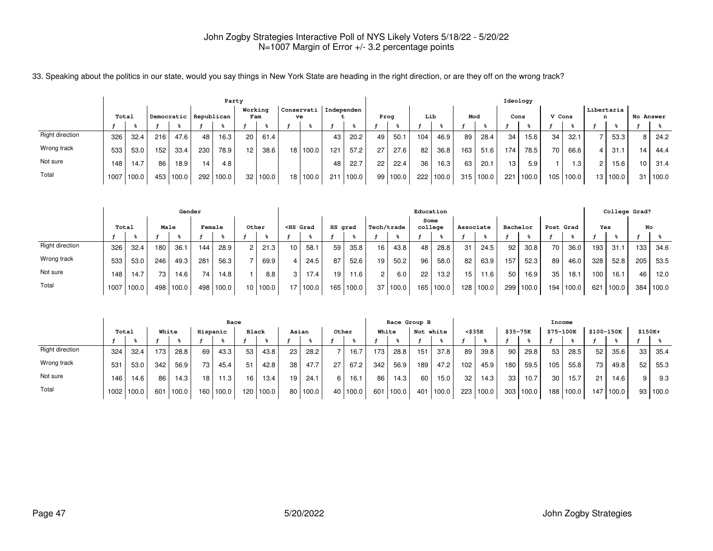|  |  |  |  |  |  | 33. Speaking about the politics in our state, would you say things in New York State are heading in the right direction, or are they off on the wrong track? |  |
|--|--|--|--|--|--|--------------------------------------------------------------------------------------------------------------------------------------------------------------|--|
|  |  |  |  |  |  |                                                                                                                                                              |  |

|                 |       |       |     |            |                  | Party |                 |       |                    |            |       |      |       |                 |       |     |       |     | Ideology |        |           |   |                 |           |       |
|-----------------|-------|-------|-----|------------|------------------|-------|-----------------|-------|--------------------|------------|-------|------|-------|-----------------|-------|-----|-------|-----|----------|--------|-----------|---|-----------------|-----------|-------|
|                 | Total |       |     | Democratic | Republican       |       | Working<br>Fam  |       | Conservati  <br>ve | Independen |       | Prog |       | Lib             |       | Mod |       |     | Cons     | V Cons |           |   | Libertaria<br>n | No Answer |       |
|                 |       |       |     |            |                  |       |                 |       |                    |            |       |      |       |                 |       |     |       |     |          |        |           |   |                 |           |       |
| Right direction | 326   | 32.4  | 216 | 47.6       | 48               | 16.3  | 20              | 61.4  |                    | 43         | 20.2  | 49   | 50.1  | 104             | 46.9  | 89  | 28.4  | 34  | 15.6     | 34     | 32.1      |   | 53.3            | 8         | 24.2  |
| Wrong track     | 533   | 53.0  | 152 | 33.4       | 230              | 78.9  | 12 <sup>°</sup> | 38.6  | 18 100.0           | 121        | 57.2  | 27   | 27.6  | 82              | 36.8  | 163 | 51.6  | 174 | 78.5     | 70     | 66.6      |   | 31.1            | 14        | 44.4  |
| Not sure        | 148   | 14.7  | 86  | 18.9       | 14               | 4.8   |                 |       |                    | 48         | 22.7  | 22   | 22.4  | 36 <sub>1</sub> | 16.3  | 63  | 20.1  | 13  | 5.9      |        | 1.3       | 2 | 15.6            | 10        | 31.4  |
| Total           | 1007  | 100.0 | 453 | 100.0      | 292 <sub>1</sub> | 100.0 | 32 l            | 100.0 | 18 100.0           | 211        | 100.0 | 99   | 100.0 | 222             | 100.0 | 315 | 100.0 | 221 | 100.0    |        | 105 100.0 |   | 13   100.0      | 31        | 100.0 |

|                 |       |       |      |       | Gender |       |       |          |                 |                                                                                                                                                                                                                                          |         |       |                 |       |                 | Education |           |           |          |       |           |       |     | College Grad? |     |       |
|-----------------|-------|-------|------|-------|--------|-------|-------|----------|-----------------|------------------------------------------------------------------------------------------------------------------------------------------------------------------------------------------------------------------------------------------|---------|-------|-----------------|-------|-----------------|-----------|-----------|-----------|----------|-------|-----------|-------|-----|---------------|-----|-------|
|                 | Total |       | Male |       | Female |       | Other |          |                 | <hs grad<="" th=""><th>HS grad</th><th></th><th>Tech/trade</th><th></th><th>Some<br/>college</th><th></th><th>Associate</th><th></th><th>Bachelor</th><th></th><th>Post Grad</th><th></th><th>Yes</th><th></th><th></th><th>No</th></hs> | HS grad |       | Tech/trade      |       | Some<br>college |           | Associate |           | Bachelor |       | Post Grad |       | Yes |               |     | No    |
|                 |       |       |      |       |        |       |       |          |                 |                                                                                                                                                                                                                                          |         |       |                 |       |                 |           |           |           |          |       |           |       |     |               |     |       |
| Right direction | 326   | 32.4  | 180  | 36.1  | 144    | 28.9  | 2     | 21.3     | 10 <sup>1</sup> | 58.1                                                                                                                                                                                                                                     | 59      | 35.8  | 16              | 43.8  | 48              | 28.8      | 31        | 24.5      | 92       | 30.8  | 70        | 36.0  | 193 | 31.1          | 133 | 34.6  |
| Wrong track     | 533   | 53.0  | 246  | 49.3  | 281    | 56.3  |       | 69.9     | 4               | 24.5                                                                                                                                                                                                                                     | 87      | 52.6  | 19.             | 50.2  | 96              | 58.0      | 82        | 63.9      | 157      | 52.3  | 89        | 46.0  | 328 | 52.8          | 205 | 53.5  |
| Not sure        | 148   | 14.7  | 73   | 14.6  | 74     | 14.8  |       | 8.8      | 3               | 17.4 <sub>1</sub>                                                                                                                                                                                                                        | 19      | 11.6  |                 | 6.0   | 22              | 13.2      | 15        | 11.6      | 50       | 16.9  | 35        | 18.1  | 100 | 16.1          | 46  | 12.0  |
| Total           | 1007  | 100.0 | 498  | 100.0 | 498    | 100.0 |       | 10 100.0 |                 | 17   100.0                                                                                                                                                                                                                               | 165     | 100.0 | 37 <sub>1</sub> | 100.0 |                 | 165 100.0 |           | 128 100.0 | 299 l    | 100.0 | 194 l     | 100.0 | 621 | 100.0         | 384 | 100.0 |

|                 |       |       |     |        |      | Race              |                  |       |       |            |    |       |     | Race Group B |     |           |     |        |                  |       | Income    |       |            |             |          |       |
|-----------------|-------|-------|-----|--------|------|-------------------|------------------|-------|-------|------------|----|-------|-----|--------------|-----|-----------|-----|--------|------------------|-------|-----------|-------|------------|-------------|----------|-------|
|                 | Total |       |     | White  |      | Hispanic          | <b>Black</b>     |       | Asian |            |    | Other |     | White        |     | Not white |     | <\$35K | $$35 - 75K$      |       | \$75-100K |       | \$100-150K |             | $$150K+$ |       |
|                 |       |       |     |        |      |                   |                  |       |       |            |    |       |     |              |     |           |     |        |                  |       |           |       |            |             |          |       |
| Right direction | 324   | 32.4  | 173 | 28.8   | 69   | 43.3              | 53               | 43.8  | 23    | 28.2       |    | 16.7  | 173 | 28.8         | 151 | 37.8      | 89  | 39.8   | 90               | 29.8  | 53        | 28.5  | 52         | 35.6        | 33       | 35.4  |
| Wrong track     | 531   | 53.0  | 342 | 56.9   | 73 1 | 45.4              | 51               | 42.8  | 38    | 47.7       | 27 | 67.2  | 342 | 56.9         | 189 | 47.2      | 102 | 45.9   | 180              | 59.5  | 105       | 55.8  | 73         | 49.8        | 52       | 55.3  |
| Not sure        | 146   | 14.6  | 86  | 14.3   | 18 I | 11.3 <sub>1</sub> | 16               | 13.4  | 19    | 24.1       | 6  | 16.1  | 86  | 14.3         | 60  | 15.0      | 32  | 14.3   | 33 <sub>1</sub>  | 10.7  | 30        | 15.7  | 21         | 14.6        | $\Omega$ | 9.3   |
| Total           | 1002  | 100.0 | 601 | '100.0 | 160. | 100.0             | 120 <sub>1</sub> | 100.0 |       | 80   100.0 | 40 | 100.0 | 601 | 100.0        | 401 | 100.0     | 223 | 100.0  | 303 <sub>1</sub> | 100.0 | 188       | 100.0 |            | 147   100.0 | 93       | 100.0 |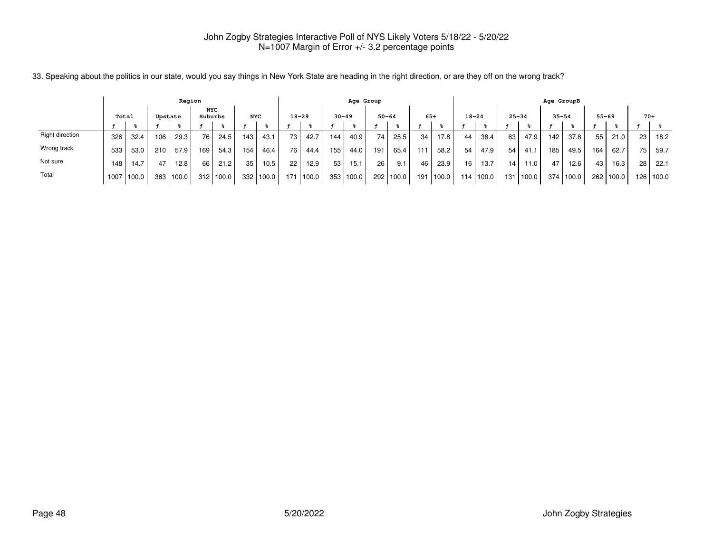|                 |       |       |         | Region |                       |       |            |       |           |       |           | Age Group |     |           |                 |       |                  |       |           |             | Age GroupB |       |           |       |       |       |
|-----------------|-------|-------|---------|--------|-----------------------|-------|------------|-------|-----------|-------|-----------|-----------|-----|-----------|-----------------|-------|------------------|-------|-----------|-------------|------------|-------|-----------|-------|-------|-------|
|                 | Total |       | Upstate |        | <b>NYC</b><br>Suburbs |       | <b>NYC</b> |       | $18 - 29$ |       | $30 - 49$ |           |     | $50 - 64$ | $65+$           |       | $18 - 24$        |       | $25 - 34$ |             | $35 - 54$  |       | $55 - 69$ |       | $70+$ |       |
|                 |       |       |         |        |                       |       |            |       |           |       |           |           |     |           |                 |       |                  |       |           |             |            |       |           |       |       |       |
| Right direction | 326   | 32.4  | 106     | 29.3   | 76                    | 24.5  | 143        | 43.1  | 73        | 42.7  | 144       | 40.9      | 74  | 25.5      | 34              | 17.8  | 44               | 38.4  | 63        | 47.9        | 142        | 37.8  | 55        | 21.0  | 23    | 18.2  |
| Wrong track     | 533   | 53.0  | 210     | 57.9   | 169                   | 54.3  | 154        | 46.4  | 76        | 44.4  | 155       | 44.0      | 191 | 65.4      | 11 <sup>2</sup> | 58.2  | 54               | 47.9  | 54        | 41.1        | 185        | 49.5  | 164       | 62.7  | 75    | 59.7  |
| Not sure        | 148   | 14.7  | 47      | 12.8   | 66                    | 21.2  | 35         | 10.5  | 22        | 12.9  | 53        | 15.1      | 26  | 9.1       | 46              | 23.9  | 16 <sup>1</sup>  | 13.7  | 14        | 11.0        | 47         | 12.6  | 43        | 16.3  | 28    | 22.7  |
| Total           | 1007  | 100.0 | 363     | 100.0  | 312                   | 100.0 | 332        | 100.0 | 171       | 100.0 | 353       | 100.0     | 292 | 100.0     | 19 <sup>°</sup> | 100.0 | 114 <sub>1</sub> | 100.0 |           | 131   100.0 | 374        | 100.0 | 262       | 100.0 | 126   | 100.0 |

33. Speaking about the politics in our state, would you say things in New York State are heading in the right direction, or are they off on the wrong track?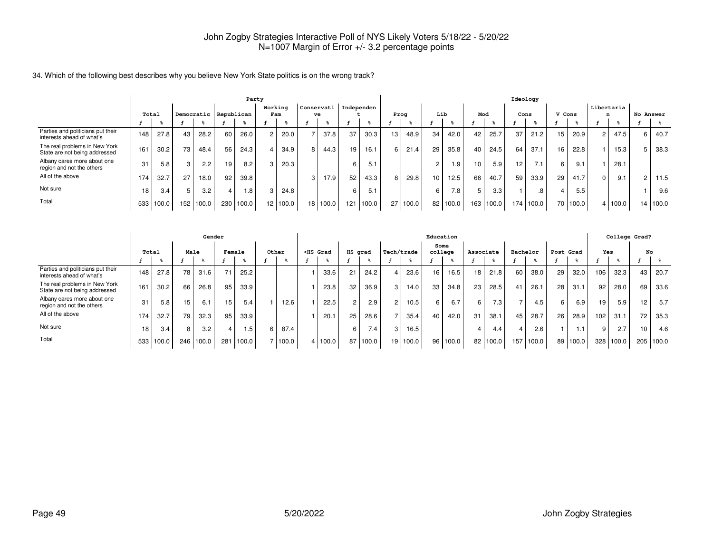#### 34. Which of the following best describes why you believe New York State politics is on the wrong track?

|                                                                |                 |       |     |                         |     | Party |                 |                |            |       |            |       |                 |       |                 |       |                 |       | Ideology |           |        |          |                |         |   |           |
|----------------------------------------------------------------|-----------------|-------|-----|-------------------------|-----|-------|-----------------|----------------|------------|-------|------------|-------|-----------------|-------|-----------------|-------|-----------------|-------|----------|-----------|--------|----------|----------------|---------|---|-----------|
|                                                                | Total           |       |     | Democratic   Republican |     |       |                 | Working<br>Fam | Conservati | ve    | Independen |       | Prog            |       | Lib             |       | Mod             |       | Cons     |           | V Cons |          | Libertaria     |         |   | No Answer |
|                                                                |                 |       |     |                         |     |       |                 |                |            |       |            |       |                 |       |                 |       |                 |       |          |           |        |          |                |         |   |           |
| Parties and politicians put their<br>interests ahead of what's | 148             | 27.8  | 43  | 28.2                    | 60  | 26.0  |                 | 20.0           |            | 37.8  | 37         | 30.3  | 13              | 48.9  | 34 <sub>1</sub> | 42.0  | 42              | 25.7  | 37       | 21.2      | 15     | 20.9     | $\overline{2}$ | 47.5    | 6 | 40.7      |
| The real problems in New York<br>State are not being addressed | 16 <sup>°</sup> | 30.2  | 73  | 48.4                    | 56  | 24.3  |                 | 34.9           | 8          | 44.3  | 19         | 16.1  | 6               | 21.4  | 29              | 35.8  | 40              | 24.5  | 64       | 37.7      | 16     | 22.8     |                | 15.3    |   | 38.3      |
| Albany cares more about one<br>region and not the others       | 31              | 5.8   | 3   | 2.2 <sub>1</sub>        | 19  | 8.2   |                 | 20.3           |            |       | 6          | 5.1   |                 |       | $\overline{2}$  | 1.9   | 10 <sup>1</sup> | 5.9   | 12       | 7.1       | 6      | 9.1      |                | 28.1    |   |           |
| All of the above                                               | 174             | 32.7  | 27  | 18.0                    | 92  | 39.8  |                 |                | 3          | 17.9  | 52         | 43.3  | 8               | 29.8  | 10 <sup>1</sup> | 12.5  | 66              | 40.7  | 59       | 33.9      | 29     | 41.7     | 0              | 9.1     |   | 11.5      |
| Not sure                                                       | 18              | 3.4   | 5   | 3.2                     |     | .8    |                 | 24.8           |            |       | 6          | 5.1   |                 |       | 6               | 7.8   |                 | 3.3   |          | .8        |        | 5.5      |                |         |   | 9.6       |
| Total                                                          | 533             | 100.0 | 152 | 100.0                   | 230 | 100.0 | 12 <sub>1</sub> | 100.0          | 18         | 100.0 | 121        | 100.0 | 27 <sub>1</sub> | 100.0 | 82              | 100.0 | 163             | 100.0 |          | 174 100.0 |        | 70 100.0 |                | 4 100.0 |   | 14 100.0  |

|                                                                | Gender |       |                 |       |                 |       |       |       |                                                                                                                                                                                                                                                                  | Education |                |       |                |       |                 |          |           |          |          |       |           |                 | College Grad? |       |     |       |
|----------------------------------------------------------------|--------|-------|-----------------|-------|-----------------|-------|-------|-------|------------------------------------------------------------------------------------------------------------------------------------------------------------------------------------------------------------------------------------------------------------------|-----------|----------------|-------|----------------|-------|-----------------|----------|-----------|----------|----------|-------|-----------|-----------------|---------------|-------|-----|-------|
|                                                                | Total  |       | Male            |       | Female          |       | Other |       | <hs grad<="" th=""><th colspan="2">HS grad</th><th colspan="2">Tech/trade</th><th colspan="2">Some<br/>college</th><th colspan="2">Associate</th><th colspan="2">Bachelor</th><th colspan="2">Post Grad</th><th colspan="2">Yes</th><th colspan="2">No</th></hs> |           | HS grad        |       | Tech/trade     |       | Some<br>college |          | Associate |          | Bachelor |       | Post Grad |                 | Yes           |       | No  |       |
|                                                                |        |       |                 |       |                 |       |       |       |                                                                                                                                                                                                                                                                  |           |                |       |                |       |                 |          |           |          |          |       |           |                 |               |       |     |       |
| Parties and politicians put their<br>interests ahead of what's | 148    | 27.8  | 78              | 31.6  | 71              | 25.2  |       |       |                                                                                                                                                                                                                                                                  | 33.6      | 21             | 24.2  | 4              | 23.6  | 16              | 16.5     | 18        | 21.8     | 60       | 38.0  | 29        | 32.0            | 106           | 32.3  | 43  | 20.7  |
| The real problems in New York<br>State are not being addressed | 161    | 30.2  | 66              | 26.8  | 95              | 33.9  |       |       |                                                                                                                                                                                                                                                                  | 23.8      | 32             | 36.9  | 3              | 14.0  | 33 <sub>1</sub> | 34.8     | 23        | 28.5     | 41       | 26.1  | 28        | 31.1            | 92            | 28.0  | 69  | 33.6  |
| Albany cares more about one<br>region and not the others       | 31     | 5.8   | 15 <sub>1</sub> | 6.1   | 15 <sub>1</sub> | 5.4   |       | 12.6  |                                                                                                                                                                                                                                                                  | 22.5      | $\overline{c}$ | 2.9   | $\overline{2}$ | 10.5  | 6               | 6.7      | ĥ         | 7.3      |          | 4.5   | 6         | 6.9             | 19            | 5.9   | 12  | 5.7   |
| All of the above                                               | 174    | 32.7  | 79              | 32.3  | 95              | 33.9  |       |       |                                                                                                                                                                                                                                                                  | 20.1      | 25             | 28.6  |                | 35.4  | 40              | 42.0     | 31        | 38.1     | 45       | 28.7  | 26        | 28.9            | 102           | 31.1  | 72  | 35.3  |
| Not sure                                                       | 18     | 3.4   | 8 I             | 3.2   |                 | I.5   | 6     | 87.4  |                                                                                                                                                                                                                                                                  |           | 6              | 7.4   | 3              | 16.5  |                 |          |           | 4.4      |          | 2.6   |           | $\overline{.1}$ | Q             | 2.7   | 10  | 4.6   |
| Total                                                          | 533    | 100.0 | 246             | 100.0 | 281             | 100.0 |       | 100.0 |                                                                                                                                                                                                                                                                  | 4 100.0   | 87             | 100.0 | 19 I           | 100.0 |                 | 96 100.0 |           | 82 100.0 | 157      | 100.0 | 89 I      | 100.0           | 328           | 100.0 | 205 | 100.0 |